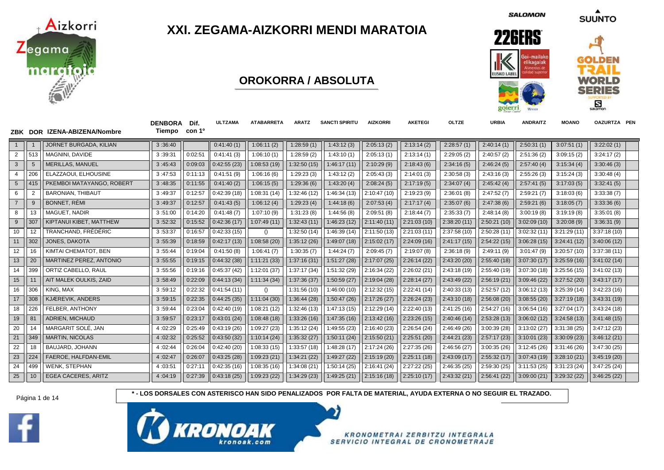

## **XXI. ZEGAMA-AIZKORRI MENDI MARATOIA**

**OROKORRA / ABSOLUTA**

**SALOMON** 

**SUUNTO** 



|                |                         | ZBK DOR IZENA-ABIZENA/Nombre | <b>DENBORA</b><br>Tiempo | Dif.<br>con 1º | ULTZAMA     | <b>ATABARRETA</b> | <b>ARATZ</b> | <b>SANCTI SPIRITU</b> | <b>AIZKORRI</b>   | <b>AKETEGI</b> | <b>OLTZE</b> | <b>URBIA</b> | <b>ANDRAITZ</b> | <b>MOANO</b> | OAZURTZA PEN |  |
|----------------|-------------------------|------------------------------|--------------------------|----------------|-------------|-------------------|--------------|-----------------------|-------------------|----------------|--------------|--------------|-----------------|--------------|--------------|--|
| $\mathbf{1}$   | $\overline{\mathbf{1}}$ | JORNET BURGADA, KILIAN       | 3:36:40                  |                | 0:41:40(1)  | 1:06:11(2)        | 1:28:59(1)   | 1:43:12(3)            | 2:05:13(2)        | 2:13:14(2)     | 2:28:57(1)   | 2:40:14(1)   | 2:50:31(1)      | 3:07:51(1)   | 3:22:02(1)   |  |
| $\overline{2}$ | 513                     | MAGNINI. DAVIDE              | 3:39:31                  | 0:02:51        | 0:41:41(3)  | 1:06:10(1)        | 1:28:59(2)   | 1:43:10(1)            | 2:05:13(1)        | 2:13:14(1)     | 2:29:05(2)   | 2:40:57(2)   | 2:51:36(2)      | 3:09:15(2)   | 3:24:17(2)   |  |
| 3              | $5\phantom{.0}$         | <b>MERILLAS, MANUEL</b>      | 3:45:43                  | 0:09:03        | 0:42:55(23) | 1:08:53 (19)      | 1:32:50(15)  | 1:46:17(11)           | 2:10:29(9)        | 2:18:43(6)     | 2:34:16(5)   | 2:46:24(5)   | 2:57:40(4)      | 3:15:34(4)   | 3:30:46(3)   |  |
| 4              | 206                     | ELAZZAOUI, ELHOUSINE         | 3:47:53                  | 0:11:13        | 0:41:51(9)  | 1:06:16(6)        | 1:29:23(3)   | 1:43:12(2)            | 2:05:43(3)        | 2:14:01(3)     | 2:30:58(3)   | 2:43:16(3)   | 2:55:26(3)      | 3:15:24(3)   | 3:30:48(4)   |  |
| 5              | 415                     | PKEMBOI MATAYANGO, ROBERT    | 3:48:35                  | 0:11:55        | 0:41:40(2)  | 1:06:15(5)        | 1:29:36(6)   | 1:43:20(4)            | 2:08:24(5)        | 2:17:19(5)     | 2:34:07(4)   | 2:45:42(4)   | 2:57:41(5)      | 3:17:03(5)   | 3:32:41(5)   |  |
| 6              | $\overline{2}$          | <b>BARONIAN, THIBAUT</b>     | 3:49:37                  | 0:12:57        | 0:42:39(18) | 1:08:31(14)       | 1:32:46(12)  | 1:46:34 (13)          | 2:10:47(10)       | 2:19:23(9)     | 2:36:01(8)   | 2:47:52(7)   | 2:59:21(7)      | 3:18:03(6)   | 3:33:38(7)   |  |
| $\overline{7}$ | 9                       | <b>BONNET, RÉMI</b>          | 3:49:37                  | 0:12:57        | 0:41:43(5)  | 1:06:12(4)        | 1:29:23(4)   | 1:44:18(6)            | 2:07:53(4)        | 2:17:17(4)     | 2:35:07(6)   | 2:47:38(6)   | 2:59:21(6)      | 3:18:05(7)   | 3:33:36(6)   |  |
| 8              | 13                      | MAGUET, NADIR                | 3:51:00                  | 0:14:20        | 0:41:48(7)  | 1:07:10(9)        | 1:31:23(8)   | 1:44:56(8)            | 2:09:51(8)        | 2:18:44(7)     | 2:35:33(7)   | 2:48:14(8)   | 3:00:19(8)      | 3:19:19(8)   | 3:35:01(8)   |  |
| 9              | 307                     | KIPTANUI KIBET, MATTHEW      | 3:52:32                  | 0:15:52        | 0:42:36(17) | 1:07:49(11)       | 1:32:43(11)  | 1:46:23(12)           | 2:11:40(11)       | 2:21:03(10)    | 2:38:20(11)  | 2:50:21(10)  | 3:02:09(10)     | 3:20:08(9)   | 3:36:31(9)   |  |
| 10             | 12                      | TRANCHAND, FRÉDÉRIC          | 3:53:37                  | 0:16:57        | 0:42:33(15) | ()                | 1:32:50(14)  | 1:46:39(14)           | 2:11:50(13)       | 2:21:03(11)    | 2:37:58 (10) | 2:50:28(11)  | 3:02:32 (11)    | 3:21:29(11)  | 3:37:18(10)  |  |
| 11             | 302                     | JONES, DAKOTA                | 3:55:39                  | 0:18:59        | 0:42:17(13) | 1:08:58(20)       | 1:35:12(26)  | 1:49:07(18)           | 2:15:02(17)       | 2:24:09(16)    | 2:41:17(15)  | 2:54:22(15)  | 3:06:28(15)     | 3:24:41(12)  | 3:40:06(12)  |  |
| 12             | 16                      | KIMTAI CHEMATOT, BEN         | 3:55:44                  | 0:19:04        | 0:41:50(8)  | 1:06:41(7)        | 1:30:35(7)   | 1:44:24(7)            | 2:09:45(7)        | 2:19:07(8)     | 2:36:18(9)   | 2:49:11(9)   | 3:01:47(9)      | 3:20:57(10)  | 3:37:38(11)  |  |
| 13             | 20                      | MARTINEZ PEREZ, ANTONIO      | 3:55:55                  | 0:19:15        | 0:44:32(38) | 1:11:21(33)       | 1:37:16(31)  | 1:51:27(28)           | 2:17:07(25)       | 2:26:14(22)    | 2:43:20 (20) | 2:55:40(18)  | 3:07:30 (17)    | 3:25:59(16)  | 3:41:02(14)  |  |
| 14             | 399                     | ORTIZ CABELLO, RAUL          | 3:55:56                  | 0:19:16        | 0:45:37(42) | 1:12:01(37)       | 1:37:17(34)  | 1:51:32 (29)          | 2:16:34(22)       | 2:26:02(21)    | 2:43:18 (19) | 2:55:40 (19) | 3:07:30(18)     | 3:25:56(15)  | 3:41:02(13)  |  |
| 15             | 11                      | AIT MALEK OULKIS, ZAID       | 3:58:49                  | 0:22:09        | 0:44:13(34) | 1:11:34(34)       | 1:37:36 (37) | 1:50:59(27)           | 2:19:04(28)       | 2:28:14(27)    | 2:43:49(22)  | 2:56:19(21)  | 3:09:46(22)     | 3:27:52(20)  | 3:43:17(17)  |  |
| 16             | 306                     | KING, MAX                    | 3:59:12                  | 0:22:32        | 0:41:54(11) | ()                | 1:31:56(10)  | 1:46:00(10)           | 2:12:32(15)       | 2:22:41(14)    | 2:40:33(13)  | 2:52:57(12)  | 3:06:12(13)     | 3:25:39(14)  | 3:42:23(16)  |  |
| 17             | 308                     | <b>KJÆREVIK, ANDERS</b>      | 3:59:15                  | 0:22:35        | 0:44:25(35) | 1:11:04(30)       | 1:36:44(28)  | 1:50:47(26)           | 2:17:26(27)       | 2:26:24(23)    | 2:43:10(18)  | 2:56:08(20)  | 3:08:55(20)     | 3:27:19(18)  | 3:43:31(19)  |  |
| 18             | 226                     | FELBER, ANTHONY              | 3:59:44                  | 0:23:04        | 0:42:40(19) | 1:08:21(12)       | 1:32:46(13)  | 1:47:13(15)           | 2:12:29(14)       | 2:22:40(13)    | 2:41:25(16)  | 2:54:27(16)  | 3:06:54(16)     | 3:27:04(17)  | 3:43:24(18)  |  |
| 19             | 81                      | <b>ADRIEN, MICHAUD</b>       | 3:59:57                  | 0:23:17        | 0:43:01(24) | 1:08:48(18)       | 1:33:26(16)  | 1:47:35(16)           | 2:13:42(16)       | 2:23:26(15)    | 2:40:46(14)  | 2:53:28(13)  | 3:06:02(12)     | 3:24:58(13)  | 3:41:48(15)  |  |
| 20             | 14                      | MARGARIT SOLÉ. JAN           | 4:02:29                  | 0:25:49        | 0:43:19(26) | 1:09:27 (23)      | 1:35:12(24)  | 1:49:55(23)           | 2:16:40 (23)      | 2:26:54(24)    | 2:46:49 (26) | 3:00:39(28)  | 3:13:02(27)     | 3:31:38(25)  | 3:47:12(23)  |  |
| 21             | 349                     | <b>MARTIN, NICOLAS</b>       | 4:02:32                  | 0:25:52        | 0:43:50(32) | 1:10:14(24)       | 1:35:32(27)  | 1:50:11(24)           | 2:15:50(21)       | 2:25:51(20)    | 2:44:21(23)  | 2:57:17(23)  | 3:10:01(23)     | 3:30:09(23)  | 3:46:12(21)  |  |
| 22             | 18                      | BAUJARD, JOHANN              | 4:02:44                  | 0:26:04        | 0:42:40(20) | 1:08:33(15)       | 1:33:57(18)  | 1:48:28(17)           | 2:17:24 (26)      | 2:27:35(26)    | 2:46:56(27)  | 3:00:35(26)  | 3:12:45(26)     | 3:31:46(26)  | 3:47:30(25)  |  |
| 23             | 224                     | FAEROE. HALFDAN-EMIL         | 4:02:47                  | 0:26:07        | 0:43:25(28) | 1:09:23(21)       | 1:34:21(22)  | 1:49:27 (22)          | 2:15:19(20)       | 2:25:11(18)    | 2:43:09(17)  | 2:55:32(17)  | 3:07:43(19)     | 3:28:10(21)  | 3:45:19(20)  |  |
| 24             | 499                     | <b>WENK, STEPHAN</b>         | 4:03:51                  | 0:27:11        | 0:42:35(16) | 1:08:35(16)       | 1:34:08(21)  | 1:50:14(25)           | 2:16:41(24)       | 2:27:22(25)    | 2:46:35(25)  | 2:59:30(25)  | 3:11:53(25)     | 3:31:23(24)  | 3:47:25(24)  |  |
| 25             | 10                      | <b>EGEA CACERES, ARITZ</b>   | 4:04:19                  | 0:27:39        | 0:43:18(25) | 1:09:23(22)       | 1:34:29(23)  | 1:49:25(21)           | $\ $ 2:15:16 (18) | 2:25:10(17)    | 2:43:32(21)  | 2:56:41(22)  | 3:09:00(21)     | 3:29:32(22)  | 3:46:25(22)  |  |





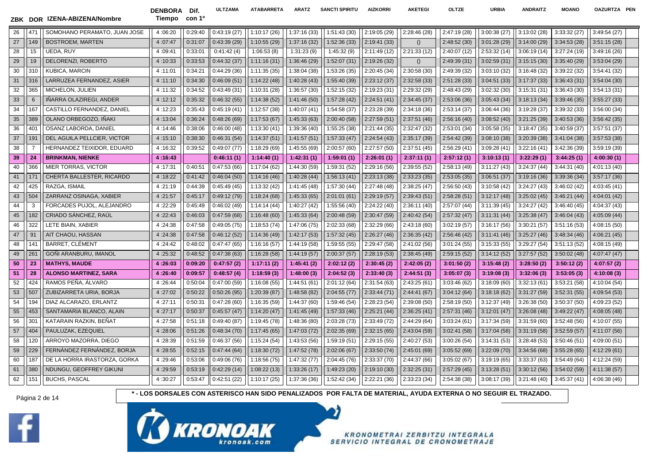DENBORA Dif. Tiempo con 1º

**ULTZAMA ATABARRETA ARATZ SANCTI SPIRITU AIZKORRI AKETEGI OLTZE URBIA ANDRAITZ MOANO OAZURTZA PEN**

| 26 | 471            | SOMOHANO PERAMATO, JUAN JOSE | 4:06:20 | 0:29:40 | 0:43:19(27) | 1:10:17(26)  | 1:37:16 (33) | 1:51:43(30)  | 2:19:05 (29) | 2:28:46(28)  | 2:47:19 (28) | 3:00:38(27) | 3:13:02(28) | 3:33:32(27)  | 3:49:54(27)  |
|----|----------------|------------------------------|---------|---------|-------------|--------------|--------------|--------------|--------------|--------------|--------------|-------------|-------------|--------------|--------------|
| 27 | 149            | <b>BOSTROEM, MARTEN</b>      | 4:07:47 | 0:31:07 | 0:43:39(29) | 1:10:55(29)  | 1:37:16(32)  | 1:52:36(33)  | 2:19:41 (33) | ()           | 2:48:52(30)  | 3:01:28(29) | 3:14:00(29) | 3:34:53(28)  | 3:51:15(28)  |
| 28 | 15             | UEDA, RUY                    | 4:09:41 | 0:33:01 | 0:41:42(4)  | 1:06:53(8)   | 1:31:23(9)   | 1:45:32(9)   | 2:11:49(12)  | 2:21:33(12)  | 2:40:07(12)  | 2:53:32(14) | 3:06:19(14) | 3:27:24(19)  | 3:49:16(26)  |
| 29 | 19             | DELORENZI, ROBERTO           | 4:10:33 | 0:33:53 | 0:44:32(37) | 1:11:16(31)  | 1:36:46(29)  | 1:52:07(31)  | 2:19:26 (32) | ()           | 2:49:39(31)  | 3:02:59(31) | 3:15:15(30) | 3:35:40(29)  | 3:53:04(29)  |
| 30 | 310            | KUBICA, MARCIN               | 4:11:01 | 0:34:21 | 0:44:29(36) | 1:11:35(35)  | 1:38:04(38)  | 1:53:26(35)  | 2:20:45 (34) | 2:30:58 (30) | 2:49:39 (32) | 3:03:10(32) | 3:16:48(32) | 3:39:22 (32) | 3:54:41(32)  |
| 31 | 316            | LARRUZEA FERNANDEZ, ASIER    | 4:11:10 | 0:34:30 | 0:46:09(51) | 1:14:22(48)  | 1:40:28(43)  | 1:55:40 (39) | 2:23:12 (37) | 2:32:58 (33) | 2:51:28(33)  | 3:04:51(33) | 3:17:37(33) | 3:36:43(31)  | 3:54:04(30)  |
| 32 | 365            | MICHELON, JULIEN             | 4:11:32 | 0:34:52 | 0:43:49(31) | 1:10:31 (28) | 1:36:57(30)  | 1:52:15 (32) | 2:19:23 (31) | 2:29:32 (29) | 2:48:43 (29) | 3:02:32(30) | 3:15:31(31) | 3:36:43(30)  | 3:54:13(31)  |
| 33 | 6              | IÑARRA OLAZIREGI, ANDER      | 4:12:12 | 0:35:32 | 0:46:32(55) | 1:14:38(52)  | 1:41:46(50)  | 1:57:28(42)  | 2:24:51(41)  | 2:34:45(37)  | 2:53:06(36)  | 3:05:43(34) | 3:18:13(34) | 3:39:46(35)  | 3:55:27(33)  |
| 34 | 167            | CASTILLO FERNANDEZ, DANIEL   | 4:12:23 | 0:35:43 | 0:45:19(41) | 1:12:57 (38) | 1:40:07(41)  | 1:54:58 (37) | 2:23:28 (39) | 2:34:18 (36) | 2:53:14 (37) | 3:06:44(36) | 3:19:28(37) | 3:39:32(33)  | 3:56:00(34)  |
| 35 | 389            | OLANO ORBEGOZO, IÑAKI        | 4:13:04 | 0:36:24 | 0:48:26(69) | 1:17:53(67)  | 1:45:33(63)  | 2:00:40 (58) | 2:27:59 (51) | 2:37:51(46)  | 2:56:16(40)  | 3:08:52(40) | 3:21:25(39) | 3:40:53 (36) | 3:56:42(35)  |
| 36 | 401            | OSANZ LABORDA, DANIEL        | 4:14:46 | 0:38:06 | 0:46:00(48) | 1:13:30(41)  | 1:39:36 (40) | 1:55:25 (38) | 2:21:44(35)  | 2:32:47 (32) | 2:53:01 (34) | 3:05:58(35) | 3:18:47(35) | 3:40:59 (37) | 3:57:51(37)  |
| 37 | 191            | DEL AGUILA PELLCIER, VICTOR  | 4:15:10 | 0:38:30 | 0:46:31(54) | 1:14:37(51)  | 1:41:57(51)  | 1:57:33(47)  | 2:24:54(43)  | 2:35:17 (39) | 2:54:42 (39) | 3:08:10(38) | 3:20:39(38) | 3:41:04(38)  | 3:57:53(38)  |
| 38 | $\overline{7}$ | HERNANDEZ TEIXIDOR, EDUARD   | 4:16:32 | 0:39:52 | 0:49:07(77) | 1:18:29 (69) | 1:45:55 (69) | 2:00:57 (60) | 2:27:57(50)  | 2:37:51 (45) | 2:56:29(41)  | 3:09:28(41) | 3:22:16(41) | 3:42:36(39)  | 3:59:19(39)  |
| 39 | 24             | <b>BRINKMAN, NIENKE</b>      | 4:16:43 |         | 0:46:11(1)  | 1:14:40(1)   | 1:42:31(1)   | 1:59:01(1)   | 2:26:01(1)   | 2:37:11(1)   | 2:57:12(1)   | 3:10:13(1)  | 3:22:29(1)  | 3:44:25(1)   | 4:00:30(1)   |
| 40 | 366            | <b>MIER TORRAS, VICTOR</b>   | 4:17:31 | 0:40:51 | 0:47:53(66) | 1:17:04 (62) | 1:44:30 (59) | 1:59:31 (52) | 2:29:16 (56) | 2:39:55 (52) | 2:58:13(49)  | 3:11:27(43) | 3:24:37(44) | 3:44:31 (40) | 4:01:13 (40) |
| 41 | 171            | CHERTA BALLESTER, RICARDO    | 4:18:22 | 0:41:42 | 0:46:04(50) | 1:14:16 (46) | 1:40:28(44)  | 1:56:13(41)  | 2:23:13(38)  | 2:33:23(35)  | 2:53:05(35)  | 3:06:51(37) | 3:19:16(36) | 3:39:36 (34) | 3:57:17(36)  |
| 42 | 425            | RAZGA, ISMAIL                | 4:21:19 | 0:44:39 | 0:45:49(45) | 1:13:32 (42) | 1:41:45 (48) | 1:57:30 (44) | 2:27:48 (48) | 2:38:25 (47) | 2:56:50(43)  | 3:10:58(42) | 3:24:27(43) | 3:46:02 (42) | 4:03:45(41)  |
| 43 | 504            | ZARRANZ OSINAGA, XABIER      | 4:21:57 | 0:45:17 | 0:49:12(79) | 1:18:24 (68) | 1:45:33(65)  | 2:01:01(61)  | 2:29:19(57)  | 2:39:43(51)  | 2:58:28(51)  | 3:12:17(48) | 3:25:02(45) | 3:46:21(44)  | 4:04:01 (42) |
| 44 | 3              | FORCADES PUJOL, ALEJANDRO    | 4:22:29 | 0:45:49 | 0:46:02(49) | 1:14:14(44)  | 1:40:27(42)  | 1:55:56 (40) | 2:24:22(40)  | 2:36:11(40)  | 2:57:07 (44) | 3:11:39(45) | 3:24:27(42) | 3:46:40(45)  | 4:04:37 (43) |
| 45 | 182            | CRIADO SÁNCHEZ, RAÚL         | 4:22:43 | 0:46:03 | 0:47:59(68) | 1:16:48(60)  | 1:45:33(64)  | 2:00:48 (59) | 2:30:47 (59) | 2:40:42(54)  | 2:57:32(47)  | 3:11:31(44) | 3:25:38(47) | 3:46:04(43)  | 4:05:09 (44) |
| 46 | 322            | LETE BIAIN, XABIER           | 4:24:38 | 0:47:58 | 0:49:05(75) | 1:18:53 (74) | 1:47:06 (75) | 2:02:33(68)  | 2:32:29(66)  | 2:43:18 (60) | 3:02:19(57)  | 3:16:17(56) | 3:30:21(57) | 3:51:16(53)  | 4:08:15 (50) |
| 47 | 91             | AIT CHAOU, HASSAN            | 4:24:38 | 0:47:58 | 0:46:12(52) | 1:14:36 (49) | 1:42:17(53)  | 1:57:32(45)  | 2:26:27(46)  | 2:36:35(42)  | 2:56:46(42)  | 3:11:41(46) | 3:25:27(46) | 3:48:34(46)  | 4:06:21(45)  |
| 48 | 141            | <b>BARRET, CLEMENT</b>       | 4:24:42 | 0:48:02 | 0:47:47(65) | 1:16:16 (57) | 1:44:19 (58) | 1:59:55 (55) | 2:29:47 (58) | 2:41:02 (56) | 3:01:24(55)  | 3:15:33(55) | 3:29:27(54) | 3:51:13(52)  | 4:08:15(49)  |
| 49 | 261            | GOÑI ARANBURU, IMANOL        | 4:25:32 | 0:48:52 | 0:47:38(63) | 1:16:28 (58) | 1:44:19(57)  | 2:00:37(57)  | 2:28:19(53)  | 2:38:45 (49) | 2:59:15(52)  | 3:14:12(52) | 3:27:57(52) | 3:50:02(48)  | 4:07:47(47)  |
| 50 | 23             | <b>MATHYS, MAUDE</b>         | 4:26:03 | 0:09:20 | 0:47:57(2)  | 1:17:11(2)   | 1:45:41(2)   | 2:02:12(2)   | 2:30:45(2)   | 2:42:05(2)   | 3:01:50(2)   | 3:15:48(2)  | 3:28:50(2)  | 3:50:12(2)   | 4:07:57(2)   |
| 51 | 28             | <b>ALONSO MARTINEZ, SARA</b> | 4:26:40 | 0:09:57 | 0:48:57(4)  | 1:18:59(3)   | 1:48:00(3)   | 2:04:52(3)   | 2:33:40(3)   | 2:44:51(3)   | 3:05:07(3)   | 3:19:08(3)  | 3:32:06(3)  | 3:53:05(3)   | 4:10:08(3)   |
| 52 | 424            | RAMOS PEÑA, ALVARO           | 4:26:44 | 0:50:04 | 0:47:00(59) | 1:16:08 (55) | 1:44:51(61)  | 2:01:12(64)  | 2:31:54(63)  | 2:43:25 (61) | 3:03:46(62)  | 3:18:09(60) | 3:32:13(61) | 3:53:21 (58) | 4:10:04(54)  |
| 53 | 507            | ZUBIZARRETA URIA, BORJA      | 4:27:02 | 0:50:22 | 0:50:26(95) | 1:20:39 (87) | 1:48:58 (82) | 2:04:55(77)  | 2:33:44(71)  | 2:44:41(67)  | 3:04:12(64)  | 3:18:18(62) | 3:31:27(59) | 3:52:31(55)  | 4:09:54(53)  |
| 54 | 194            | DIAZ ALCARAZO, ERLANTZ       | 4:27:11 | 0:50:31 | 0:47:28(60) | 1:16:35 (59) | 1:44:37 (60) | 1:59:46 (54) | 2:28:23(54)  | 2:39:08 (50) | 2:58:19 (50) | 3:12:37(49) | 3:26:38(50) | 3:50:37 (50) | 4:09:23 (52) |
| 55 | 453            | SANTAMARIA BLANCO, ALAIN     | 4:27:17 | 0:50:37 | 0:45:57(47) | 1:14:20(47)  | 1:41:45(49)  | 1:57:33(46)  | 2:25:21(44)  | 2:36:25(41)  | 2:57:31 (46) | 3:12:01(47) | 3:26:08(48) | 3:49:22 (47) | 4:08:05(48)  |
| 56 | 301            | KATARAIN RAZKIN, BEÑAT       | 4:27:58 | 0:51:18 | 0:49:40(87) | 1:19:45 (78) | 1:48:36 (80) | 2:03:28 (73) | 2:33:49 (72) | 2:44:29 (64) | 3:03:24(61)  | 3:17:34(59) | 3:31:59(60) | 3:52:48 (56) | 4:10:07 (55) |
| 57 | 404            | PAULUZAK, EZEQUIEL           | 4:28:06 | 0:51:26 | 0:48:34(70) | 1:17:45(65)  | 1:47:03 (72) | 2:02:35(69)  | 2:32:15(65)  | 2:43:04 (59) | 3:02:41(58)  | 3:17:04(58) | 3:31:19(58) | 3:52:59(57)  | 4:11:07 (56) |
| 58 | 120            | ARROYO MAZORRA, DIEGO        | 4:28:39 | 0:51:59 | 0:46:37(56) | 1:15:24(54)  | 1:43:53(56)  | 1:59:19 (51) | 2:29:15(55)  | 2:40:27 (53) | 3:00:26(54)  | 3:14:31(53) | 3:28:48(53) | 3:50:46(51)  | 4:09:00 (51) |
| 59 | 229            | FERNÁNDEZ FERNÁNDEZ, BORJA   | 4:28:55 | 0:52:15 | 0:47:44(64) | 1:18:30(72)  | 1:47:52 (78) | 2:02:06(67)  | 2:33:50(74)  | 2:45:01 (69) | 3:05:52(69)  | 3:22:09(70) | 3:34:56(68) | 3:55:28(65)  | 4:12:29(61)  |
| 60 | 187            | DE LA HORRA IRASTORZA, GORKA | 4:29:46 | 0:53:06 | 0:49:06(76) | 1:18:56(75)  | 1:47:32 (77) | 2:04:45 (76) | 2:33:37 (70) | 2:44:37 (66) | 3:05:02(67)  | 3:19:19(65) | 3:33:37(63) | 3:54:49 (64) | 4:12:24 (59) |
| 61 | 380            | NDUNGU, GEOFFREY GIKUNI      | 4:29:59 | 0:53:19 | 0:42:29(14) | 1:08:22(13)  | 1:33:26(17)  | 1:49:23(20)  | 2:19:10(30)  | 2:32:25(31)  | 2:57:29(45)  | 3:13:28(51) | 3:30:12(56) | 3:54:02 (59) | 4:11:38(57)  |
| 62 | 151            | <b>BUCHS, PASCAL</b>         | 4:30:27 | 0:53:47 | 0:42:51(22) | 1:10:17(25)  | 1:37:36 (36) | 1:52:42 (34) | 2:22:21(36)  | 2:33:23(34)  | 2:54:38 (38) | 3:08:17(39) | 3:21:48(40) | 3:45:37(41)  | 4:06:38(46)  |



Página 2 de 14 *\** **- LOS DORSALES CON ASTERISCO HAN SIDO PENALIZADOS POR FALTA DE MATERIAL, AYUDA EXTERNA O NO SEGUIR EL TRAZADO.** 

Y)

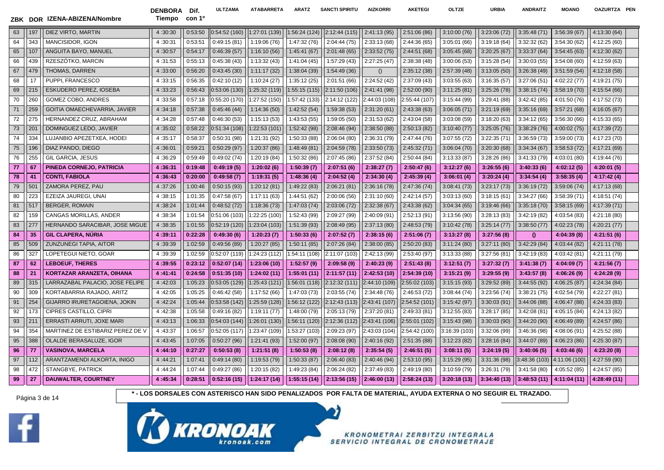DENBORA Dif. Tiempo con 1º **ULTZAMA ATABARRETA ARATZ SANCTI SPIRITU AIZKORRI AKETEGI OLTZE URBIA ANDRAITZ MOANO OAZURTZA PEN**

| 63 | 197             | DIEZ VIRTO, MARTIN                    | 4:30:30 | 0:53:50 | 0:54:52(160) | 1:27:01 (139) | 1:56:24 (124) | 2:12:44 (115) | 2:41:13(95)   | 2:51:06 (86)  | 3:10:00(76)   | 3:23:06(72)  | 3:35:48(71)   | 3:56:39(67)   | 4:13:30 (64) |
|----|-----------------|---------------------------------------|---------|---------|--------------|---------------|---------------|---------------|---------------|---------------|---------------|--------------|---------------|---------------|--------------|
| 64 | 343             | MANCISIDOR, IGON                      | 4:30:31 | 0:53:51 | 0:49:15(81)  | 1:19:06 (76)  | 1:47:32 (76)  | 2:04:44 (75)  | 2:33:13(68)   | 2:44:36 (65)  | 3:05:01(66)   | 3:19:18(64)  | 3:32:32(62)   | 3:54:30(62)   | 4:12:25(60)  |
| 65 | 107             | ANGUITA BAYO, MANUEL                  | 4:30:57 | 0:54:17 | 0:46:39(57)  | 1:16:10(56)   | 1:45:41(67)   | 2:01:48(65)   | 2:33:52(75)   | 2:44:51 (68)  | 3:05:45(68)   | 3:20:25(67)  | 3:33:37(64)   | 3:54:45(63)   | 4:12:30 (62) |
| 66 | 439             | RZESZÓTKO, MARCIN                     | 4:31:53 | 0:55:13 | 0:45:38(43)  | 1:13:32(43)   | 1:41:04(45)   | 1:57:29 (43)  | 2:27:25(47)   | 2:38:38 (48)  | 3:00:06(53)   | 3:15:28(54)  | 3:30:03(55)   | 3:54:08(60)   | 4:12:59 (63) |
| 67 | 479             | THOMAS, DARREN                        | 4:33:00 | 0:56:20 | 0:43:45(30)  | 1:11:17(32)   | 1:38:04 (39)  | 1:54:49 (36)  | ()            | 2:35:12(38)   | 2:57:39 (48)  | 3:13:05(50)  | 3:26:38(49)   | 3:51:59(54)   | 4:12:18 (58) |
| 68 | 17              | PUPPI, FRANCESCO                      | 4:33:15 | 0:56:35 | 0:42:10(12)  | 1:10:24(27)   | 1:35:12 (25)  | 2:01:51(66)   | 2:24:52 (42)  | 2:37:09 (43)  | 3:03:55(63)   | 3:16:35(57)  | 3:27:06(51)   | 4:02:22 (77)  | 4:19:21 (75) |
| 69 | 215             | <b>ESKUDERO PEREZ, IOSEBA</b>         | 4:33:23 | 0:56:43 | 0:53:06(130) | 1:25:32 (119) | 1:55:15(115)  | 2:11:50 (106) | 2:41:41 (98)  | 2:52:00(90)   | 3:11:25(81)   | 3:25:26(78)  | 3:38:15(74)   | 3:58:19(70)   | 4:15:54 (66) |
| 70 | 260             | GOMEZ COBO, ANDRES                    | 4:33:58 | 0:57:18 | 0:55:20(170) | 1:27:52 (150) | 1:57:42 (133) | 2:14:12 (122) | 2:44:03 (108) | 2:55:44 (107) | 3:15:44(99)   | 3:29:41(88)  | 3:42:42(85)   | 4:01:50 (76)  | 4:17:52 (73) |
| 71 | 259             | GOITIA OMAECHEVARRIA, JAVIER          | 4:34:18 | 0:57:38 | 0:45:46(44)  | 1:14:36(50)   | 1:42:52(54)   | 1:59:38 (53)  | 2:31:20(61)   | 2:43:38(63)   | 3:06:05(71)   | 3:21:19(69)  | 3:35:16(69)   | 3:57:21(68)   | 4:16:05 (67) |
| 72 | 275             | HERNANDEZ CRUZ, ABRAHAM               | 4:34:28 | 0:57:48 | 0:46:30(53)  | 1:15:13(53)   | 1:43:53(55)   | 1:59:05 (50)  | 2:31:53(62)   | 2:43:04 (58)  | 3:03:08(59)   | 3:18:20(63)  | 3:34:12(65)   | 3:56:30(66)   | 4:15:33 (65) |
| 73 | 201             | DOMINGUEZ LEDO, JAVIER                | 4:35:02 | 0:58:22 | 0:51:34(108) | 1:22:53 (101  | 1:52:42 (98)  | 2:08:46 (94)  | 2:38:50 (88)  | 2:50:13(82)   | 3:10:40(77)   | 3:25:05(76)  | 3:38:29(76)   | 4:00:02 (75)  | 4:17:39 (72) |
| 74 | 334             | LUJANBIO APEZETXEA, HODEI             | 4:35:17 | 0:58:37 | 0:50:31(98)  | 1:21:31 (92)  | 1:50:33 (88)  | 2:06:04(80)   | 2:36:31 (79)  | 2:47:44 (76)  | 3:07:55(72)   | 3:22:35(71)  | 3:36:59(73)   | 3:59:00 (73)  | 4:17:23 (70) |
| 75 | 196             | DIAZ PANDO, DIEGO                     | 4:36:01 | 0:59:21 | 0:50:29(97)  | 1:20:37 (86)  | 1:48:49(81)   | 2:04:59 (78)  | 2:33:50(73)   | 2:45:32 (71)  | 3:06:04(70)   | 3:20:30(68)  | 3:34:34(67)   | 3:58:53(72)   | 4:17:21 (69) |
| 76 | 255             | <b>GIL GARCIA, JESUS</b>              | 4:36:29 | 0:59:49 | 0:49:02 (74) | 1:20:19 (84)  | 1:50:32 (86)  | 2:07:45 (86)  | 2:37:52 (84)  | 2:50:44 (84)  | 3:13:33(87)   | 3:28:26 (86) | 3:41:33(79)   | 4:03:01 (80)  | 4:19:44 (76) |
| 77 | 67              | PINEDA CORNEJO, PATRICIA              | 4:36:31 | 0:19:48 | 0:49:19(5)   | 1:20:02(6)    | 1:50:39(7)    | 2:07:51(6)    | 2:38:27(7)    | 2:50:47(6)    | 3:12:27(6)    | 3:26:55(6)   | 3:40:33(6)    | 4:02:12 (5)   | 4:20:01 (5)  |
| 78 | 41              | <b>CONTI, FABIOLA</b>                 | 4:36:43 | 0:20:00 | 0:49:58(7)   | 1:19:31(5)    | 1:48:36(4)    | 2:04:52(4)    | 2:34:30(4)    | 2:45:39(4)    | 3:06:01(4)    | 3:20:24(4)   | 3:34:54(4)    | 3:58:35(4)    | 4:17:42 (4)  |
| 79 | 50 <sup>°</sup> | ZAMORA PEREZ, PAU                     | 4:37:26 | 1:00:46 | 0:50:15(93)  | 1:20:12(81)   | 1:49:22 (83)  | 2:06:21(81)   | 2:36:16 (78)  | 2:47:36 (74)  | 3:08:41(73)   | 3:23:17(73)  | 3:36:19(72)   | 3:59:06(74)   | 4:17:13 (68) |
| 80 | 223             | EZEIZA JAUREGI, UNAI                  | 4:38:15 | 1:01:35 | 0:47:58(67)  | 1:17:11(63)   | 1:44:51 (62)  | 2:00:06(56)   | 2:31:10(60)   | 2:42:14 (57)  | 3:03:13(60)   | 3:18:15(61)  | 3:34:27(66)   | 3:58:39 (71)  | 4:18:51 (74) |
| 81 | 517             | <b>BERGER, ROMAIN</b>                 | 4:38:24 | 1:01:44 | 0:48:52(72)  | 1:18:36 (73)  | 1:47:03 (74)  | 2:03:06 (72)  | 2:32:38(67)   | 2:43:38 (62)  | 3:04:34(65)   | 3:19:46(66)  | 3:35:18(70)   | 3:58:15(69)   | 4:17:39 (71) |
| 82 | 159             | CANGAS MORILLAS, ANDER                | 4:38:34 | 1:01:54 | 0:51:06(103) | 1:22:25 (100) | 1:52:43 (99)  | 2:09:27 (99)  | 2:40:09 (91)  | 2:52:13 (91)  | 3:13:56(90)   | 3:28:13(83)  | 3:42:19(82)   | 4:03:54 (83)  | 4:21:18 (80) |
| 83 | 277             | <b>HERNANDO SARACIBAR, JOSE MIGUE</b> | 4:38:35 | 1:01:55 | 0:52:19(120) | 1:23:04 (103) | 1:51:39 (93)  | 2:08:49 (95)  | 2:37:13(80)   | 2:48:53 (79)  | 3:10:42(78)   | 3:25:14(77)  | 3:38:50(77)   | 4:02:23 (78)  | 4:20:21 (77) |
| 84 | 35              | <b>GIL CLAPERA, NÚRIA</b>             | 4:39:11 | 0:22:28 | 0:49:30(6)   | 1:20:23(7)    | 1:50:33(6)    | 2:07:52(7)    | 2:38:15(6)    | 2:51:06(7)    | 3:13:27(8)    | 3:27:56(8)   | $\theta$      | 4:04:39 (8)   | 4:21:51(6)   |
| 85 | 509             | <b>ZUNZUNEGI TAPIA, AITOR</b>         | 4:39:39 | 1:02:59 | 0:49:56(89)  | 1:20:27 (85)  | 1:50:11(85)   | 2:07:26 (84)  | 2:38:00(85)   | 2:50:20 (83)  | 3:11:24(80)   | 3:27:11(80)  | 3:42:29 (84)  | 4:03:44 (82)  | 4:21:11 (78) |
| 86 | 327             | LOPETEGUI NIETO, GOAR                 | 4:39:39 | 1:02:59 | 0:52:07(119) | 1:24:23 (112) | 1:54:11 (108) | 2:11:07 (103) | 2:42:13 (99)  | 2:53:40 (97)  | 3:13:33(88)   | 3:27:56(81)  | 3:42:19(83)   | 4:03:42 (81)  | 4:21:11 (79) |
| 87 | 62              | <b>LEBOEUF, THERES</b>                | 4:39:55 | 0:23:12 | 0:52:07(14)  | 1:23:06 (10)  | 1:52:57(9)    | 2:09:58(9)    | 2:40:23(9)    | 2:51:43(8)    | 3:12:51(7)    | 3:27:32(7)   | 3:41:38(7)    | 4:04:09 (7)   | 4:21:56(7)   |
| 88 | 21              | <b>KORTAZAR ARANZETA, OIHANA</b>      | 4:41:41 | 0:24:58 | 0:51:35(10)  | 1:24:02 (11)  | 1:55:01 (11)  | 2:11:57(11)   | 2:42:53(10)   | 2:54:39 (10)  | 3:15:21(9)    | 3:29:55(9)   | 3:43:57(8)    | 4:06:26 (9)   | 4:24:28 (9)  |
| 89 | 315             | LARRAZABAL PALACIO, JOSE FELIPE       | 4:42:03 | 1:05:23 | 0:53:05(129) | 1:25:43 (121) | 1:56:01 (118) | 2:12:32 (111) | 2:44:10 (109) | 2:55:02 (103) | 3:15:15(93)   | 3:29:52(89)  | 3:44:55 (92)  | 4:06:25(87)   | 4:24:34 (84) |
| 90 | 309             | KORTABARRIA RAJADO, ARITZ             | 4:42:05 | 1:05:25 | 0:46:42(58)  | 1:17:52 (66)  | 1:47:03 (73)  | 2:03:55(74)   | 2:34:48 (76)  | 2:46:53 (72)  | 3:08:44(74)   | 3:23:56(74)  | 3:38:21(75)   | 4:02:54 (79)  | 4:22:27 (81) |
| 91 | 254             | GIJARRO IRURETAGOIENA, JOKIN          | 4:42:24 | 1:05:44 | 0:53:58(142) | 1:25:59 (128) | 1:56:12 (122) | 2:12:43 (113) | 2:43:41 (107) | 2:54:52 (101) | 3:15:42(97)   | 3:30:03(91)  | 3:44:06(88)   | 4:06:47 (88)  | 4:24:33 (83) |
| 92 | 173             | CIPRES CASTILLO, CIPRI                | 4:42:38 | 1:05:58 | 0:49:16(82)  | 1:19:11(77)   | 1:48:00 (79)  | 2:05:13 (79)  | 2:37:20 (81)  | 2:49:33 (81)  | 3:12:55(83)   | 3:28:17(85)  | 3:42:08(81)   | 4:05:15 (84)  | 4:24:13 (82) |
| 93 | 211             | ERRASTI ARRUTI, JOXE MARI             | 4:43:13 | 1:06:33 | 0:54:03(144) | 1:26:01 (130) | 1:56:11(120)  | 2:12:36 (112) | 2:43:41 (106) | 2:55:01 (102) | 3:15:43(98)   | 3:30:03(90)  | 3:44:20 (90)  | 4:06:49 (89)  | 4:24:57 (86) |
| 94 | 354             | MARTINEZ DE ESTIBARIZ PEREZ DE \      | 4:43:37 | 1:06:57 | 0:52:05(117) | 1:23:47 (109) | 1:53:27 (103) | 2:09:23 (97)  | 2:43:03 (104) | 2:54:42 (100) | 3:16:39 (103) | 3:32:06 (99) | 3:46:36 (98)  | 4:08:06 (91)  | 4:25:52 (88) |
| 95 | 388             | OLALDE BERASALUZE, IGOR               | 4:43:45 | 1:07:05 | 0:50:27(96)  | 1:21:41 (93)  | 1:52:00 (97)  | 2:08:08 (90)  | 2:40:16 (92)  | 2:51:35(88)   | 3:12:23(82)   | 3:28:16(84)  | 3:44:07 (89)  | 4:06:23 (86)  | 4:25:30 (87) |
| 96 | -77             | <b>VASINOVA, MARCELA</b>              | 4:44:10 | 0:27:27 | 0:50:53(8)   | 1:21:51 (8)   | 1:50:53(8)    | 2:08:12(8)    | 2:35:54(5)    | 2:46:51(5)    | 3:08:11(5)    | 3:24:19(5)   | 3:40:06(5)    | 4:03:46 (6)   | 4:23:20 (8)  |
| 97 | 112             | ARANTZAMENDI ALKORTA, INIGO           | 4:44:21 | 1:07:41 | 0:49:14(80)  | 1:19:53 (79)  | 1:50:33 (87)  | 2:06:40 (83)  | 2:40:46 (94)  | 2:53:10 (95)  | 3:15:29(95)   | 3:31:36(98)  | 3:48:36 (103) | 4:11:06 (100) | 4:27:59 (90) |
| 98 | 472             | STANGBYE, PATRICK                     | 4:44:24 | 1:07:44 | 0:49:27(86)  | 1:20:15 (82)  | 1:49:23 (84)  | 2:06:24(82)   | 2:37:49 (83)  | 2:49:19 (80)  | 3:10:59(79)   | 3:26:31(79)  | 3:41:58(80)   | 4:05:52 (85)  | 4:24:57 (85) |
| 99 | 27              | <b>DAUWALTER, COURTNEY</b>            | 4:45:34 | 0:28:51 | 0:52:16(15)  | 1:24:17 (14)  | 1:55:15(14)   | 2:13:56(15)   | 2:46:00 (13)  | 2:58:24(13)   | 3:20:18(13)   | 3:34:40(13)  | 3:48:53(11)   | 4:11:04 (11)  | 4:28:49 (11) |



Página 3 de 14 **1999 12 12 13 de 14 \* - LOS DORSALES CON ASTERISCO HAN SIDO PENALIZADOS POR FALTA DE MATERIAL, AYUDA EXTERNA O NO SEGUIR EL TRAZADO.** 

D)

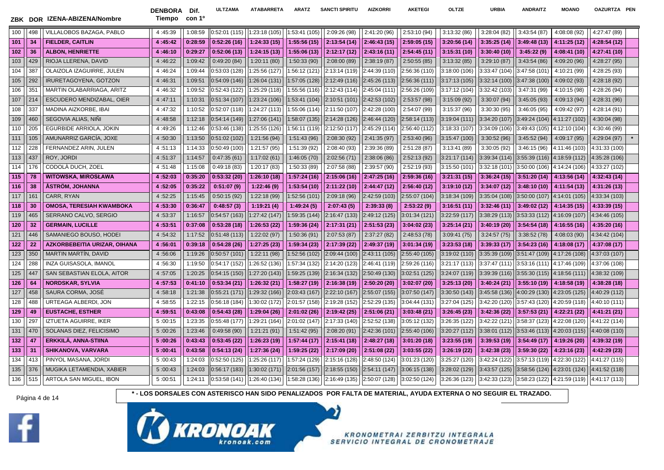DENBORA Dif. Tiempo con 1º **ULTZAMA ATABARRETA ARATZ SANCTI SPIRITU AIZKORRI AKETEGI OLTZE URBIA ANDRAITZ MOANO OAZURTZA PEN**

| 100 | 498 | VILLALOBOS BAZAGA, PABLO            | 4:45:39 | 1:08:59 | 0:52:01 (115) | 1:23:18 (105) | 1:53:41 (105) | 2:09:26 (98)  | 2:41:20 (96)  | 2:53:10 (94)  | 3:13:32(86)   | 3:28:04(82)   | 3:43:54(87)                 | 4:08:08 (92)                                 | 4:27:47 (89)  |  |
|-----|-----|-------------------------------------|---------|---------|---------------|---------------|---------------|---------------|---------------|---------------|---------------|---------------|-----------------------------|----------------------------------------------|---------------|--|
| 101 | 34  | <b>FIELDER, CAITLIN</b>             | 4:45:42 | 0:28:59 | 0:52:26(16)   | 1:24:33(15)   | 1:55:56(15)   | 2:13:54(14)   | 2:46:43(15)   | 2:59:05(15)   | 3:20:56(14)   | 3:35:25(14)   | 3:49:48(13)                 | 4:11:25 (12)                                 | 4:28:54 (12)  |  |
| 102 | 36  | <b>ALBON, HENRIETTE</b>             | 4:46:10 | 0:29:27 | 0:52:06(13)   | 1:24:15(13)   | 1:55:06(13)   | 2:12:17 (12)  | 2:43:16(11)   | 2:54:45(11)   | 3:15:31(10)   | 3:30:40(10)   | 3:45:22(9)                  | 4:08:41 (10)                                 | 4:27:41 (10)  |  |
| 103 | 429 | RIOJA LLERENA, DAVID                | 4:46:22 | 1:09:42 | 0:49:20(84)   | 1:20:11 (80)  | 1:50:33 (90)  | 2:08:00 (89)  | 2:38:19(87)   | 2:50:55(85)   | 3:13:32(85)   | 3:29:10(87)   | 3:43:54(86)                 | 4:09:20 (96)                                 | 4:28:27 (95)  |  |
| 104 | 387 | OLAIZOLA IZAGUIRRE, JULEN           | 4:46:24 | 1:09:44 | 0:53:03 (128) | 1:25:56 (127) | 1:56:12 (121) | 2:13:14 (119) | 2:44:39 (110) | 2:56:36 (110) | 3:18:00 (106) | 3:33:47 (104) | 3:47:58 (101)               | 4:10:21 (99)                                 | 4:28:25 (93)  |  |
| 105 | 292 | IRURETAGOYENA, GOTZON               | 4:46:31 | 1:09:51 | 0:54:09(146)  | 1:26:04 (131) | 1:57:05 (128) | 2:12:49 (116) | 2:45:26 (113) | 2:56:36 (111) | 3:17:13 (105) | 3:32:14(100)  | 3:47:38 (100)               | 4:09:02 (93)                                 | 4:28:18 (92)  |  |
| 106 | 351 | MARTIN OLABARRIAGA, ARITZ           | 4:46:32 | 1:09:52 | 0:52:43 (122) | 1:25:29 (118) | 1:55:56 (116) | 2:12:43 (114) | 2:45:04 (111) | 2:56:26 (109) | 3:17:12 (104) | 3:32:42 (103) | 3:47:31 (99)                | 4:10:15 (98)                                 | 4:28:26 (94)  |  |
| 107 | 214 | <b>ESCUDERO MENDIZABAL, OIER</b>    | 4:47:11 | 1:10:31 | 0:51:34(107)  | 1:23:24 (106) | 1:53:41 (104) | 2:10:51 (101) | 2:42:53(102)  | 2:53:57 (98)  | 3:15:09(92)   | 3:30:07(94)   | 3:45:05(93)                 | 4:09:13 (94)                                 | 4:28:31 (96)  |  |
| 108 | 337 | MADINA AIZKORBE. IBAI               | 4:47:32 | 1:10:52 | 0:52:07(118)  | 1:24:27 (113) | 1:55:06 (114) | 2:11:50 (107) | 2:42:28 (100) | 2:54:07 (99)  | 3:15:37(96)   | 3:30:30(95)   | 3:46:05(95)                 | 4:09:42 (97)                                 | 4:28:14 (91)  |  |
| 109 | 460 | SEGOVIA ALIAS, NINI                 | 4:48:58 | 1:12:18 | 0:54:14(149)  | 1:27:06 (141) | 1:58:07(135)  | 2:14:28 (126) | 2:46:44 (120) | 2:58:14 (113) | 3:19:04 (111) | 3:34:20 (107) | 3:49:24 (104)               | 4:11:27 (102)                                | 4:30:04 (98)  |  |
| 110 | 205 | EGURBIDE ARRIOLA, JOKIN             | 4:49:26 | 1:12:46 | 0:53:46(138)  | 1:25:55 (126) | 1:56:11 (119) | 2:12:50 (117) | 2:45:29 (114) | 2:56:40 (112) | 3:18:33 (107) | 3:34:09 (106) | 3:49:43 (105)               | 4:12:10 (104)                                | 4:30:46 (99)  |  |
| 111 | 105 | AMUNARRIZ GARCÍA, JOXE              | 4:50:30 | 1:13:50 | 0:51:02(102)  | 1:21:56 (94)  | 1:51:43 (96)  | 2:08:30 (92)  | 2:41:35(97)   | 2:53:40 (96)  | 3:15:47 (100) | 3:30:52(96)   | 3:45:52(94)                 | 4:09:17 (95)                                 | 4:29:04 (97)  |  |
| 112 | 228 | FERNANDEZ ARIN, JULEN               | 4:51:13 | 1:14:33 | 0:50:49(100)  | 1:21:57 (95)  | 1:51:39 (92)  | 2:08:40 (93)  | 2:39:36 (89)  | 2:51:28 (87)  | 3:13:41(89)   | 3:30:05(92)   | 3:46:15(96)                 | 4:11:46 (103)                                | 4:31:33 (100) |  |
| 113 | 437 | ROY, JORDI                          | 4:51:37 | 1:14:57 | 0:47:35(61)   | 1:17:02 (61)  | 1:46:05 (70)  | 2:02:56 (71)  | 2:38:06 (86)  | 2:52:13(92)   | 3:21:17(114)  | 3:39:34 (114) | 3:55:39 (116) 4:18:59 (112) |                                              | 4:35:28 (106) |  |
| 114 | 176 | CODOLÀ DUCH, ZOEL                   | 4:51:48 | 1:15:08 | 0:49:18(83)   | 1:20:17 (83)  | 1:50:33 (89)  | 2:07:58 (88)  | 2:39:57 (90)  | 2:52:19 (93)  | 3:15:50 (101) | 3:32:18 (101) | 3:50:00 (106)               | 4:14:24 (106)                                | 4:33:27 (102) |  |
| 115 | 78  | <b>WITOWSKA, MIROSŁAWA</b>          | 4:52:03 | 0:35:20 | 0:53:32(20)   | 1:26:10 (18)  | 1:57:24(16)   | 2:15:06 (16)  | 2:47:25 (16)  | 2:59:36 (16)  | 3:21:31(15)   | 3:36:24(15)   | $3:51:20(14)$ 4:13:56 (14)  |                                              | 4:32:43 (14)  |  |
| 116 | 38  | <b>ÁSTRÖM, JOHANNA</b>              | 4:52:05 | 0:35:22 | 0:51:07(9)    | 1:22:46(9)    | 1:53:54(10)   | 2:11:22 (10)  | 2:44:47 (12)  | 2:56:40 (12)  | 3:19:10(12)   | 3:34:07(12)   | $3:48:10(10)$ 4:11:54 (13)  |                                              | 4:31:26 (13)  |  |
| 117 | 161 | CARR, RYAN                          | 4:52:25 | 1:15:45 | 0:50:15(92)   | 1:22:18 (99)  | 1:52:56 (101) | 2:09:18(96)   | 2:42:59 (103) | 2:55:07 (104) | 3:18:34 (109) | 3:35:04 (108) | 3:50:00 (107)               | 4:14:01 (105)                                | 4:33:34 (103) |  |
| 118 | 30  | <b>OMOSA, TERESIAH KWAMBOKA</b>     | 4:53:30 | 0:36:47 | 0:48:57(3)    | 1:19:21(4)    | 1:49:24(5)    | 2:07:43(5)    | 2:39:33(8)    | 2:53:22(9)    | 3:16:51(11)   | 3:32:46(11)   | 3:49:02(12)                 | 4:14:35(15)                                  | 4:33:39 (15)  |  |
| 119 | 465 | SERRANO CALVO, SERGIO               | 4:53:37 | 1:16:57 | 0:54:57(163)  | 1:27:42 (147) | 1:59:35 (144) | 2:16:47 (133) | 2:49:12 (125) | 3:01:34 (121) | 3:22:59 (117) | 3:38:29(113)  | 3:53:33 (112) 4:16:09 (107) |                                              | 4:34:46 (105) |  |
| 120 | 32  | <b>GERMAIN, LUCILLE</b>             | 4:53:51 | 0:37:08 | 0:53:28(18)   | 1:26:53 (22)  | 1:59:36 (24)  | 2:17:31(21)   | 2:51:53(23)   | 3:04:02(23)   | 3:25:14(21)   | 3:40:19(20)   | 3:54:54(18)                 | 4:16:55(16)                                  | 4:35:20 (16)  |  |
| 121 | 446 | SAMANIEGO BOUSO, HODEI              | 4:54:32 | 1:17:52 | 0:51:48(113)  | 1:22:02 (97)  | 1:50:36(91)   | 2:07:53(87)   | 2:37:27 (82)  | 2:48:53 (78)  | 3:09:41(75)   | 3:24:57(75)   | 3:38:52(78)                 | 4:08:03 (90)                                 | 4:34:42 (104) |  |
| 122 | 22  | <b>AZKORBEBEITIA URIZAR, OIHANA</b> | 4:56:01 | 0:39:18 | 0:54:28(26)   | 1:27:25(23)   | 1:59:34 (23)  | 2:17:39 (22)  | 2:49:37 (19)  | 3:01:34(19)   | 3:23:53(18)   | 3:39:33(17)   | 3:54:23(16)                 | 4:18:08 (17)                                 | 4:37:08 (17)  |  |
| 123 | 350 | <b>MARTIN MARTIN, DAVID</b>         | 4:56:06 | 1:19:26 | 0:50:57(101)  | 1:22:11 (98)  | 1:52:56 (102) | 2:09:44 (100) | 2:43:11 (105) | 2:55:40 (105) | 3:19:02 (110) | 3:35:39 (109) |                             | 3:51:47 (109) 4:17:26 (108)                  | 4:37:03 (107) |  |
| 124 | 288 | INZA GUISASOLA. IMANOL              | 4:56:30 | 1:19:50 | 0:54:17(152)  | 1:26:52 (136) | 1:57:34 (132) | 2:14:20 (123) | 2:46:41 (119) | 2:59:26 (116) | 3:21:17(113)  | 3:37:47 (111) |                             | 3:53:16 (111) 4:17:46 (109)                  | 4:37:06 (108) |  |
| 125 | 447 | SAN SEBASTIAN ELOLA, AITOR          | 4:57:05 | 1:20:25 | 0:54:15(150)  | 1:27:20 (143) | 1:59:25 (139) | 2:16:34 (132) | 2:50:49 (130) | 3:02:51 (125) | 3:24:07 (119) | 3:39:39(116)  |                             | $3:55:30(115)$ 4:18:56 (111)                 | 4:38:32 (109) |  |
| 126 | 64  | <b>NORDSKAR, SYLVIA</b>             | 4:57:53 | 0:41:10 | 0:53:34(21)   | 1:26:32(21)   | 1:58:27 (19)  | 2:16:38 (19)  | 2:50:20(20)   | 3:02:07(20)   | 3:25:13(20)   | 3:40:24(21)   | $3:55:10(19)$ 4:18:58 (19)  |                                              | 4:38:28 (18)  |  |
| 127 | 458 | SAURA CORMA, JOSÉ                   | 4:58:18 | 1:21:38 | 0:55:21(171)  | 1:29:32 (166) | 2:03:43 (167) | 2:22:10 (167) | 2:55:07 (155) | 3:07:50 (147) | 3:30:50 (143) | 3:45:58 (136) | 4:00:29 (130)               | 4:23:05 (125)                                | 4:40:29 (112) |  |
| 128 | 488 | URTEAGA ALBERDI, JON                | 4:58:55 | 1:22:15 | 0:56:18 (184) | 1:30:02 (172) | 2:01:57 (158) | 2:19:28 (152) | 2:52:29 (135) | 3:04:44 (131) | 3:27:04 (125) | 3:42:20 (120) | 3:57:43 (120)               | 4:20:59 (118)                                | 4:40:10 (111) |  |
| 129 | 49  | <b>EUSTACHE, ESTHER</b>             | 4:59:51 | 0:43:08 | 0:54:43(28)   | 1:29:04 (26)  | 2:01:02 (26)  | 2:19:42 (25)  | 2:51:06(21)   | 3:03:48(21)   | 3:26:45(23)   | 3:42:36(22)   |                             | $3:57:53(21)$ 4:22:21 (22)                   | 4:41:21 (21)  |  |
| 130 | 297 | IZTUETA AGUIRRE, IKER               | 5:00:15 | 1:23:35 | 0:55:48 (177) | 1:29:21 (164) | 2:01:02 (147) | 2:17:33 (140) | 2:52:52 (138) | 3:05:12 (132) | 3:26:35 (122) | 3:42:22 (121) |                             | $3:58:37(123)$ 4:22:08 (120)                 | 4:41:22 (114) |  |
| 131 | 470 | SOLANAS DIEZ. FELICISIMO            | 5:00:26 | 1:23:46 | 0:49:58(90)   | 1:21:21 (91)  | 1:51:42 (95)  | 2:08:20 (91)  | 2:42:36 (101) | 2:55:40 (106) | 3:20:27 (112) | 3:38:01 (112) |                             | $3:53:46(113)$ 4:20:03 (115)                 | 4:40:08 (110) |  |
| 132 | -47 | ERKKILÄ, ANNA-STIINA                | 5:00:26 | 0:43:43 | 0:53:45(22)   | 1:26:23 (19)  | 1:57:44(17)   | 2:15:41 (18)  | 2:48:27 (18)  | 3:01:20(18)   | 3:23:55(19)   | 3:39:53(19)   | 3:54:49(17)                 | 4:19:26 (20)                                 | 4:39:32 (19)  |  |
| 133 | 31  | <b>SHIKANOVA, VARVARA</b>           | 5:00:41 | 0:43:58 | 0:54:13(24)   | 1:27:36 (24)  | 1:59:25 (22)  | 2:17:09 (20)  | 2:51:08(22)   | 3:03:55(22)   | 3:26:19(22)   | 3:42:38(23)   | 3:59:30(22)                 | 4:23:16 (23)                                 | 4:42:29 (23)  |  |
| 134 | 413 | PINYOL MASANA, JORDI                | 5:00:43 | 1:24:03 | 0:52:50 (125) | 1:25:26 (117) | 1:57:24 (129) | 2:15:16 (128) | 2:48:50 (124) | 3:01:23 (120) | 3:25:27 (120) | 3:42:24 (122) | 3:57:13 (119)               | 4:22:30 (122)                                | 4:41:27 (115) |  |
| 135 | 376 | MUGIKA LETAMENDIA, XABIER           | 5:00:43 | 1:24:03 | 0:56:17(183)  | 1:30:02 (171) | 2:01:56 (157) | 2:18:55 (150) | 2:54:11(147)  | 3:06:15(138)  | 3:28:02 (129) | 3:43:57(125)  |                             | $3:58:56(124)$ 4:23:01 (124)                 | 4:41:52 (118) |  |
| 136 | 515 | ARTOLA SAN MIGUEL, IBON             | 5:00:51 | 1:24:11 | 0:53:58(141)  | 1:26:40 (134) | 1:58:28 (136) | 2:16:49 (135) | 2:50:07 (128) | 3:02:50(124)  | 3:26:36 (123) | 3:42:33(123)  |                             | $3:58:23(122)$ 4:21:59 (119)   4:41:17 (113) |               |  |



Página 4 de 14 **\* - LOS DORSALES CON ASTERISCO HAN SIDO PENALIZADOS POR FALTA DE MATERIAL, AYUDA EXTERNA O NO SEGUIR EL TRAZADO.**



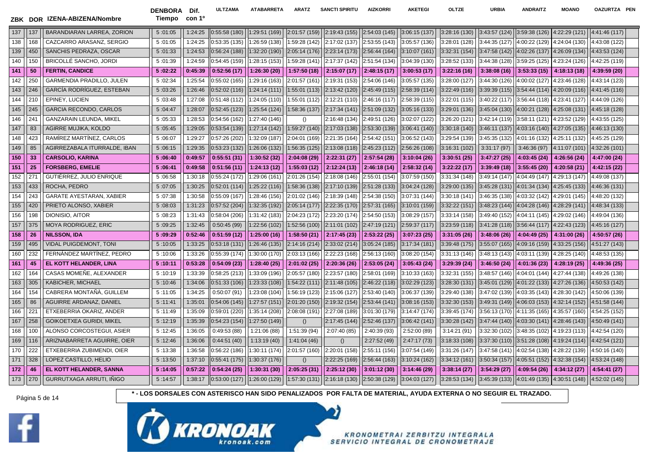DENBORA Dif. Tiempo con 1º

**ULTZAMA ATABARRETA ARATZ SANCTI SPIRITU AIZKORRI AKETEGI OLTZE URBIA ANDRAITZ MOANO OAZURTZA PEN**

| 137 | 137 | BARANDIARAN LARREA, ZORION       | 5:01:05 | 1:24:25 | 0:55:58(180)  | 1:29:51 (169) | 2:01:57 (159) | 2:19:43 (155) | 2:54:03 (145) | 3:06:15 (137) | 3:28:16(130)  | 3:43:57(124)  | $3:59:38(126)$ 4:22:29 (121)                  |              | 4:41:46 (117) |
|-----|-----|----------------------------------|---------|---------|---------------|---------------|---------------|---------------|---------------|---------------|---------------|---------------|-----------------------------------------------|--------------|---------------|
| 138 | 168 | CAZCARRO ARASANZ, SERGIO         | 5:01:05 | 1:24:25 | 0:53:35(135)  | 1:26:59 (138) | 1:59:28 (142) | 2:17:02 (137) | 2:53:55 (143) | 3:05:57 (136) | 3:28:01 (128) | 3:44:35 (127) | 4:00:22 (129) 4:24:04 (130)                   |              | 4:43:08 (122) |
| 139 | 450 | SANCHIS PEDRAZA, OSCAR           | 5:01:33 | 1:24:53 | 0:56:24(188)  | 1:32:20 (190) | 2:05:14 (176) | 2:23:14 (173) | 2:56:44 (164) | 3:10:07 (161) | 3:32:31 (154) | 3:47:58(142)  | 4:02:26 (137) 4:26:09 (134)                   |              | 4:43:53 (124) |
| 140 | 150 | <b>BRICOLLE SANCHO, JORDI</b>    | 5:01:39 | 1:24:59 | 0:54:45 (159) | 1:28:15 (153) | 1:59:28 (141) | 2:17:37 (142) | 2:51:54 (134) | 3:04:39 (130) | 3:28:52 (133) | 3:44:38(128)  | 3:59:25 (125) 4:23:24 (126)                   |              | 4:42:25 (119) |
| 141 | 50  | <b>FERTIN, CANDICE</b>           | 5:02:22 | 0:45:39 | 0:52:56(17)   | 1:26:30 (20)  | 1:57:50 (18)  | 2:15:07(17)   | 2:48:15(17)   | 3:00:53(17)   | 3:22:16(16)   | 3:38:08(16)   | 3:53:33 (15)    4:18:13 (18)                  |              | 4:39:59 (20)  |
| 142 | 250 | <b>GARMENDIA PRADILLO, JULEN</b> | 5:02:34 | 1:25:54 | 0:55:02 (165) | 1:29:16 (163) | 2:01:57 (161) | 2:19:31 (153) | 2:54:06 (146) | 3:05:57 (135) | 3:28:00 (127) | 3:44:30 (126) | 4:00:02 (127) 4:23:46 (128)                   |              | 4:43:14 (123) |
| 143 | 246 | GARCÍA RODRÍGUEZ, ESTEBAN        | 5:03:26 | 1:26:46 | 0:52:02 (116) | 1:24:14 (111) | 1:55:01(113)  | 2:13:42 (120) | 2:45:49 (115) | 2:58:39 (114) | 3:22:49 (116) | 3:39:39(115)  | $3:54:44(114)$ 4:20:09 (116)                  |              | 4:41:45 (116) |
| 144 | 210 | EPINEY, LUCIEN                   | 5:03:48 | 1:27:08 | 0:51:48 (112) | 1:24:05 (110) | 1:55:01 (112) | 2:12:21 (110) | 2:46:16 (117) | 2:58:39 (115) | 3:22:01(115)  | 3:40:22 (117) | 3:56:44 (118) 4:23:41 (127)                   |              | 4:44:09 (126) |
| 145 | 245 | <b>GARCIA RECONDO, CARLOS</b>    | 5:04:47 | 1:28:07 | 0:52:45(123)  | 1:25:54 (124) | 1:58:36 (137) | 2:17:34(141)  | 2:51:09 (132) | 3:05:16 (133) | 3:29:01 (136) | 3:45:04 (130) | 4:00:21 (128) 4:25:08 (131)                   |              | 4:45:18 (128) |
| 146 | 241 | <b>GANZARAIN LEUNDA, MIKEL</b>   | 5:05:33 | 1:28:53 | 0:54:56 (162) | 1:27:40 (146) |               | 2:16:48 (134) | 2:49:51 (126) | 3:02:07 (122) | 3:26:20 (121) | 3:42:14(119)  | 3:58:11 (121) 4:23:52 (129)                   |              | 4:43:55 (125) |
| 147 | 83  | AGIRRE MUJIKA, KOLDO             | 5:05:45 | 1:29:05 | 0:53:54(139)  | 1:27:14 (142) | 1:59:27 (140) | 2:17:03 (138) | 2:53:30 (139) | 3:06:41 (140) | 3:30:18 (140) | 3:46:11 (137) | 4:03:16 (140) 4:27:05 (135)                   |              | 4:46:13 (130) |
| 148 | 423 | RAMÍREZ MARTÍNEZ, CARLOS         | 5:06:07 | 1:29:27 | 0:57:26 (202) | 1:32:09 (187) | 2:04:01 (169) | 2:21:35 (164) | 2:54:42 (151) | 3:06:52 (143) | 3:29:54 (139) | 3:45:35 (132) | 4:01:16 (132) 4:25:11 (132)                   |              | 4:45:25 (129) |
| 149 | 85  | AGIRREZABALA ITURRALDE. IBAN     | 5:06:15 | 1:29:35 | 0:53:23(132)  | 1:26:06 (132) | 1:56:35 (125) | 2:13:08 (118) | 2:45:23 (112) | 2:56:26 (108) | 3:16:31 (102) | 3:31:17(97)   | 3:46:36(97)                                   | 4:11:07(101) | 4:32:26 (101) |
| 150 | 33  | <b>CARSOLIO, KARINA</b>          | 5:06:40 | 0:49:57 | 0:55:51(31)   | 1:30:52 (32)  | 2:04:08(29)   | 2:22:31(27)   | 2:57:54 (28)  | 3:10:04(26)   | 3:30:51(25)   | 3:47:27(25)   | 4:03:45 (24)                                  | 4:26:56 (24) | 4:47:00 (24)  |
| 151 | 25  | <b>FORSBERG, EMELIE</b>          | 5:06:41 | 0:49:58 | 0:51:56(11)   | 1:24:13 (12)  | 1:55:03(12)   | 2:12:24(13)   | 2:46:18(14)   | 2:58:32 (14)  | 3:22:22(17)   | 3:39:49(18)   | 3:55:45(20)                                   | 4:20:58 (21) | 4:42:15 (22)  |
| 152 | 271 | GUTIERREZ, JULIO ENRIQUE         | 5:06:58 | 1:30:18 | 0:55:24 (172) | 1:29:06 (161) | 2:01:26 (154) | 2:18:08 (146) | 2:55:01 (154) | 3:07:59 (150) | 3:31:34 (148) | 3:49:14 (147) | 4:04:49 (147) 4:29:13 (147)                   |              | 4:49:08 (137) |
| 153 | 433 | ROCHA, PEDRO                     | 5:07:05 | 1:30:25 | 0:52:01(114)  | 1:25:22 (116) | 1:58:36 (138) | 2:17:10 (139) | 2:51:28 (133) | 3:04:24 (128) | 3:29:00 (135) | 3:45:28 (131) | 4:01:34 (134) 4:25:45 (133)                   |              | 4:46:36 (131) |
| 154 | 243 | <b>GARATE AYESTARAN, XABIER</b>  | 5:07:38 | 1:30:58 | 0:55:09 (167) | 1:28:46 (156) | 2:01:02 (146) | 2:18:39 (148) | 2:54:38 (150) | 3:07:31 (144) | 3:30:18 (141) | 3:46:35 (138) | 4:03:32 (142) 4:29:01 (145)                   |              | 4:48:20 (132) |
| 155 | 420 | PRIETO ALONSO, XABIER            | 5:08:03 | 1:31:23 | 0:57:52(204)  | 1:32:35 (192) | 2:05:14 (177) | 2:22:35 (170) | 2:57:31 (165) | 3:10:01 (159) | 3:32:22 (151) | 3:48:23 (144) | 4:04:28 (146) 4:28:29 (141)                   |              | 4:48:34 (133) |
| 156 | 198 | DIONISIO, AITOR                  | 5:08:23 | 1:31:43 | 0:58:04 (206) | 1:31:42 (183) | 2:04:23 (172) | 2:23:20 (174) | 2:54:50 (153) | 3:08:29 (157) | 3:33:14 (158) | 3:49:40 (152) | 4:04:11 (145) 4:29:02 (146)                   |              | 4:49:04 (136) |
| 157 | 375 | <b>MOYA RODRIGUEZ, ERIC</b>      | 5:09:25 | 1:32:45 | 0:50:45(99)   | 1:22:56 (102) | 1:52:56 (100) | 2:11:01 (102) | 2:47:19 (121) | 2:59:37 (117) | 3:23:59(118)  | 3:41:28(118)  | 3:56:44 (117)   4:22:43 (123)                 |              | 4:45:16 (127) |
| 158 | 26  | <b>NILSSON, IDA</b>              | 5:09:29 | 0:52:46 | 0:51:59(12)   | 1:25:00 (16)  | 1:58:50(21)   | 2:17:45 (23)  | 2:53:22(25)   | 3:07:23(25)   | 3:31:05(26)   | 3:48:06(26)   | $4:04:49(25)$ 4:31:00 (26)                    |              | 4:50:57 (26)  |
| 159 | 495 | <b>VIDAL PUIGDEMONT, TONI</b>    | 5:10:05 | 1:33:25 | 0:53:18(131)  | 1:26:46 (135) | 2:14:16 (214) | 2:33:02 (214) | 3:05:24 (185) | 3:17:34 (181  | 3:39:48 (175) | 3:55:07 (165) | 4:09:16 (159) 4:33:25 (156)                   |              | 4:51:27 (143) |
| 160 | 232 | FERNÁNDEZ MARTÍNEZ, PEDRO        | 5:10:06 | 1:33:26 | 0:55:39 (174) | 1:30:00 (170) | 2:03:13 (166) | 2:22:23 (168) | 2:56:13 (160) | 3:08:20 (154) | 3:31:13 (146) | 3:48:13 (143) | 4:03:11 (139) 4:28:25 (140)                   |              | 4:48:53 (135) |
| 161 | 45  | EL KOTT HELANDER, LINA           | 5:10:11 | 0:53:28 | 0:54:09(23)   | 1:28:40 (25)  | 2:01:02(25)   | 2:20:36 (26)  | 2:53:05(24)   | 3:05:43(24)   | 3:29:39(24)   | 3:46:50(24)   | $4:01:36(23)$ 4:28:19 (25)                    |              | 4:49:36 (25)  |
| 162 | 164 | CASAS MOMEÑE, ALEXANDER          | 5:10:19 | 1:33:39 | 0:58:25 (213) | 1:33:09 (196) | 2:05:57 (180) | 2:23:57 (180) | 2:58:01 (169) | 3:10:33 (163) | 3:32:31 (155) | 3:48:57 (146) | 4:04:01 (144) 4:27:44 (138)                   |              | 4:49:26 (138) |
| 163 | 305 | <b>KABICHER, MICHAEL</b>         | 5:10:46 | 1:34:06 | 0:51:33 (106) | 1:23:33 (108) | 1:54:22(111)  | 2:11:48 (105) | 2:46:22 (118) | 3:02:29 (123) | 3:28:30(131)  | 3:45:01 (129) | 4:01:22 (133) 4:27:26 (136)                   |              | 4:50:53 (142) |
| 164 | 154 | CABRERA MONTAÑA, GUILLEM         | 5:11:05 | 1:34:25 | 0:50:07(91)   | 1:23:08 (104) | 1:56:19 (123) | 2:15:06 (127) | 2:53:40 (140) | 3:06:37 (139) | 3:29:40 (138) | 3:47:02 (139) | 4:03:35 (143) 4:28:30 (142)                   |              | 4:50:06 (139) |
| 165 | 86  | AGUIRRE ARDANAZ, DANIEL          | 5:11:41 | 1:35:01 | 0:54:06 (145) | 1:27:57 (151) | 2:01:20 (150) | 2:19:32 (154) | 2:53:44 (141) | 3:08:16 (153) | 3:32:30(153)  | 3:49:31 (149) | 4:06:03 (153) 4:32:14 (152)                   |              | 4:51:58 (144) |
| 166 | 221 | ETXEBERRIA OKARIZ, ANDER         | 5:11:49 | 1:35:09 | 0:59:01 (220) | 1:35:14 (208) | 2:08:08 (191) | 2:27:08 (189) | 3:01:30 (179) | 3:14:47 (174) | 3:39:45 (174) | 3:56:13 (170) | 4:11:35 (165) 4:35:57 (160)                   |              | 4:54:25 (152) |
| 167 | 258 | <b>GOIKOETXEA GURIDI, MIKEL</b>  | 5:12:19 | 1:35:39 | 0:54:23 (154) | 1:27:50 (149) | ()            | 2:17:45 (144) | 2:52:46 (137) | 3:06:42 (141) | 3:30:28 (142) | 3:47:44(140)  | 4:03:30 (141) 4:28:46 (143)                   |              | 4:50:49 (141) |
| 168 | 100 | ALONSO CORCOSTEGUI, ASIER        | 5:12:45 | 1:36:05 | 0:49:53(88)   | 1:21:06 (88)  | 1:51:39 (94)  | 2:07:40 (85)  | 2:40:39 (93)  | 2:52:00 (89)  | 3:14:21(91)   | 3:32:30 (102) | 3:48:35 (102) 4:19:23 (113)                   |              | 4:42:54 (120) |
| 169 | 116 | ARIZNABARRETA AGUIRRE, OIER      | 5:12:46 | 1:36:06 | 0:44:51(40)   | 1:13:19(40)   | 1:41:04(46)   | ()            | 2:27:52 (49)  | 2:47:17(73)   | 3:18:33(108)  |               | 3:37:30 (110)   3:51:28 (108)   4:19:24 (114) |              | 4:42:54 (121) |
| 170 | 222 | ETXEBERRIA ZUBIMENDI, OIER       | 5:13:38 | 1:36:58 | 0:56:22(186)  | 1:30:11 (174) | 2:01:57 (160) | 2:20:01 (158) | 2:55:11 (156) | 3:07:54 (149) | 3:31:26 (147) | 3:47:58(141)  | 4:02:54 (138) 4:28:22 (139)                   |              | 4:50:16 (140) |
| 171 | 328 | LOPEZ CASTILLO, HELIO            | 5:13:50 | 1:37:10 | 0:55:41(175)  | 1:30:37 (176) | ()            | 2:22:25 (169) | 2:56:44 (163) | 3:10:24 (162) | 3:34:12 (161) | 3:50:34(157)  | 4:05:51 (152) 4:32:38 (154)                   |              | 4:53:24 (148) |
| 172 | 46  | EL KOTT HELANDER, SANNA          | 5:14:05 | 0:57:22 | 0:54:24(25)   | 1:30:31 (30)  | 2:05:25(31)   | 2:25:12 (30)  | 3:01:12(30)   | 3:14:46 (29)  | 3:38:14 (27)  | 3:54:29(27)   | 4:09:54 (26)                                  | 4:34:12 (27) | 4:54:41 (27)  |
| 173 | 270 | GURRUTXAGA ARRUTI, IÑIGO         | 5:14:57 | 1:38:17 | 0:53:00(127)  | 1:26:00 (129) | 1:57:30(131)  | 2:16:18(130)  | 2:50:38 (129) | 3:04:03 (127) | 3:28:53 (134) | 3:45:39(133)  | 4:01:49 (135)   4:30:51 (148)                 |              | 4:52:02 (145) |



Página 5 de 14 **\* - LOS DORSALES CON ASTERISCO HAN SIDO PENALIZADOS POR FALTA DE MATERIAL, AYUDA EXTERNA O NO SEGUIR EL TRAZADO.**

ท่



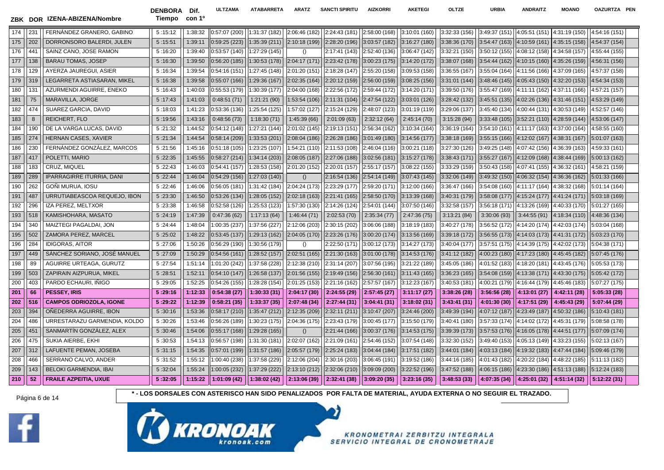



**KRONOMETRAI ZERBITZU INTEGRALA** SERVICIO INTEGRAL DE CRONOMETRAJE

Página 6 de 14 **\* - LOS DORSALES CON ASTERISCO HAN SIDO PENALIZADOS POR FALTA DE MATERIAL, AYUDA EXTERNA O NO SEGUIR EL TRAZADO.**

179 | 319 | LEGARRETA ASTIASARAN, MIKEL | 5:16:38 | 1:39:58 | 0:55:07 (166) | 1:29:36 (167) | 2:02:35 (164) | 2:02:12 (159) | 2:56:00 (159) | 3:08:25 (156) | 3:31:01 (144) | 3:48:46 (145) | 4:05:43 (150) | 4:32:20 (153) | 180 ||131 || AZURMENDI AGUIRRE, ENEKO || 5 :16:43 || 1:40:03 ||0:55:53 (179) ||1:30:39 (177) ||2:04:00 (168) ||2:22:56 (172) ||2:59:44 (172) ||3:14:20 (171) ||3:39:50 (176) ||3:55:47 (169) ||4:11:11 (162) ||4:37:11 (166) | 181 || 75 || MARAVILLA, JORGE || 5:17:43 || 5:17:43 || 1:41:03 || 0:48:51 (71) || 1:21:21 (90) ||1:53:54 (106)||2:11:31 (104)||2:47:54 (122)||3:03:01 (126)| 3:28:42 (132)||3:45:51 (135)||4:02:26 (136)||4:02:26 (136)||4:31: 182 ||474 || SUAREZ GARCIA, DAVID || 5 :18:03 || 1:41:23 ||0:53:36 (136)||1:25:54 (125)||1:57:02 (127)||2:15:24 (129)||2:48:07 (123)||3:01:19 (119)||3:29:06 (137)||3:45:40 (134)||4:00:44 (131)||4:30:53 (149)||4:52:57 (146) 183 || 8 || REICHERT, FLO || 5 :19:56 || 1:43:16 || 0:48:56 (73) || 1:18:30 (71) || 1:45:39 (66) || 2:01:09 (63) || 2:32:12 (64) || 2:45:14 (70) || 3:15:28 (94) ||3:33:48 (105)||3:52:21 (110)||4:28:59 ( 184 ||190 || DE LA VARGA LUCAS, DAVID || 5 :21:32 || 1:44:52 ||0:54:12 (148)||1:27:21 (144)||2:01:02 (145)||2:19:13 (151)||2:56:34 (162)||3:10:34 (164)||3:36:19 (164)||3:54:10 (161)||4:11:17 (163)||4:37:00 (164)||4:58:55 ( 185 ||274 || HERNAN CASES, XAVIER || 5:21:34 || 1:44:54 ||0:58:14 (209) ||1:33:53 (201) ||2:08:04 (186) ||3:01:49 (186) ||3:01:49 (180) ||3:14:56 (177) ||3:38:18 (169) ||3:55:15 (166) ||4:12:02 (167) ||4:38:31 (167) ||5:01 186 230 FERNÁNDEZ GONZÁLEZ, MARCOS 5 :21:56 1:45:16 0:51:18 (105) 1:23:25 (107) 1:54:21 (110) 2:11:53 (108) 2:46:04 (116) 3:00:21 (118) 3:27:30 (126) 3:49:25 (148) 4:07:42 (156) 4:36:39 (163) 4:59:33 (161) 187 || 417 || POLETTI, MARIO || 5:22:35 || 1:45:55 ||0:58:27 (214)||1:34:14 (203)||2:08:05 (187)||2:27:06 (188)||3:02:56 (181)||3:15:27 (178)||3:38:43 (171)||3:55:27 (167)||4:12:09 (168)||4:38:44 (169 188 ||183 || CRUZ, MIQUEL || 5 :22:43 || 1:46:03 ||0:54:41 (157) ||1:28:53 (158) ||2:01:20 (152) ||2:20:01 (157) ||2:55:17 (157) ||3:08:22 (159) ||3:33:29 (159) ||3:50:43 (158) ||4:07:41 (155) ||4:3 189 ||289 || IPARRAGIRRE ITURRIA, DANI || 5 :22:44 || 1:46:04 ||0:54:29 (156) ||1:27:03 (140) || () ||2:16:54 (136) ||2:54:14 (149) ||3:07:43 (145) ||3:32:06 (149) ||3:49:32 (150) ||4:06:32 (154) ||4:36:36 (162) ||5:01:3 190 ||262 || GONI MURUA, IOSU || 5 :22:46 || 1:46:06 ||0:56:05 (181) ||1:31:42 (184) ||2:04:24 (173) ||2:23:29 (177) ||2:59:20 (177) ||3:12:00 (166) ||3:36:47 (166) ||3:54:08 (160) ||4:11:17 (164) ||4:3 191 | 487 || URRUTIABEASCOA REQUEJO, IBON || 5:23:30 || 1:46:50 ||0:53:26 (134)||1:28:05 (152)||2:02:18 (163)||2:21:41 (165)||2:58:50 (170)||3:13:39 (168)||3:40:31 (169)||3:40:31 (179)||3:58:08 (177)||4:15:24 (177)||4:41:2 192 || 296 || IZA PEREZ, MELTXOR || 5:23:38 || 1:46:58 ||0:52:58 (126) ||1:25:53 (123) ||1:57:30 (130) ||2:14:26 (124) ||2:54:01 (144) ||3:07:50 (146) ||3:32:58 (157) ||3:56:18 (171) ||4:13:26 (169) ||4:40:33 (170) ||5:01: 193 ||518 || KAMISHOHARA, MASATO || 5 :24:19 || 5:24:19 || 1:47:39 || 0:47:36 (62) || 1:17:13 (64) || 1:46:44 (71) || 2:02:53 (70) || 2:35:34 (77) || 2:47:36 (75) || 3:13:21 (84) || 3:30:06 (93) || 3:44:55 (91) ||4:48:34 ( 194 || 340 || MAIZTEGI PAGALDAI, JON || 5:24:44 || 1:48:04 ||1:00:35 (237) ||1:37:56 (227) ||2:12:06 (203) ||2:30:15 (202) ||3:06:06 (188) ||3:18:19 (183) || 3:18:19 (183) || 3:40:27 (178) || 3:56:52 (172) ||4:14:20 (174) 195 || 502 || ZAMORA PEREZ, MARCEL || 5 :25:02 || 1:48:22 ||0:53:45 (137)||1:29:13 (162)||2:04:05 (170)||2:23:26 (176)||3:00:20 (174)||3:13:56 (169)||3:39:18 (172)||3:56:55 (173)||4:14:03 (173)||4:14:03 (173)||4:14:03 (173 196 ||284 || IDIGORAS, AITOR || 5 :27:06 || 1:50:26 ||0:56:29 (190) ||1:30:56 (179) || () ||2:22:50 (173) ||3:00:12 (173) ||3:14:27 (173) ||3:40:04 (177) ||3:57:51 (175) ||4:14:39 (175) 197 449 SÁNCHEZ SORIANO, JOSÉ MANUEL 5 :27:09 1:50:29 0:54:56 (161) 1:28:52 (157) 2:02:51 (165) 2:21:30 (163) 3:01:00 (178) 3:14:53 (176) 3:41:12 (182) 4:00:23 (180) 4:17:23 (180) 4:45:45 (182) 5:07:45 (176) 198 89 AGUIRRE URTEAGA, GURUTZ 5:27:54 || 1:51:14  $|1:01:20 (242)  $|1:37:58$  (228)  $|2:12:38$  (210)  $|2:31:14$  (207)  $|3:07:56$  (195)  $|3:21:22$  (189)  $|3:45:05$  (183)  $|4:01:52$  (183)  $|4:18:20$  (181)  $|4:43:45$  (176)  $|5$$ 199 ||503 || ZAPIRAIN AIZPURUA, MIKEL || 5 :28:51 || 1:52:11 ||0:54:10 (147) ||1:26:58 (137) ||2:01:56 (155) ||2:19:49 (156) ||2:56:30 (161) ||3:11:43 (165) ||3:11:43 (165) ||3:36:23 (165) ||3:54:08 (159) ||4:13:38 (171) | 200 ||403 || PARDO ECHAURI, INIGO || 5 :29:05 || 1:52:25 ||0:54:26 (155) ||1:28:28 (154) ||2:01:25 (153) ||2:01:25 (153) ||2:21:16 (162) ||2:57:57 (167) ||3:12:23 (167) ||3:40:53 (181) ||4:00:21 (179) ||4: 201 || 66 || PESSEY, IRIS || 5 :29:16 || 1:12:33 || 0:54:38 (27) || 1:30:33 (31) || 2:04:17 (30) || 2:24:55 (29) || 2:57:45 (27) || 3:11:17 (27) || 3:38:26 (28) || 3:56:56 (28) || 4:13:01 (27) || 4:42:11 (28) || 5 202 | 51316 | CAMPOS ODRIOZOLA, IGONE | 5:29:22 | 1:12:39 | 0:58:21 (35) | 1:33:37 (35) | 2:07:48 (34) | 2:27:44 (31) | 2:37:44 (31) | 3:18:02 (31) | 3:18:02 (31) | 3:43:41 (31) | 4:01:30 (30) | 4:17:51 (29) | 4:45:43 (29) 203 ||394 || ONEDERRA AGUIRRE, IBON ||5:10:43 (181)|1:53:36 ||0:58:17 (210)||1:35:47 (212)||2:12:35 (209)||2:32:11 (211)||3:10:47 (207)||3:24:46 (200)||3:49:39 (194)||4:07:12 (187)||4:23:49 (187)||4:50:32 (186)||5:10:43 (1 204 ||486 || URRESTARAZU GARMENDIA, KOLDO || 5:30:26 || 1:53:46 ||0:56:26 (189) ||1:30:23 (175) ||2:04:36 (175) ||2:23:43 (179) ||3:00:45 (177) ||3:15:50 (179) ||3:40:41 (180) ||3:57:33 (174) ||4:14:02 (172) ||4:45:31 (179 205 | 451 | | SANMARTÍN GONZÁLEZ, ALEX | | 5:30:46 | | 1:54:06 | 0:55:17 (168) | 1:29:28 (165) | | 0 | 2:21:44 (166) | 3:00:37 (176) | 3:14:53 (175) | 3:39:39 (173) | 3:57:53 (176) | 4:16:05 (178) | 4:44:51 (177) | 5:07:09 206 ||475 || SUKIA AIERBE, EKHI ||5:30:53 || 5:30:53 || 1:54:13 ||0:56:57 (198)||1:31:30 (181)||2:02:07 (162)||2:21:09 (161)||2:54:46 (152)||3:07:54 (148)||3:32:30 (152)||3:49:40 (153)||4:05:13 (149)||4:33:23 (155)||5:02:1 207 312 LAFUENTE PEMAN, JOSEBA 5:31:15 1:54:35 0:57:01 (199) 1:31:57 (186) 2:05:57 (179) 2:25:24 (183) 3:04:44 (184) 3:17:51 (182) 3:44:01 (184) 4:03:13 (184) 4:03:13 (184) 4:19:32 (183) 4:47:44 (184) 5:09:46 (179) 208 ||466 || SERRANO CALVO, ANDER ||5:11:13 (182) ||1:05:12 ||1:00:40 (238) ||1:37:58 (229) ||2:12:06 (204) ||2:30:16 (203) ||3:06:45 (191) ||3:19:52 (186) ||3:44:16 (185) ||4:01:43 (182) ||4:20:22 (184) ||4:48:22 (185) || 209 ||143 || BELOKI GARMENDIA, IBAI || 5 :32:04 ||1:05:24 ||1:00:05 (232) ||1:37:29 (222) ||2:13:10 (212) ||2:32:06 (210)||3:09:09 (200)||3:09:09 (200)||3:22:52 (196)||3:47:52 (188)||4:06:15 (186)||4:23:30 210 || 53.32:01 || 4:25:01 (32) || 4:25:01 (33) || 4:25:01 (38) || 4:51:14 (38) || 5:32:05 || 5:32:05 || 1:38:02 (42) || 1:38:02 (42) || 2:32:41 (38) || 2:32:41 (38) || 3:03:20 (35) || 3:03:05 || 3:23:16 (35) || 3:48:53 (3

174 | 231 || FERNÁNDEZ GRANERO, GABINO || 5 :15:12 || 1:38:32 ||0:57:07 (200) ||1:31:37 (182) ||2:06:46 (182) ||2:24:43 (181) ||2:58:00 (168) ||3:10:01 (160) ||3:10:01 (160) ||3:42:37 (156) ||3:49:37 (151) ||4:05:51 (151) 175 ||202 || DORRONSORO BALERDI, JULEN || 5 :15:51 || 1:39:11 ||0:59:26 (223)||1:35:39 (211)||2:10:18 (199)||2:28:20 (196)||3:03:57 (182)||3:16:27 (180)||3:16:27 (180)||3:38:36 (170)||3:54:47 (163)||4:10:59 (161)||4:35:15 176 ||441 || SAINZ CANO, JOSE RAMON || 5 :16:20 || 1:39:40 ||0:53:57 (140)||1:27:29 (145)|| () ||2:17:41 (143)||2:52:40 (136)||3:06:47 (142)||3:32:21 (150)||3:32:21 (150)||4:08:12 (158)||4:08:12 (158)||4:04:58 (157)||4:5 177 || 138 || BARAU TOMAS, JOSEP || 5 :16:30 || 1:39:50 ||0:56:20 (185)||1:30:53 (178)||2:04:17 (171)||2:23:42 (178)||3:00:23 (175)||3:14:20 (172)||3:14:20 (172)||3:38:07 (168)||3:54:44 (162)||4:10:15 (160)||4:35:26 (159)| 178 ||129 || AYERZA JAUREGUI, ASIER || 5 :16:34 || 1:39:54 ||0:54:16 (151) ||1:27:45 (148) ||2:01:20 (151) ||2:18:28 (147) ||2:55:20 (158) ||3:09:53 (158) ||3:05:51 (167) ||3:55:04 (164) ||4:11:56 (166) ||4:37:09 (165) ||4

**ZBK DOR IZENA-ABIZENA/Nombre Tiempo**

DENBORA Dif. **con 1º**

**ULTZAMA ATABARRETA ARATZ SANCTI SPIRITU AIZKORRI AKETEGI OLTZE URBIA ANDRAITZ MOANO OAZURTZA PEN**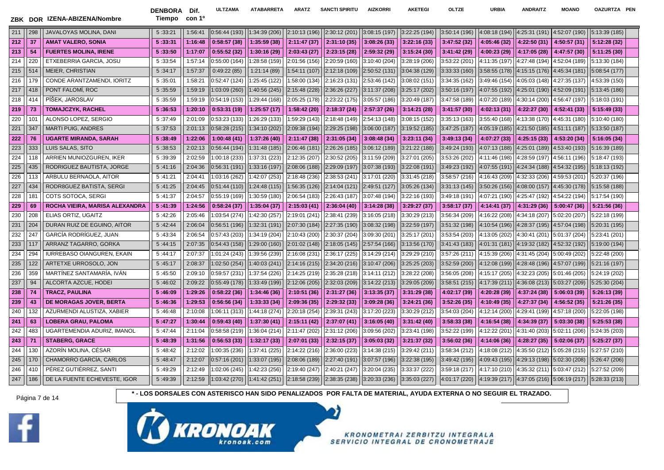|     |                 | ZBK DOR IZENA-ABIZENA/Nombre   | <b>DENBORA</b><br>Tiempo | Dif.<br>con 1º | ULTZAMA       | <b>ATABARRETA</b> | <b>ARATZ</b>  | <b>SANCTI SPIRITU</b> | <b>AIZKORRI</b> | <b>AKETEGI</b> | <b>OLTZE</b>  | URBIA         | <b>ANDRAITZ</b>             | <b>MOANO</b>                   | OAZURTZA PEN  |  |
|-----|-----------------|--------------------------------|--------------------------|----------------|---------------|-------------------|---------------|-----------------------|-----------------|----------------|---------------|---------------|-----------------------------|--------------------------------|---------------|--|
| 211 | 298             | JAVALOYAS MOLINA, DANI         | 5:33:21                  | 1:56:41        | 0:56:44(193)  | 1:34:39 (206)     | 2:10:13 (196) | 2:30:12 (201)         | 3:08:15 (197)   | 3:22:25 (194)  | 3:50:14 (196) | 4:08:18 (194) |                             | 4:25:31 (191) 4:52:07 (190)    | 5:13:39 (185) |  |
| 212 | -37             | <b>AMAT VALERO, SONIA</b>      | 5:33:31                  | 1:16:48        | 0:58:57(38)   | 1:35:59(38)       | 2:11:47 (37)  | 2:31:10 (35)          | 3:08:26(33)     | 3:22:16(33)    | 3:47:52(32)   | 4:05:46 (32)  | 4:22:50 (31)                | 4:50:57 (31)                   | 5:12:28 (32)  |  |
| 213 | 54              | <b>FUERTES MOLINA, IRENE</b>   | 5:33:50                  | 1:17:07        | 0:55:52(32)   | 1:30:16 (29)      | 2:03:43(27)   | 2:23:15 (28)          | 2:59:32 (29)    | 3:15:24(30)    | 3:41:42(29)   | 4:00:23 (29)  | 4:17:05 (28)                | 4:47:57 (30)                   | 5:11:25(30)   |  |
| 214 | 22C             | ETXEBERRIA GARCIA, JOSU        | 5:33:54                  | 1:57:14        | 0:55:00(164)  | :28:58 (159)      | 2:01:56 (156) | 2:20:59 (160)         | 3:10:40 (204)   | 3:28:19 (206)  | 3:53:22 (201) | 4:11:35 (197) | 4:27:48 (194)               | 4:52:04 (189)                  | 5:13:30 (184) |  |
| 215 | 514             | MEIER, CHRISTIAN               | 5:34:17                  | 1:57:37        | 0:49:22(85)   | 1:21:14(89)       | 1:54:11(107)  | 2:12:18 (109)         | 2:50:52 (131)   | 3:04:38 (129)  | 3:33:33 (160) | 3:58:55 (178) | 4:15:15 (176) 4:45:34 (181) |                                | 5:08:54 (177) |  |
| 216 | 179             | CONDE ARANTZAMENDI. IORITZ     | 5:35:01                  | 1:58:21        | 0:52:47(124)  | 1:25:45 (122)     | 1:58:00 (134) | 2:16:23 (131)         | 2:53:46 (142)   | 3:08:02 (151)  | 3:34:35 (162) | 3:49:46 (154) |                             | 4:05:03 (148)    4:27:35 (137) | 4:53:39 (150) |  |
| 217 | 418             | PONT FALOMÍ, ROC               | 5:35:59                  | 1:59:19        | 1:03:09 (260) | 1:40:56 (245)     | 2:15:48 (228) | 2:36:26 (227)         | 3:11:37 (208)   | 3:25:17 (202)  | 3:50:16 (197) | 4:07:55 (192) |                             | 4:25:01 (190) 4:52:09 (191)    | 5:13:45 (186) |  |
| 218 | 414             | PÍŠEK, JAROSLAV                | 5:35:59                  | 1:59:19        | 0:54:19(153)  | 1:29:44 (168)     | 2:05:25 (178) | 2:23:22 (175)         | 3:05:57 (186)   | 3:20:49 (187)  | 3:47:58 (189) | 4:07:20 (189) | 4:30:14 (200)               | 4:56:47 (197)                  | 5:18:03 (191) |  |
| 219 | 73              | <b>TOMAJCZYK, RACHEL</b>       | 5:36:53                  | 1:20:10        | 0:53:31(19)   | 1:25:57(17)       | 1:58:42 (20)  | 2:18:37 (24)          | 2:57:37 (26)    | 3:14:21(28)    | 3:41:57(30)   | 4:02:13 (31)  | 4:22:27 (30)                | 4:52:41 (33)                   | 5:15:49 (33)  |  |
| 220 | 101             | ALONSO LOPEZ, SERGIO           | 5:37:49                  | 2:01:09        | 0:53:23 (133) | 1:26:29 (133)     | 1:59:29 (143) | 2:18:48 (149)         | 2:54:13 (148)   | 3:08:15 (152)  | 3:35:13 (163) | 3:55:40 (168) | 4:13:38 (170)               | 4:45:31 (180)                  | 5:10:40 (180) |  |
| 221 | 347             | <b>MARTI PUIG, ANDRES</b>      | 5:37:53                  | 2:01:13        | 0:58:28(215)  | 1:34:10 (202)     | 2:09:38 (194) | 2:29:25 (198)         | 3:06:00 (187)   | 3:19:52 (185)  | 3:47:25 (187) | 4:05:19 (185) | 4:21:50 (185)               | 4:51:11 (187)                  | 5:13:50 (187) |  |
| 222 | 76              | <b>UGARTE MIRANDA, SARAH</b>   | 5:38:49                  | 1:22:06        | 1:00:48(41)   | 1:37:26 (40)      | 2:11:47 (38)  | 2:31:05(34)           | 3:08:48(34)     | 3:23:11(34)    | 3:49:13 (34)  | 4:07:27 (33)  | 4:25:15 (33)                | 4:53:20 (34)                   | 5:16:05(34)   |  |
| 223 | 333             | LUIS SALAS, SITO               | 5:38:53                  | 2:02:13        | 0:56:44(194)  | 1:31:48 (185)     | 2:06:46 (181) | 2:26:26 (185)         | 3:06:12 (189)   | 3:21:22 (188)  | 3:49:24 (193) | 4:07:13 (188) |                             | 4:25:01 (189) 4:53:40 (193)    | 5:16:39 (189) |  |
| 224 | 118             | ARRIEN MUNIOZGUREN, IKER       | 5:39:39                  | 2:02:59        | 1:00:18 (233) | 1:37:31 (223)     | 2:12:35 (207) | 2:30:52 (205)         | 3:11:59 (209)   | 3:27:01 (205)  | 3:53:26 (202) | 4:11:46 (198) | 4:28:59 (197)               | 4:56:11 (196)                  | 5:18:47 (193) |  |
| 225 | 435             | RODRIGUEZ BAUTISTA, JORGE      | 5:41:16                  | 2:04:36        | 0:56:31(191)  | 1:33:16 (197)     | 2:08:06 (188) | 2:29:09 (197)         | 3:07:38 (193)   | 3:22:08 (191)  | 3:49:23 (192) | 4:07:55 (191) |                             | 4:24:34 (188)    4:54:32 (195) | 5:18:13 (192) |  |
| 226 | 113             | ARBULU BERNAOLA, AITOR         | 5:41:21                  | 2:04:41        | 1:03:16 (262) | 1:42:07 (253)     | 2:18:48 (236) | 2:38:53 (241)         | 3:17:01 (220)   | 3:31:45 (218)  | 3:58:57 (216) | 4:16:43 (209) |                             | 4:32:33 (206) 4:59:53 (201)    | 5:20:37 (196) |  |
| 227 | 434             | RODR8GUEZ BATISTA, SERGI       | 5:41:25                  | 2:04:45        | 0:51:44(110)  | 1:24:48 (115)     | 1:56:35(126)  | 2:14:04 (121)         | 2:49:51 (127)   | 3:05:26 (134)  | 3:31:13(145)  | 3:50:26 (156) |                             | 4:08:00 (157) 4:45:30 (178)    | 5:15:58 (188) |  |
| 228 | 181             | COTS SOTOCA, SERGI             | 5:41:37                  | 2:04:57        | 0:55:19(169)  | 1:30:59 (180)     | 2:06:54 (183) | 2:26:43 (187)         | 3:07:48 (194)   | 3:22:16 (193)  | 3:49:18 (191) | 4:07:21 (190) |                             | 4:25:47 (192) 4:54:22 (194)    | 5:17:54 (190) |  |
| 229 | 69              | ROCHA VIEIRA, MARISA ALEXANDRA | 5:41:39                  | 1:24:56        | 0:58:24(37)   | 1:35:04(37)       | 2:15:03(41)   | 2:36:04 (40)          | 3:14:28 (38)    | 3:29:27(37)    | 3:58:17(37)   | 4:14:41 (37)  | 4:31:29 (36)                | 5:00:47 (36)                   | 5:21:56(36)   |  |
| 230 | 208             | ELIAS ORTIZ, UGAITZ            | 5:42:26                  | 2:05:46        | 1:03:54 (274) | 1:42:30 (257)     | 2:19:01 (241) | 2:38:41 (239)         | 3:16:05 (218)   | 3:30:29 (213)  | 3:56:34 (209) | 4:16:22 (208) |                             | 4:34:18 (207) 5:02:20 (207)    | 5:22:18 (199) |  |
| 231 | 204             | DURAN RUIZ DE EGUINO, AITOR    | 5:42:44                  | 2:06:04        | 0:56:51(196)  | 1:32:31 (191)     | 2:07:30 (184) | 2:27:35 (190)         | 3:08:32 (198)   | 3:22:59 (197)  | 3:51:32 (198) | 4:10:54 (196) |                             | 4:28:37 (195)    4:57:04 (198) | 5:20:31 (195) |  |
| 232 | 247             | GARCÍA RODRÍGUEZ. JUAN         | 5:43:34                  | 2:06:54        | 0:57:43(203)  | 1:34:19 (204)     | 2:10:43 (200) | 2:30:37 (204)         | 3:09:30 (201)   | 3:25:17 (201)  | 3:53:54 (203) | 4:13:05 (202) |                             | 4:30:41 (201) 5:01:37 (204)    | 5:23:41 (201) |  |
| 233 | 117             | ARRANZ TAGARRO, GORKA          | 5:44:15                  | 2:07:35        | 0:54:43(158)  | 1:29:00 (160)     | 2:01:02 (148) | 2:18:05 (145)         | 2:57:54 (166)   | 3:13:56 (170)  | 3:41:43 (183) | 4:01:31 (181) |                             | 4:19:32 (182) 4:52:32 (192)    | 5:19:00 (194) |  |
| 234 | 294             | IURREBASO OIANGUREN, EKAIN     | 5:44:17                  | 2:07:37        | 1:01:24 (243) | 1:39:56 (239)     | 2:16:08 (231) | 2:36:17 (225)         | 3:14:29 (214)   | 3:29:29 (210)  | 3:57:26 (211) | 4:15:39 (206) |                             | 4:31:45 (204)   5:00:49 (202)  | 5:22:48 (200) |  |
| 235 | 122             | ARTETXE URROSOLO, JON          | 5:45:17                  | 2:08:37        | 1:02:50 (254) | 1:40:03 (241)     | 2:14:16 (215) | 2:34:20 (216)         | 3:10:47 (206)   | 3:25:25 (203)  | 3:52:59 (200) | 4:12:08 (199) |                             | 4:28:48 (196) ∥ 4:57:07 (199)  | 5:21:16 (197) |  |
| 236 | 359             | MARTÍNEZ SANTAMARÍA, IVÁN      | 5:45:50                  | 2:09:10        | 0:59:57(231)  | 1:37:54 (226)     | 2:14:25 (219) | 2:35:28 (218)         | 3:14:11 (212)   | 3:28:22 (208)  | 3:56:05 (208) | 4:15:17 (205) | 4:32:23 (205)               | 5:01:46 (205)                  | 5:24:19 (202) |  |
| 237 | 94              | ALCORTA AZCUE, HODEI           | 5:46:02                  | 2:09:22        | 0:55:49(178)  | 1:33:49 (199)     | 2:12:06(205)  | 2:32:03 (209)         | 3:14:22(213)    | 3:29:05 (209)  | 3:58:51 (215) | 4:17:39 (211) |                             | 4:36:08 (213) 5:03:27 (209)    | 5:25:30 (204) |  |
| 238 | 74              | <b>TRACZ, PAULINA</b>          | 5:46:09                  | 1:29:26        | 0:58:22(36)   | 1:34:46 (36)      | 2:10:51 (36)  | 2:31:27(36)           | 3:13:35(37)     | 3:31:29(38)    | 4:02:17 (39)  | 4:20:28 (39)  | 4:37:24 (38)                | 5:06:03(39)                    | 5:26:13 (39)  |  |
| 239 | 43              | DE MORAGAS JOVER, BERTA        | 5:46:36                  | 1:29:53        | 0:56:56(34)   | 1:33:33 (34)      | 2:09:36 (35)  | 2:29:32 (33)          | 3:09:28(36)     | 3:24:21(36)    | 3:52:26(35)   | 4:10:49 (35)  | 4:27:37 (34)                | 4:56:52 (35)                   | 5:21:26 (35)  |  |
| 240 | 132             | AZURMENDI ALUSTIZA, XABIER     | 5:46:48                  | 2:10:08        | 1:06:11 (313) | 1:44:18 (274)     | 2:20:18 (254) | 2:39:31 (243)         | 3:17:20 (223)   | 3:30:29 (212)  | 3:54:03 (204) | 4:12:14 (200) | 4:29:41 (199)               | 4:57:18 (200)                  | 5:22:05 (198) |  |
| 241 | 63              | <b>LOBERA GRAU, PALOMA</b>     | 5:47:27                  | 1:30:44        | 0:59:43(40)   | 1:37:30 (41)      | 2:15:11 (42)  | 2:37:07 (41)          | 3:16:05 (40)    | 3:31:42(40)    | 3:58:33(38)   | 4:16:54 (38)  | 4:34:39 (37)                | 5:03:30(38)                    | 5:25:53 (38)  |  |
| 242 | 483             | UGARTEMENDIA ADURIZ, IMANOL    | 5:47:44                  | 2:11:04        | 0:58:58(219)  | 1:36:04 (214)     | 2:11:47 (202) | 2:31:12 (206)         | 3:09:56 (202)   | 3:23:41 (198)  | 3:52:22 (199) | 4:12:22 (201) | 4:31:40 (203)               | 5:02:11 (206)                  | 5:24:35 (203) |  |
| 243 | -71             | <b>STABERG, GRACE</b>          | 5:48:39                  | 1:31:56        | 0:56:53(33)   | 1:32:17 (33)      | 2:07:01(33)   | 2:32:15 (37)          | 3:05:03(32)     | 3:21:37 (32)   | 3:56:02(36)   | 4:14:06 (36)  | 4:28:27(35)                 | 5:02:06(37)                    | 5:25:27 (37)  |  |
| 244 | 130             | AZORÍN MOLINA, CÉSAR           | 5:48:42                  | 2:12:02        | 1:00:35 (236) | 1:37:41 (225)     | 2:14:22 (216) | 2:36:00 (223)         | 3:14:38 (215)   | 3:29:42 (211)  | 3:58:34 (212) | 4:18:08 (212) |                             | 4:35:50 (212) 5:05:28 (215)    | 5:27:57 (210) |  |
| 245 | 170             | CHAMORRO GARCÍA, CARLOS        | 5:48:47                  | 2:12:07        | 0:57:16(201)  | 1:33:07 (195)     | 2:08:06 (189) | 2:27:40 (191)         | 3:07:57 (196)   | 3:22:38 (195)  | 3:49:42 (195) | 4:09:43 (195) |                             | 4:29:13 (198)    5:02:30 (208) | 5:26:47 (206) |  |
| 246 | 41 <sub>C</sub> | PÉREZ GUTIÉRREZ, SANTI         | 5:49:29                  | 2:12:49        | 1:02:06 (245) | 1:42:23 (256)     | 2:19:40 (247) | 2:40:21 (247)         | 3:20:04 (235)   | 3:33:37 (222)  | 3:59:18 (217) | 4:17:10 (210) |                             | 4:35:32 (211)    5:03:47 (212) | 5:27:52 (209) |  |
| 247 | 186             | DE LA FUENTE ECHEVESTE, IGOR   | 5:49:39                  | 2:12:59        | 1:03:42 (270) | 1:41:42(251)      | 2:18:58(239)  | 2:38:35 (238)         | 3:20:33 (236)   | 3:35:03 (227)  | 4:01:17 (220) | 4:19:39 (217) | 4:37:05 (216) 5:06:19 (217) |                                | 5:28:33 (213) |  |

Página 7 de 14 **\* - LOS DORSALES CON ASTERISCO HAN SIDO PENALIZADOS POR FALTA DE MATERIAL, AYUDA EXTERNA O NO SEGUIR EL TRAZADO.**



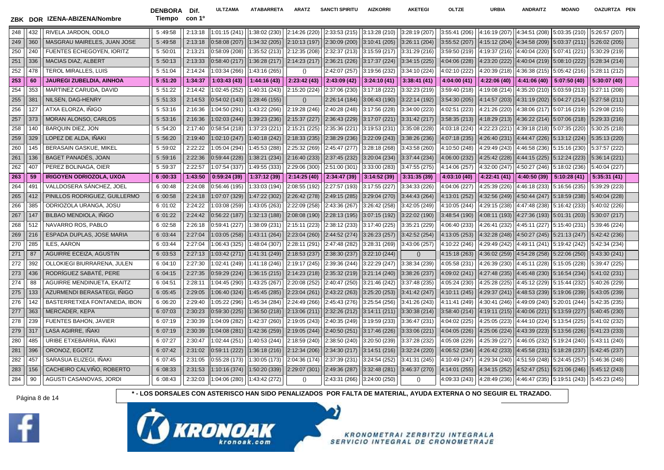DENBORA Dif. Tiempo con 1º **ULTZAMA ATABARRETA ARATZ SANCTI SPIRITU AIZKORRI AKETEGI OLTZE URBIA ANDRAITZ MOANO OAZURTZA PEN**

| 248 | 432 | RIVELA JARDON, ODILO             | 5:49:58 | 2:13:18 | 1:01:15(241)  | 1:38:02 (230) | 2:14:26 (220) | 2:33:53 (215) | 3:13:28 (210) | 3:28:19 (207)    | 3:55:41 (206) | 4:16:19 (207) | 4:34:51 (208)                         | 5:03:35 (210) | 5:26:57 (207) |  |
|-----|-----|----------------------------------|---------|---------|---------------|---------------|---------------|---------------|---------------|------------------|---------------|---------------|---------------------------------------|---------------|---------------|--|
| 249 | 360 | MASGRAU MAIRELES, JUAN JOSE      | 5:49:58 | 2:13:18 | 0:58:08(207)  | 1:34:32 (205) | 2:10:13 (197) | 2:30:09 (200) | 3:10:41(205)  | 3:26:11 (204)    | 3:55:52 (207) | 4:15:12 (204) | $4:34:58(209)$ 5:03:37 (211)          |               | 5:26:02 (205) |  |
| 250 | 240 | <b>FUENTES ECHEGOYEN, IORITZ</b> | 5:50:01 | 2:13:21 | 0:58:09(208)  | 1:35:52 (213) | 2:12:35 (208) | 2:32:37 (213) | 3:15:59(217)  | 3:31:29 (216)    | 3:59:50 (219) | 4:19:37 (216) | 4:40:04 (220) 5:07:41 (221)           |               | 5:30:29 (219) |  |
| 251 | 336 | <b>MACIAS DIAZ, ALBERT</b>       | 5:50:13 | 2:13:33 | 0:58:40(217)  | 1:36:28 (217) | 2:14:23(217)  | 2:36:21 (226) | 3:17:37(224)  | 3:34:15 (225)    | 4:04:06 (228) | 4:23:20 (222) | 4:40:04 (219) 5:08:10 (222)           |               | 5:28:34 (214) |  |
| 252 | 478 | <b>TEROL MIRALLES, LUIS</b>      | 5:51:04 | 2:14:24 | 1:03:34 (266) | 1:43:16 (265) | $\Omega$      | 2:42:07 (257) | 3:19:56 (232) | 3:34:10 (224)    | 4:02:10 (222) | 4:20:39 (218) | 4:36:38 (215)                         | 5:05:42 (216) | 5:28:11 (212) |  |
| 253 | 60  | <b>JAUREGI ZUBELDIA, AINHOA</b>  | 5:51:20 | 1:34:37 | 1:03:43(43)   | 1:44:16(43)   | 2:23:42(43)   | 2:43:09 (42)  | 3:24:10(41)   | 3:38:41(41)      | 4:04:00 (41)  | 4:22:06 (40)  | 4:41:06 (40) $\parallel$ 5:07:50 (40) |               | 5:30:07(40)   |  |
| 254 | 353 | MARTINEZ CARUDA, DAVID           | 5:51:22 | 2:14:42 | 1:02:45 (252) | 1:40:31 (243) | 2:15:20 (224) | 2:37:06 (230) | 3:17:18 (222) | 3:32:23 (219)    | 3:59:40 (218) | 4:19:08 (214) | 4:35:20 (210) 5:03:59 (213)           |               | 5:27:11 (208) |  |
| 255 | 381 | NILSEN, DAG-HENRY                | 5:51:33 | 2:14:53 | 0:54:02(143)  | 1:28:46 (155) | ()            | 2:26:14 (184) | 3:06:43(190)  | 3:22:14 (192)    | 3:54:30 (205) | 4:14:57 (203) | 4:31:19 (202) 5:04:27 (214)           |               | 5:27:58 (211) |  |
| 256 | 127 | ATXA ELORZA, IÑIGO               | 5:53:16 | 2:16:36 | 1:04:50 (291) | 1:43:22 (266) | 2:19:28 (246) | 2:40:28 (248) | 3:17:56 (228) | 3:34:00 (223)    | 4:02:51 (223) | 4:21:26 (220) | 4:38:06 (217) 5:07:16 (219)           |               | 5:29:08 (215) |  |
| 257 | 373 | <b>MORAN ALONSO, CARLOS</b>      | 5:53:16 | 2:16:36 | 1:02:03(244)  | 1:39:23 (236) | 2:15:37 (227) | 2:36:43 (229) | 3:17:07(221)  | 3:31:42 (217)    | 3:58:35 (213) | 4:18:29 (213) | 4:36:22(214) 5:07:06(218)             |               | 5:29:33 (216) |  |
| 258 | 140 | <b>BARQUIN DIEZ, JON</b>         | 5:54:20 | 2:17:40 | 0:58:54(218)  | 1:37:23 (221) | 2:15:21 (225) | 2:35:36 (221) | 3:19:53 (231) | 3:35:08 (228)    | 4:03:18 (224) | 4:22:23 (221) | 4:39:18 (218) 5:07:35 (220)           |               | 5:30:25 (218) |  |
| 259 | 329 | LOPEZ DE ALDA, IÑAKI             | 5:56:20 | 2:19:40 | 1:02:10(247)  | 1:40:18 (242) | 2:18:33(235)  | 2:38:29 (236) | 3:22:09 (243) | 3:38:26 (236)    | 4:07:18 (235) | 4:26:40 (231) | $4:44:47(226)$ 5:13:12 (224)          |               | 5:35:13 (220) |  |
| 260 | 145 | BERASAIN GASKUE, MIKEL           | 5:59:02 | 2:22:22 | 1:05:04 (294) | 1:45:53 (288) | 2:25:32 (269) | 2:45:47 (277) | 3:28:18 (268) | 3:43:58 (260)    | 4:10:50 (248) | 4:29:49 (243) | 4:46:58 (236) 5:15:16 (230)           |               | 5:37:57 (222) |  |
| 261 | 136 | BAGET PANADÉS, JOAN              | 5:59:16 | 2:22:36 | 0:59:44(228)  | 1:38:21 (234) | 2:16:40 (233) | 2:37:45 (232) | 3:20:04 (234) | 3:37:44 (234)    | 4:06:00 (232) | 4:25:42 (228) | 4:44:15 (225) 5:12:24 (223)           |               | 5:36:14 (221) |  |
| 262 | 407 | PEREZ BOLINAGA, OIER             | 5:59:37 | 2:22:57 | 1:07:54 (337) | 1:49:55 (333) | 2:29:06 (300) | 2:51:00 (301) | 3:33:00 (283) | 3:47:55 (275)    | 4:14:06 (257) | 4:32:00 (247) | 4:50:27 (246) 5:18:02 (236)           |               | 5:40:04 (227) |  |
| 263 | 59  | <b>IRIGOYEN ODRIOZOLA, UXOA</b>  | 6:00:33 | 1:43:50 | 0:59:24(39)   | 1:37:12 (39)  | 2:14:25 (40)  | 2:34:47 (39)  | 3:14:52(39)   | 3:31:35 (39)     | 4:03:10 (40)  | 4:22:41 (41)  | 4:40:50 (39) $\parallel$ 5:10:28 (41) |               | 5:35:31(41)   |  |
| 264 | 491 | VALLDOSERA SÁNCHEZ, JOEL         | 6:00:48 | 2:24:08 | 0:56:46 (195) | 1:33:03 (194) | 2:08:55 (192) | 2:27:57 (193) | 3:17:55 (227) | 3:34:33 (226)    | 4:04:06 (227) | 4:25:39 (226) | 4:46:18 (233) 5:16:56 (235)           |               | 5:39:29 (223) |  |
| 265 | 412 | PINILLOS RODRIGUEZ, GUILLERMO    | 6:00:58 | 2:24:18 | 1:07:07 (329) | 1:47:22 (302) | 2:26:42 (278) | 2:49:15 (285) | 3:29:04 (270) | 3:44:43 (264)    | 4:13:01 (252) | 4:32:56 (249) | 4:50:44 (247) 5:18:59 (238)           |               | 5:40:04 (228) |  |
| 266 | 385 | ODRIOZOLA URANGA, JOSU           | 6:01:02 | 2:24:22 | 1:03:08 (259) | 1:43:05 (263) | 2:22:09 (258) | 2:43:36 (267) | 3:26:42 (258) | 3:42:05 (249)    | 4:10:05 (244) | 4:29:15 (238) | 4:47:48 (238) 5:16:42 (233)           |               | 5:40:02 (226) |  |
| 267 | 147 | BILBAO MENDIOLA, IÑIGO           | 6:01:22 | 2:24:42 | 0:56:22(187)  | 1:32:13 (188) | 2:08:08 (190) | 2:28:13 (195) | 3:07:15(192)  | 3:22:02 (190)    | 3:48:54 (190) | 4:08:11 (193) | 4:27:36(193) 5:01:31(203)             |               | 5:30:07 (217) |  |
| 268 | 512 | NAVARRO ROS, PABLO               | 6:02:58 | 2:26:18 | 0:59:41(227)  | 1:38:09 (231) | 2:15:11 (223) | 2:38:12 (233) | 3:17:40 (225) | 3:35:21 (229)    | 4:06:40 (233) | 4:26:41 (232) | 4:45:11 (227) 5:15:40 (231)           |               | 5:39:46 (224) |  |
| 269 | 216 | ESPADA DUPLAS, JOSE MARIA        | 6:03:44 | 2:27:04 | 1:03:05(258)  | 1:43:11 (264) | 2:23:04 (260) | 2:44:52 (274) | 3:26:23 (257) | 3:42:52 (254)    | 4:13:05 (253) | 4:32:28 (248) | 4:50:27 (245) 5:21:13 (247)           |               | 5:42:42 (236) |  |
| 270 | 285 | ILES, AARON                      | 6:03:44 | 2:27:04 | 1:06:43 (325) | 1:48:04 (307) | 2:28:11 (291) | 2:47:48 (282) | 3:28:31 (269) | 3:43:06 (257)    | 4:10:22 (246) | 4:29:49 (242) | 4:49:11 (241) 5:19:42 (242)           |               | 5:42:34 (234) |  |
| 271 | 87  | AGUIRRE ECEIZA, AGUSTIN          | 6:03:53 | 2:27:13 | 1:03:42(271)  | 1:41:31 (249) | 2:18:53 (237) | 2:38:30 (237) | 3:22:10 (244) | ()               | 4:15:18 (263) | 4:36:02 (259) | 4:54:28 (258) 5:22:06 (250)           |               | 5:43:30 (241) |  |
| 272 | 392 | OLLOKIEGI BIURRARENA, JULEN      | 6:04:10 | 2:27:30 | 1:02:41 (249) | 1:41:18 (246) | 2:19:17 (245) | 2:39:36 (244) | 3:22:29 (247) | 3:38:34 (239)    | 4:05:58 (231) | 4:26:39 (230) | 4:45:11 (228) 5:15:05 (228)           |               | 5:39:47 (225) |  |
| 273 | 436 | RODRÍGUEZ SABATÉ. PERE           | 6:04:15 | 2:27:35 | 0:59:29(224)  | 1:36:15 (215) | 2:14:23 (218) | 2:35:32 (219) | 3:21:14 (240) | 3:38:26 (237)    | 4:09:02 (241) | 4:27:48 (235) | 4:45:48 (230) 5:16:54 (234)           |               | 5:41:02 (231) |  |
| 274 | 88  | AGUIRRE MENDINUETA, EKAITZ       | 6:04:51 | 2:28:11 | 1:04:45 (290) | 1:43:25 (267) | 2:20:08 (252) | 2:40:47 (250) | 3:21:46 (242) | 3:37:48 (235)    | 4:05:24 (230) | 4:25:28 (225) | 4:45:12 (229) 5:15:44 (232)           |               | 5:40:26 (229) |  |
| 275 | 133 | AZURMENDI BERASATEGI. INIGO      | 6:05:45 | 2:29:05 | 1:06:40 (324) | 1:45:45 (285) | 2:23:04 (261) | 2:43:22 (263) | 3:25:20(253)  | 3:41:42 (247)    | 4:10:11 (245) | 4:29:37 (241) | 4:48:53 (239) 5:19:06 (239)           |               | 5:43:05 (239) |  |
| 276 | 142 | BASTERRETXEA FONTANEDA, IBON     | 6:06:20 | 2:29:40 | 1:05:22 (296) | 1:45:34 (284) | 2:24:49 (266) | 2:45:43 (276) | 3:25:54 (256) | 3:41:26 (243)    | 4:11:41 (249) | 4:30:41 (246) | 4:49:09 (240) 5:20:01 (244)           |               | 5:42:35 (235) |  |
| 277 | 363 | <b>MERCADER, KEPA</b>            | 6:07:03 | 2:30:23 | 0:59:30(225)  | 1:36:50 (218) | 2:13:06 (211) | 2:32:26 (212) | 3:14:11(211)  | 3:30:38 (214)    | 3:58:40 (214) | 4:19:11 (215) | $4:40:06(221)$ 5:13:59 (227)          |               | 5:40:45 (230) |  |
| 278 | 239 | <b>FUENTES BAHON, JAVIER</b>     | 6:07:19 | 2:30:39 | 1:04:09 (282) | 1:42:37 (260) | 2:19:05 (243) | 2:40:35 (249) | 3:19:59 (233) | 3:36:47 (231)    | 4:04:02 (225) | 4:25:05 (223) | 4:44:10 (224) 5:13:54 (225)           |               | 5:41:02 (232) |  |
| 279 | 317 | LASA AGIRRE, IÑAKI               | 6:07:19 | 2:30:39 | 1:04:08 (281) | 1:42:36 (259) | 2:19:05 (244) | 2:40:50 (251) | 3:17:46 (226) | 3:33:06 (221)    | 4:04:05 (226) | 4:25:06 (224) | 4:43:39 (223) 5:13:56 (226)           |               | 5:41:23 (233) |  |
| 280 | 485 | URIBE ETXEBARRIA, INAKI          | 6:07:27 | 2:30:47 | 1:02:44 (251) | 1:40:53 (244) | 2:18:59 (240) | 2:38:50 (240) | 3:20:50 (239) | 3:37:28 (232)    | 4:05:08 (229) | 4:25:39 (227) | 4:46:05 (232) 5:19:24 (240)           |               | 5:43:11 (240) |  |
| 281 | 396 | ORONOZ, EGOITZ                   | 6:07:42 | 2:31:02 | 0:59:11(222)  | 1:36:18 (216) | 2:12:34(206)  | 2:34:30 (217) | 3:14:51(216)  | 3:32:24 (220)    | 4:06:52 (234) | 4:26:42 (233) | 4:45:58 (231) 5:18:28 (237)           |               | 5:42:45 (237) |  |
| 282 | 457 | SARASUA ELIZEGI. INAKI           | 6:07:45 | 2:31:05 | 0:55:28(173)  | 1:30:05 (173) | 2:04:36 (174) | 2:37:39 (231) | 3:24:54 (252) | 3:41:31 (245)    | 4:10:49 (247) | 4:29:34 (240) | 4:51:59 (248) 5:24:45 (257)           |               | 5:46:36 (248) |  |
| 283 | 156 | CACHEIRO CALVIÑO, ROBERTO        | 6:08:33 | 2:31:53 | 1:10:16 (374) | 1:50:20 (339) | 2:29:07 (301) | 2:49:36 (287) | 3:32:48 (281) | 3:46:37 (270)    | 4:14:01 (255) | 4:34:15 (252) | 4:52:47 (251) 5:21:06 (246)           |               | 5:45:12 (243) |  |
| 284 | 90  | AGUSTI CASANOVAS, JORDI          | 6:08:43 | 2:32:03 | 1:04:06 (280) | 1:43:42 (272) | ()            | 2:43:31 (266) | 3:24:00 (250) | $\left( \right)$ | 4:09:33 (243) | 4:28:49 (236) | 4:46:47(235) 5:19:51(243)             |               | 5:45:23 (245) |  |
|     |     |                                  |         |         |               |               |               |               |               |                  |               |               |                                       |               |               |  |



Página 8 de 14 **14 1999 - 1999 - 1999 - 1999 - 1999 - 1999 - 1999 - 1999 - 1999 - 1999 - 1999 - 1999 - 1999 - 1999 - 1999 - 1999 - 1999 - 1999 - 1999 - 1999 - 1999 - 1999 - 1999 - 1999 - 1999 - 1999 - 1999 - 1999 - 1999** 

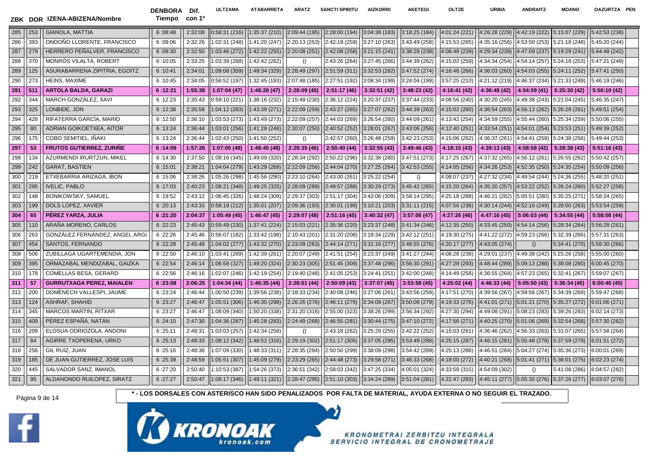DENBORA Dif. Tiempo con 1º

**ULTZAMA ATABARRETA ARATZ SANCTI SPIRITU AIZKORRI AKETEGI OLTZE URBIA ANDRAITZ MOANO OAZURTZA PEN**

| 285 | 253 | <b>GIANOLA, MATTIA</b>           | 6:08:48 | 2:32:08 | 0:58:31(216)  | 1:35:37 (210) | 2:09:44 (195) | 2:28:00 (194) | 3:04:38(183)  | 3:18:25 (184) | 4:01:24 (221) | 4:26:28 (229) |               | 4:42:19 (222) 5:15:07 (229)  | 5:42:53 (238) |  |
|-----|-----|----------------------------------|---------|---------|---------------|---------------|---------------|---------------|---------------|---------------|---------------|---------------|---------------|------------------------------|---------------|--|
| 286 | 393 | ONDOÑO LLORENTE, FRANCISCO       | 6:09:06 | 2:32:26 | 1:02:31 (248) | 1:41:20 (247) | 2:20:13 (253) | 2:42:19 (259) | 3:27:10 (263) | 3:43:49 (258) | 4:15:53 (265) | 4:35:16 (256) | 4:53:50 (253) | 5:21:18 (248)                | 5:45:20 (244) |  |
| 287 | 279 | HERRERO PEÑALVER, FRANCISCO      | 6:09:30 | 2:32:50 | 1:03:46(272)  | 1:42:22 (255) | 2:20:08 (251) | 2:42:08 (258) | 3:21:15(241)  | 3:38:28 (238) | 4:08:48 (239) | 4:29:34 (239) |               | 4:47:09 (237) 5:19:29 (241)  | 5:44:48 (242) |  |
| 288 | 370 | <b>MONROS VILALTA, ROBERT</b>    | 6:10:05 | 2:33:25 | 1:03:39 (268) | 1:42:42 (262) | $\Omega$      | 2:43:26 (264) | 3:27:45 (266) | 3:44:39 (262) | 4:15:02 (259) | 4:34:34 (254) |               | 4:54:14 (257) 5:24:18 (253)  | 5:47:21 (249) |  |
| 289 | 125 | ASURABARRENA ZIPITRIA, EGOITZ    | 6:10:41 | 2:34:01 | 1:09:08 (359) | 1:49:34 (329) | 2:28:49 (297) | 2:51:59 (311) | 3:32:53 (282) | 3:47:52 (274) | 4:16:46 (266) | 4:36:03 (260) |               | $4:54:03(255)$ 5:24:11 (252) | 5:47:41 (250) |  |
| 290 | 273 | <b>HEINS, MAXIME</b>             | 6:10:45 | 2:34:05 | 0:56:52 (197) | 1:32:45 (193) | 2:07:48 (185) | 2:27:51 (192) | 3:08:34 (199) | 3:24:04 (199) | 3:57:25 (210) | 4:21:12 (219) | 4:46:37 (234) | 5:21:33 (249)                | 5:46:19 (246) |  |
| 291 | 511 | <b>ARTOLA BALDA, GARAZI</b>      | 6:12:21 | 1:55:38 | 1:07:04(47)   | 1:48:28(47)   | 2:28:09(45)   | 2:51:17 (46)  | 3:32:51(42)   | 3:48:23(42)   | 4:16:41 (42)  | 4:36:48 (42)  | 4:54:59(41)   | 5:25:30 (42)                 | 5:50:10 (42)  |  |
| 292 | 344 | MARCH GONZÁLEZ, XAVI             | 6:12:23 | 2:35:43 | 0:59:10 (221) | 1:38:16 (232) | 2:15:49 (230) | 2:36:12 (224) | 3:20:37 (237) | 3:37:44 (233) | 4:08:56 (240) | 4:30:20 (245) | 4:49:38 (243) | 5:21:04 (245)                | 5:46:35 (247) |  |
| 293 | 325 | LONBIDE, JON                     | 6:12:38 | 2:35:58 | 1:04:12 (283) | 1:43:39 (271) | 2:22:09 (259) | 2:43:27 (265) | 3:27:07 (262) | 3:44:39 (263) | 4:15:02 (260) | 4:36:54 (263) |               | 4:56:13 (262) 5:26:28 (261)  | 5:49:51 (254) |  |
| 294 | 428 | RIFATERRA GARCIA, MARIO          | 6:12:50 | 2:36:10 | 1:03:53 (273) | 1:43:49 (273) | 2:22:09 (257) | 2:44:03 (269) | 3:26:54 (260) | 3:44:09 (261) | 4:13:42 (254) | 4:34:59 (255) | 4:55:44 (260) | 5:25:34 (259)                | 5:50:06 (255) |  |
| 295 | 80  | ADRIAN GOIKOETXEA, AITOR         | 6:13:24 | 2:36:44 | 1:03:01(256)  | 1:41:28 (248) | 2:20:07 (250) | 2:40:52 (252) | 3:28:01 (267) | 3:43:06 (256) | 4:12:40 (251) | 4:33:54 (251) |               | 4:54:01 (254) 5:23:53 (251)  | 5:49:39 (252) |  |
| 296 | 175 | COBO SEMITIEL, IÑAKI             | 6:13:24 | 2:36:44 | 1:02:43 (250) | 1:41:50 (252) | $\Omega$      | 2:42:57 (260) | 3:26:48 (259) | 3:42:23 (253) | 4:15:06 (262) | 4:36:37 (261) | 4:54:41 (259) | 5:24:38 (256)                | 5:49:44 (253) |  |
| 297 | 53  | <b>FRUTOS GUTIERREZ, ZURINE</b>  | 6:14:09 | 1:57:26 | 1:07:05(48)   | 1:48:45 (48)  | 2:28:35(46)   | 2:50:40 (44)  | 3:32:55(43)   | 3:49:46(43)   | 4:18:15 (43)  | 4:39:13 (43)  | 4:58:58 (42)  | $\parallel$ 5:28:38 (43)     | 5:51:16(43)   |  |
| 298 | 134 | AZURMENDI IRURTZUN, MIKEL        | 6:14:30 | 2:37:50 | 1:08:16 (345) | 1:49:09 (320) | 2:28:34 (292) | 2:50:22 (296) | 3:32:38 (280) | 3:47:51 (273) | 4:17:25 (267) | 4:37:32 (265) | 4:56:12 (261) | 5:26:55 (262)                | 5:50:42 (257) |  |
| 299 | 242 | <b>GARAT, BASTIEN</b>            | 6:15:01 | 2:38:21 | 1:04:04 (279) | 1:43:29 (269) | 2:22:09 (256) | 2:44:04 (270) | 3:27:25(264)  | 3:42:53(255)  | 4:14:05 (256) | 4:34:26 (253) | 4:52:35 (250) | 5:24:35 (254)                | 5:50:09 (256) |  |
| 300 | 219 | ETXEBARRIA ARIZAGA, IBON         | 6:15:06 | 2:38:26 | 1:05:26 (298) | 1:45:56 (290) | 2:23:10 (264) | 2:43:00 (261) | 3:25:22 (254) | $\Omega$      | 4:08:07 (237) | 4:27:32 (234) |               | 4:49:54 (244) 5:24:36 (255)  | 5:48:20 (251) |  |
| 301 | 295 | <b>IVELIC, PABLO</b>             | 6:17:03 | 2:40:23 | 1:08:21 (348) | 1:49:25 (325) | 2:28:09 (289) | 2:49:57 (288) | 3:30:29(273)  | 3:45:42 (265) | 4:15:20 (264) | 4:35:20 (257) |               | 4:53:22 (252) 5:26:24 (260)  | 5:52:27 (258) |  |
| 302 | 148 | BONIKOWSKY, SAMUEL               | 6:19:52 | 2:43:12 | 1:06:45 (326) | 1:48:24 (309) | 2:29:37 (303) | 2:51:17 (304) | 3:42:06 (309) | 3:58:14 (295) | 4:25:18 (288) | 4:46:21 (282) | 5:05:51 (280) | 5:35:25 (271)                | 5:58:24 (265) |  |
| 303 | 199 | DOLS LOPEZ, XAVIER               | 6:20:13 | 2:43:33 | 0:58:19(212)  | 1:35:01 (207) | 2:09:36 (193) | 2:30:01 (199) | 3:10:21 (203) | 3:31:11(215)  | 4:07:56 (236) | 4:30:14 (244) |               | 4:52:16 (249) 5:28:00 (263)  | 5:53:54 (259) |  |
| 304 | 65  | PÉREZ YARZA, JULIA               | 6:21:20 | 2:04:37 | 1:05:49(45)   | 1:46:47(45)   | 2:29:07 (48)  | 2:51:16(45)   | 3:40:32 (47)  | 3:57:06(47)   | 4:27:26 (46)  | 4:47:16 (45)  | 5:06:03(44)   | 5:34:55(44)                  | 5:58:08 (44)  |  |
| 305 | 110 | ARAÑA MORENO, CARLOS             | 6:22:23 | 2:45:43 | 0:59:49(230)  | 1:37:41 (224) | 2:15:03 (221) | 2:35:36 (220) | 3:23:37 (248) | 3:41:34 (246) | 4:12:35 (250) | 4:33:45 (250) | 4:54:14 (256) | 5:28:34 (264)                | 5:56:28 (261) |  |
| 306 | 263 | GONZÁLEZ FERNÁNDEZ, ANGEL ARGI   | 6:22:26 | 2:45:46 | 0:56:07(182)  | 1:33:42 (198) | 2:10:43 (201) | 2:31:20 (208) | 3:19:34 (229) | 3:42:12 (251) | 4:19:30 (275) | 4:41:22 (272) | 4:59:23 (266) | 5:32:39 (266)                | 5:57:31 (263) |  |
| 307 | 454 | SANTOS, FERNANDO                 | 6:22:28 | 2:45:48 | 1:04:02(277)  | 1:43:32 (270) | 2:23:09(263)  | 2:44:14 (271) | 3:31:16 (277) | 3:48:55 (276) | 4:20:17 (277) | 4:43:05 (274) | ()            | 5:34:41 (270)                | 5:58:30 (266) |  |
| 308 | 506 | ZUBILLAGA UGARTEMENDIA, JON      | 6:22:50 | 2:46:10 | 1:03:41 (269) | 1:42:39 (261) | 2:20:07 (249) | 2:41:51 (254) | 3:23:37 (249) | 3:41:27 (244) | 4:08:28 (238) | 4:29:01 (237) | 4:49:38 (242) | 5:25:26 (258)                | 5:55:00 (260) |  |
| 309 | 395 | ORMAZABAL MENDIZABAL, GAIZKA     | 6:22:54 | 2:46:14 | 1:06:58 (327) | 1:49:20 (324) | 2:30:23 (305) | 2:51:45 (309) | 3:37:48 (296) | 3:56:30 (291) | 4:27:28 (293) | 4:48:44 (289) | 5:09:13 (288) | 5:38:08 (280)                | 6:00:45 (270) |  |
| 310 | 178 | COMELLAS BESA, GERARD            | 6:22:56 | 2:46:16 | 1:02:07 (246) | 1:42:19 (254) | 2:19:40 (248) | 2:41:05 (253) | 3:24:41 (251) | 3:42:00 (248) | 4:14:49 (258) | 4:36:55 (264) | 4:57:23 (265) | 5:32:41 (267)                | 5:59:07 (267) |  |
| 311 | 57  | <b>GURRUTXAGA PEREZ, MAIALEN</b> | 6:23:08 | 2:06:25 | 1:04:34(44)   | 1:46:35 (44)  | 2:28:01 (44)  | 2:50:09(43)   | 3:37:07 (45)  | 3:53:58(45)   | 4:25:02 (44)  | 4:46:33 (44)  | 5:05:50(43)   | 5:36:34(45)                  | 6:00:46(45)   |  |
| 312 | 200 | DOMENECH VALLESPI, JAUME         | 6:23:24 | 2:46:44 | 1:00:50 (239) | 1:39:56 (238) | 2:18:33 (234) | 2:40:08 (246) | 3:27:06 (261) | 3:43:56 (259) | 4:17:51 (270) | 4:39:56 (267) | 4:59:56 (267) | 5:34:39 (269)                | 5:59:47 (268) |  |
| 313 | 124 | <b>ASHRAF, SHAHID</b>            | 6:23:27 | 2:46:47 | 1:05:51 (306) | 1:46:30 (298) | 2:26:26(276)  | 2:46:11 (279) | 3:34:09 (287) | 3:50:08 (279) | 4:19:33 (276) | 4:41:01 (271) |               | 5:01:21 (270) 5:35:27 (272)  | 6:01:06 (271) |  |
| 314 | 345 | <b>MARCOS MARTIN, RITXAR</b>     | 6:23:27 | 2:46:47 | 1:08:09 (340) | 1:50:20 (338) | 2:31:20 (316) | 2:55:00 (323) | 3:38:26 (299) | 3:56:34 (292) | 4:27:30 (294) | 4:49:08 (291) | 5:08:23 (283) | 5:39:26 (283)                | 6:02:14 (273) |  |
| 315 | 409 | PEREZ ESPANA, NATAN              | 6:24:10 | 2:47:30 | 1:04:36(287)  | 1:45:28 (283) | 2:24:49 (268) | 2:46:55 (281) | 3:30:44(275)  | 3:47:10 (272) | 4:17:56 (271) | 4:40:25 (270) |               | 5:01:06 (269) 5:32:54 (268)  | 5:57:30 (262) |  |
| 316 | 209 | ELOSUA ODRIOZOLA, ANDONI         | 6:25:11 | 2:48:31 | 1:03:03 (257) | 1:42:34 (258) | $\Omega$      | 2:43:18 (262) | 3:25:29 (255) | 3:42:22 (252) | 4:15:03 (261) | 4:36:46 (262) | 4:56:33 (263) | 5:31:07 (265)                | 5:57:58 (264) |  |
| 317 | 84  | AGIRRE TXOPERENA, URKO           | 6:25:13 | 2:48:33 | 1:08:12(342)  | 1:48:52 (316) | 2:29:19 (302) | 2:51:17 (305) | 3:37:05(295)  | 3:53:49 (288) | 4:25:15 (287) | 4:46:15 (281) |               | 5:05:48 (279) 5:37:59 (279)  | 6:01:51 (272) |  |
| 318 | 256 | GIL RUIZ, JUAN                   | 6:25:16 | 2:48:36 | 1:07:09 (330) | 1:48:33 (311) | 2:28:35 (294) | 2:50:50 (299) | 3:38:09 (298) | 3:54:42 (289) | 4:25:13 (286) | 4:46:51 (284) | 5:04:27 (274) | 5:35:36 (273)                | 6:00:01 (269) |  |
| 319 | 185 | DE JUAN GUTIERREZ, JOSE LUIS     | 6:25:39 | 2:48:59 | 1:05:51(307)  | 1:45:09 (279) | 2:23:29 (265) | 2:44:48 (273) | 3:29:58 (271) | 3:46:33 (268) | 4:18:00 (272) | 4:40:21 (268) | 5:01:41(271)  | 5:36:01 (275)                | 6:02:23 (274) |  |
| 320 | 445 | SALVADOR SANZ, IMANOL            | 6:27:20 | 2:50:40 | 1:10:53 (387) | 1:54:26 (373) | 2:36:51 (342) | 2:58:03 (342) | 3:47:25 (334) | 4:05:01 (324) | 4:33:59 (315) | 4:54:09 (302) | ()            | 5:41:08 (286)                | 6:04:57 (282) |  |
| 321 | 95  | ALDANONDO RUILOPEZ, SIRATZ       | 6:27:27 | 2:50:47 | 1:08:17(346)  | 1:49:11 (321) | 2:28:47 (295) | 2:51:10(303)  | 3:34:24(289)  | 3:51:04 (281) | 4:22:47 (283) | 4:45:11(277)  |               | $5:05:30(276)$ 5:37:26 (277) | 6:03:07 (276) |  |
|     |     |                                  |         |         |               |               |               |               |               |               |               |               |               |                              |               |  |



Página 9 de 14 **\* - LOS DORSALES CON ASTERISCO HAN SIDO PENALIZADOS POR FALTA DE MATERIAL, AYUDA EXTERNA O NO SEGUIR EL TRAZADO.**



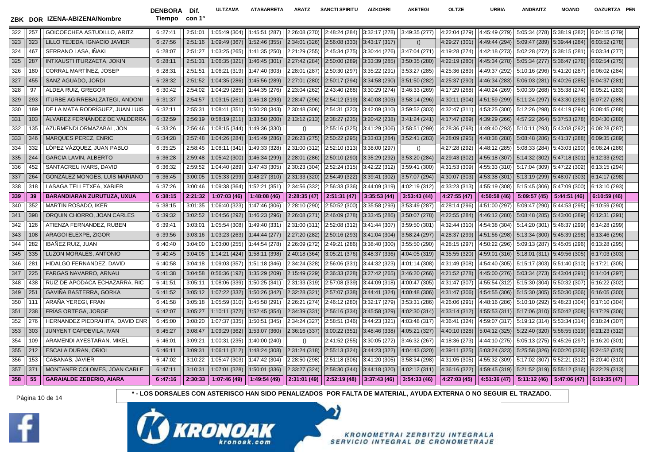

DENBORA Dif. Tiempo con 1º **ULTZAMA ATABARRETA ARATZ SANCTI SPIRITU AIZKORRI AKETEGI OLTZE URBIA ANDRAITZ MOANO OAZURTZA PEN**

| 322 | 257 | GOICOECHEA ASTUDILLO, ARITZ           | 6:27:41 | 2:51:01 | 1:05:49(304)  | 1:45:51 (287) | 2:26:08 (270) | 2:48:24 (284) | 3:32:17 (278) | 3:49:35 (277)    | 4:22:04 (279) | 4:45:49 (279) |                             | 5:05:34 (278) 5:38:19 (282)                                    | 6:04:15 (279) |
|-----|-----|---------------------------------------|---------|---------|---------------|---------------|---------------|---------------|---------------|------------------|---------------|---------------|-----------------------------|----------------------------------------------------------------|---------------|
| 323 | 323 | LILLO TEJEDA. IGNACIO JAVIER          | 6:27:56 | 2:51:16 | 1:09:49 (367) | 1:52:46 (355) | 2:34:01 (326) | 2:56:08 (333) | 3:43:17 (317) | $\left( \right)$ | 4:29:27 (301) | 4:49:44 (294) |                             | 5:09:47 (289) 5:39:44 (284)                                    | 6:03:52 (278) |
| 324 | 467 | SERRANO LASA, IÑAKI                   | 6:28:07 | 2:51:27 | 1:03:25(265)  | 1:41:35 (250) | 2:21:29 (255) | 2:45:34 (275) | 3:30:44 (276) | 3:47:04 (271)    | 4:19:28 (274) | 4:42:18 (273) | 5:02:28(272)                | 5:38:15 (281)                                                  | 6:03:34 (277) |
| 325 | 287 | INTXAUSTI ITURZAETA, JOKIN            | 6:28:11 | 2:51:31 | 1:06:35 (321) | 1:46:45 (301) | 2:27:42 (284) | 2:50:00 (289) | 3:33:39 (285) | 3:50:35 (280)    | 4:22:19 (280) | 4:45:34 (278) |                             | $5:05:34(277)$ 5:36:47 (276)                                   | 6:02:54 (275) |
| 326 | 180 | CORRAL MARTINEZ, JOSEP                | 6:28:31 | 2:51:51 | 1:06:21 (319) | 1:47:40 (303) | 2:28:01 (287) | 2:50:30 (297) | 3:35:22 (291) | 3:53:27 (285)    | 4:25:36 (289) | 4:49:37 (292) |                             | 5:10:16 (296) 5:41:20 (287)                                    | 6:06:02 (284) |
| 327 | 455 | SANZ AGUADO, JORDI                    | 6:28:32 | 2:51:52 | 1:04:35(286)  | 1:45:56 (289) | 2:27:01 (280) | 2:50:17 (294) | 3:34:58 (290) | 3:51:50 (282)    | 4:25:37 (290) | 4:46:34 (283) |                             | $5:06:03(281)$ 5:40:26 (285)                                   | 6:04:37 (281) |
| 328 | 97  | ALDEA RUIZ, GREGOR                    | 6:30:42 | 2:54:02 | 1:04:29 (285) | 1:44:35 (276) | 2:23:04 (262) | 2:43:40 (268) | 3:30:29 (274) | 3:46:33 (269)    | 4:17:29 (268) | 4:40:24 (269) | 5:00:39(268)                | 5:35:38 (274)                                                  | 6:05:21 (283) |
| 329 | 293 | <b>ITURBE AGIRREBALZATEGI, ANDONI</b> | 6:31:37 | 2:54:57 | 1:03:15(261)  | 1:46:18 (293) | 2:28:47 (296) | 2:54:12 (319) | 3:40:08 (303) | 3:58:14 (296)    | 4:30:11 (304) | 4:51:59 (299) |                             | 5:11:24 (297) 5:43:30 (293)                                    | 6:07:27 (285) |
| 330 | 189 | DE LA MATA RODRÍGUEZ, JUAN LUIS       | 6:32:11 | 2:55:31 | 1:08:41 (351) | 1:50:28 (343) | 2:30:48 (306) | 2:54:31 (320) | 3:42:09 (310) | 3:59:52 (303)    | 4:32:47 (311) | 4:53:25 (300) | 5:12:26 (298)               | 5:44:19 (294)                                                  | 6:08:45 (288) |
| 331 | 103 | ÁLVAREZ FERNÁNDEZ DE VALDERRA         | 6:32:59 | 2:56:19 | 0:58:19(211)  | 1:33:50 (200) | 2:13:12(213)  | 2:38:27(235)  | 3:20:42 (238) | 3:41:24 (241)    | 4:17:47 (269) | 4:39:29 (266) |                             | 4:57:22 (264) 5:37:53 (278)                                    | 6:04:30 (280) |
| 332 | 135 | AZURMENDI ORMAZABAL, JON              | 6:33:26 | 2:56:46 | 1:08:15 (344) | 1:49:36 (330) | ()            | 2:55:16 (325) | 3:41:29 (306) | 3:58:51 (299)    | 4:28:36 (298) | 4:49:40 (293) | 5:10:11 (293)               | 5:43:08 (292)                                                  | 6:08:28 (287) |
| 333 | 346 | <b>MARQUES PEREZ, ENRIC</b>           | 6:34:28 | 2:57:48 | 1:04:26 (284) | 1:45:49 (286) | 2:26:23(275)  | 2:50:22 (295) | 3:33:03 (284) | 3:52:41 (283)    | 4:28:09 (295) | 4:48:38 (288) |                             | 5:08:48 (286) 5:41:37 (288)                                    | 6:09:35 (289) |
| 334 | 332 | LOPEZ VAZQUEZ, JUAN PABLO             | 6:35:25 | 2:58:45 | 1:08:11(341)  | 1:49:33 (328) | 2:31:00 (312) | 2:52:10 (313) | 3:38:00 (297) | $\Omega$         | 4:27:28 (292) | 4:48:12 (285) | 5:08:33 (284)               | 5:43:03 (290)                                                  | 6:08:24(286)  |
| 335 | 244 | <b>GARCIA LAVIN, ALBERTO</b>          | 6:36:28 | 2:59:48 | 1:05:42(300)  | 1:46:34 (299) | 2:28:01 (286) | 2:50:10 (290) | 3:35:29 (292) | 3:53:20 (284)    | 4:29:43 (302) | 4:55:18 (307) | 5:14:32 (302) 5:47:18 (301) |                                                                | 6:12:33 (292) |
| 336 | 452 | SANTACREU IVARS, DAVID                | 6:36:32 | 2:59:52 | 1:04:40 (289) | 1:47:43 (305) | 2:30:23 (304) | 2:52:24 (315) | 3:42:22(312)  | 3:59:41 (300)    | 4:31:53 (309) | 4:55:33 (310) | 5:17:04 (309)               | 5:47:22 (302)                                                  | 6:13:15 (294) |
| 337 | 264 | GONZÁLEZ MONGES, LUÍS MARIANO         | 6:36:45 | 3:00:05 | 1:05:33 (299) | 1:48:27 (310) | 2:31:33(320)  | 2:54:49 (322) | 3:39:41 (302) | 3:57:07 (294)    | 4:30:07 (303) | 4:53:38 (301) | 5:13:19(299) 5:48:07(303)   |                                                                | 6:14:17 (298) |
| 338 | 318 | LASAGA TELLETXEA, XABIER              | 6:37:26 | 3:00:46 | 1:09:38 (364) | 1:52:21 (351) | 2:34:56 (332) | 2:56:33 (336) | 3:44:09 (319) | 4:02:19 (312)    | 4:33:23 (313) | 4:55:19 (308) | 5:15:45 (306)               | 5:47:09 (300)                                                  | 6:13:10 (293) |
| 339 | 39  | <b>BARANDIARAN ZURUTUZA, UXUA</b>     | 6:38:15 | 2:21:32 | 1:07:03(46)   | 1:48:08(46)   | 2:28:35 (47)  | 2:51:31(47)   | 3:35:53(44)   | 3:53:43(44)      | 4:27:55 (47)  | 4:50:58 (46)  | $5:09:57(45)$ 5:44:51 (46)  |                                                                | 6:10:59 (46)  |
| 340 | 352 | <b>MARTIN ROSADO, IKER</b>            | 6:38:15 | 3:01:35 | 1:06:40 (323) | 1:47:46 (306) | 2:28:10 (290) | 2:50:52 (300) | 3:35:58 (293) | 3:53:49 (287)    | 4:28:14 (296) | 4:51:00 (297) | 5:09:47 (290)               | 5:44:53 (295)                                                  | 6:10:59 (290) |
| 341 | 398 | ORQUIN CHORRO, JOAN CARLES            | 6:39:32 | 3:02:52 | 1:04:56 (292) | 1:46:23 (296) | 2:26:08 (271) | 2:46:09 (278) | 3:33:45(286)  | 3:50:07 (278)    | 4:22:55 (284) | 4:46:12 (280) |                             | 5:08:48 (285) 5:43:00 (289)                                    | 6:12:31 (291) |
| 342 | 126 | ATIENZA FERNANDEZ, RUBEN              | 6:39:41 | 3:03:01 | 1:05:54 (308) | 1:49:40 (331) | 2:31:00 (311) | 2:52:08 (312) | 3:41:44 (307) | 3:59:50 (301)    | 4:32:44 (310) | 4:54:38 (304) | 5:14:20 (301)               | 5:46:37 (299)                                                  | 6:14:28 (299) |
| 343 | 108 | ARAGOI ELEXPE, ZIGOR                  | 6:39:56 | 3:03:16 | 1:03:23 (263) | 1:44:44 (277) | 2:27:20 (282) | 2:50:16 (293) | 3:41:04(304)  | 3:58:24 (297)    | 4:28:37 (299) | 4:51:56 (298) |                             | 5:13:34 (300) 5:45:39 (298)                                    | 6:13:46 (296) |
| 344 | 282 | <b>IBAÑEZ RUIZ, JUAN</b>              | 6:40:40 | 3:04:00 | 1:03:00 (255) | 1:44:54 (278) | 2:26:09 (272) | 2:49:21 (286) | 3:38:40 (300) | 3:55:50 (290)    | 4:28:15 (297) | 4:50:22 (296) | 5:09:13 (287)               | 5:45:05 (296)                                                  | 6:13:28 (295) |
| 345 | 335 | LUZON MORALES, ANTONIO                | 6:40:45 | 3:04:05 | 1:14:21 (424) | 1:58:11 (398) | 2:40:18 (364) | 3:05:21(376)  | 3:48:37(336)  | 4:04:05 (319)    | 4:35:55 (320) | 4:59:01 (316) |                             | 5:18:01(311) 5:49:56(305)                                      | 6:17:03(303)  |
| 346 | 281 | HIDALGO FERNANDEZ, DAVID              | 6:40:58 | 3:04:18 | 1:09:03 (357) | 1:51:18 (346) | 2:34:24 (328) | 2:56:06 (331) | 3:44:32 (323) | 4:01:14 (308)    | 4:31:49 (308) | 4:54:40 (305) |                             | 5:15:17 (303) 5:51:40 (310)                                    | 6:17:21 (305) |
| 347 | 225 | <b>FARGAS NAVARRO, ARNAU</b>          | 6:41:38 | 3:04:58 | 0:56:36(192)  | 1:35:29 (209) | 2:15:49 (229) | 2:36:33 (228) | 3:27:42 (265) | 3:46:20 (266)    | 4:21:52 (278) | 4:45:00 (276) |                             | 5:03:34(273) 5:43:04(291)                                      | 6:14:04 (297) |
| 348 | 438 | RUIZ DE APODACA ECHAZARRA. RIC        | 6:41:51 | 3:05:11 | 1:08:06 (339) | 1:50:25 (341) | 2:31:33 (319) | 2:57:08 (339) | 3:44:09 (318) | 4:00:47 (305)    | 4:31:47 (307) | 4:55:54 (312) |                             | 5:15:30 (304) 5:50:32 (307)                                    | 6:16:22 (302) |
| 349 | 251 | GAVINA BASTERRA, GORKA                | 6:41:52 | 3:05:12 | 1:07:22 (332) | 1:50:26 (342) | 2:32:28 (321) | 2:57:07 (338) | 3:44:41 (324) | 4:00:48 (306)    | 4:31:47 (306) | 4:54:55 (306) |                             | 5:15:30(305) 5:50:30(306)                                      | 6:16:05 (300) |
| 350 | 111 | ARANA YEREGI, FRAN                    | 6:41:58 | 3:05:18 | 1:05:59 (310) | 1:45:58 (291) | 2:26:21 (274) | 2:46:12 (280) | 3:32:17 (279) | 3:53:31 (286)    | 4:26:06 (291) | 4:48:16 (286) | 5:10:10 (292)               | 5:48:23 (304)                                                  | 6:17:10 (304) |
| 351 | 238 | <b>FRIAS ORTEGA, JORGE</b>            | 6:42:07 | 3:05:27 | 1:10:11(372)  | 1:52:45 (354) | 2:34:39(331)  | 2:56:16 (334) | 3:45:58 (329) | 4:02:30 (314)    | 4:33:14 (312) | 4:55:53 (311) | 5:17:06(310) 5:50:42(308)   |                                                                | 6:17:29 (306) |
| 352 | 276 | HERNANDEZ PIEDRAHITA, DAVID ENR       | 6:45:00 | 3:08:20 | 1:07:37 (335) | 1:50:51 (345) | 2:34:24 (327) | 2:58:51 (346) | 3:44:23 (321) | 4:03:48 (317)    | 4:36:41 (324) | 4:59:07 (317) | 5:19:12(314) 5:53:34(314)   |                                                                | 6:18:24 (307) |
| 353 | 303 | JUNYENT CAPDEVILA, IVAN               | 6:45:27 | 3:08:47 | 1:09:29 (362) | 1:53:07 (360) | 2:36:16 (337) | 3:00:22(351)  | 3:48:46(338)  | 4:05:21 (327)    | 4:40:10 (328) | 5:04:12 (325) |                             | 5:22:40(320) 5:56:55(319)                                      | 6:21:23 (312) |
| 354 | 109 | ARAMENDI AYESTARAN, MIKEL             | 6:46:01 | 3:09:21 | 1:00:31 (235) | 1:40:00 (240) | ()            | 2:41:52 (255) | 3:30:05 (272) | 3:46:32 (267)    | 4:18:36 (273) | 4:44:10 (275) |                             | 5:05:13 (275) 5:45:26 (297)                                    | 6:16:20 (301) |
| 355 | 212 | ESCALA DURAN, ORIOL                   | 6:46:11 | 3:09:31 | 1:06:11(312)  | 1:48:24 (308) | 2:31:24 (318) | 2:55:13 (324) | 3:44:23(322)  | 4:04:43 (320)    | 4:39:11 (325) | 5:03:24 (323) |                             | $5:25:58(326)$ 6:00:20 (326)                                   | 6:24:52 (315) |
| 356 | 153 | CABANAS, JAVIER                       | 6:47:02 | 3:10:22 | 1:05:47 (303) | 1:47:42 (304) | 2:28:50 (298) | 2:51:18 (306) | 3:41:20 (305) | 3:58:34 (298)    | 4:31:05 (305) | 4:55:32 (309) |                             | 5:17:02 (307) 5:52:21 (312)                                    | 6:20:40 (310) |
| 357 | 371 | MONTANER COLOMES, JOAN CARLE          | 6:47:11 | 3:10:31 | 1:07:01 (328) | 1:50:01 (336) | 2:33:27 (324) | 2:58:30 (344) | 3:44:18(320)  | 4:02:12 (311)    | 4:36:16 (322) | 4:59:45 (319) |                             | $5:21:52(319)$ 5:55:12 (316)                                   | 6:22:29 (313) |
| 358 | 55  | <b>GARAIALDE ZEBERIO, AIARA</b>       | 6:47:16 | 2:30:33 | 1:07:46(49)   | 1:49:54(49)   | 2:31:01 (49)  | 2:52:19(48)   | 3:37:43(46)   | 3:54:33(46)      | 4:27:03 (45)  |               |                             | $\vert$ 4:51:36 (47) $\vert$ 5:11:12 (46) $\vert$ 5:47:06 (47) | 6:19:35(47)   |



Página 10 de 14 **\* - LOS DORSALES CON ASTERISCO HAN SIDO PENALIZADOS POR FALTA DE MATERIAL, AYUDA EXTERNA O NO SEGUIR EL TRAZADO.**

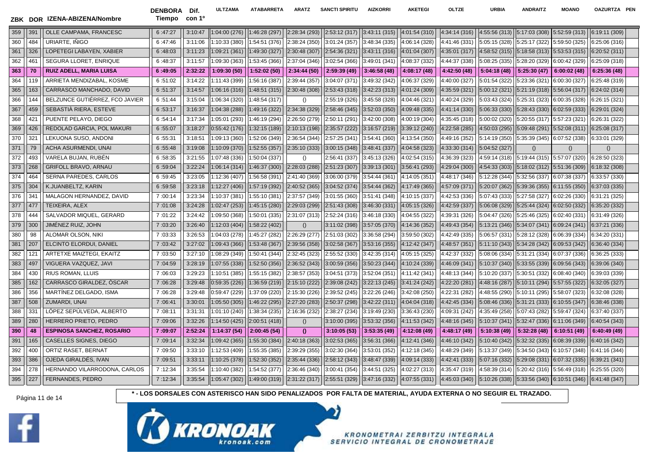DENBORA Dif. Tiempo con 1º **ULTZAMA ATABARRETA ARATZ SANCTI SPIRITU AIZKORRI AKETEGI OLTZE URBIA ANDRAITZ MOANO OAZURTZA PEN**

| 359 | 391             | OLLE CAMPAMA, FRANCESC           | 6:47:27 | 3:10:47 | 1:04:00(276)  | 1:46:28 (297) | 2:28:34 (293)                                                                                                                                                                           | 2:53:12 (317) | 3:43:11(315)                 | 4:01:54 (310) | 4:34:14 (316) | 4:55:56(313)                                                                             | 5:17:03(308) 5:52:59(313)    |                              | 6:19:11 (309)    |
|-----|-----------------|----------------------------------|---------|---------|---------------|---------------|-----------------------------------------------------------------------------------------------------------------------------------------------------------------------------------------|---------------|------------------------------|---------------|---------------|------------------------------------------------------------------------------------------|------------------------------|------------------------------|------------------|
| 360 | 484             | URIARTE, IÑIGO                   | 6:47:46 | 3:11:06 | 1:10:33 (380) | 1:54:51 (376) | 2:38:24 (350)                                                                                                                                                                           | 3:01:24 (357) | 3:48:34 (335)                | 4:06:14 (328) | 4:41:46 (331) | 5:05:15 (328)                                                                            | 5:25:17 (322) 5:59:50 (325)  |                              | 6:25:06 (316)    |
| 361 | 326             | LOPETEGI LABAYEN, XABIER         | 6:48:03 | 3:11:23 | 1:09:21(361)  | 1:49:30 (327) | 2:30:48(307)                                                                                                                                                                            | 2:54:36 (321) | 3:43:11(316)                 | 4:01:04 (307) | 4:35:01 (317) | 4:58:52(315)                                                                             | 5:18:58(313) 5:53:53(315)    |                              | 6:20:52 (311)    |
| 362 | 461             | SEGURA LLORET, ENRIQUE           | 6:48:37 | 3:11:57 | 1:09:30 (363) | 1:53:45 (366) | 2:37:04 (346)                                                                                                                                                                           | 3:02:54 (366) | 3:49:01 (341)                | 4:08:37 (332) | 4:44:37 (338) | 5:08:25(335)                                                                             | 5:28:20 (329) 6:00:42 (329)  |                              | 6:25:09 (318)    |
| 363 | 70              | RUIZ ADELL, MARIA LUISA          | 6:49:05 | 2:32:22 | 1:09:30(50)   | 1:52:02(50)   | 2:34:44 (50)                                                                                                                                                                            | 2:59:39 (49)  | 3:46:58(48)                  | 4:08:17 (48)  | 4:42:50 (48)  | 5:04:18(48)                                                                              | 5:25:30(47)                  | 6:00:02(48)                  | 6:25:36(48)      |
| 364 | 119             | ARRIETA MENDIZABAL, KOSME        | 6:51:02 | 3:14:22 | 1:11:43 (399) | 1:56:16 (387) | 2:39:44 (357)                                                                                                                                                                           | 3:04:07 (371) | 3:49:32 (342)                | 4:06:37 (329) | 4:40:00 (327) | 5:01:54 (322)                                                                            | 5:23:36 (321) 6:00:30 (327)  |                              | 6:25:48 (319)    |
| 365 | 163             | CARRASCO MANCHADO, DAVID         | 6:51:37 | 3:14:57 | 1:06:16(316)  | 1:48:51 (315) | 2:30:48 (308)                                                                                                                                                                           | 2:53:43 (318) | 3:42:23(313)                 | 4:01:24 (309) | 4:35:59 (321) | 5:00:12 (321)                                                                            | 5:21:19(318) 5:56:04(317)    |                              | 6:24:02 (314)    |
| 366 | 144             | BELZUNCE GUTIÉRREZ, FCO JAVIER   | 6:51:44 | 3:15:04 | 1:06:34 (320) | 1:48:54 (317) | $\left( \right)$                                                                                                                                                                        | 2:55:19 (326) | 3:45:58 (328)                | 4:04:46 (321) | 4:40:24 (329) | 5:03:43 (324)                                                                            | 5:25:31 (323) 6:00:35 (328)  |                              | 6:26:15 (321)    |
| 367 | 459             | SEBASTIÀ RIERA, ESTEVE           | 6:53:17 | 3:16:37 | 1:04:38 (288) | 1:49:16 (322) | 2:34:38 (329)                                                                                                                                                                           | 2:58:46(345)  | 3:52:03(350)                 | 4:09:48 (335) | 4:41:14 (330) | 5:06:33 (330)                                                                            |                              | $5:28:43(330)$ 6:02:59 (333) | 6:29:01 (324)    |
| 368 | 421             | PUENTE PELAYO, DIEGO             | 6:54:14 | 3:17:34 | 1:05:01 (293) | 1:46:19 (294) | 2:26:50 (279)                                                                                                                                                                           | 2:50:11 (291) | 3:42:00 (308)                | 4:00:19 (304) | 4:35:45 (318) | 5:00:02 (320)                                                                            |                              | 5:20:55 (317) 5:57:23 (321)  | 6:26:31 (322)    |
| 369 | 426             | REDOLAD GARCIA, POL MAKURI       | 6:55:07 | 3:18:27 | 0:55:42(176)  | 1:32:15 (189) | 2:10:13(198)                                                                                                                                                                            | 2:35:57 (222) | 3:16:57 (219)                | 3:39:12 (240) | 4:22:58 (285) | 4:50:03 (295)                                                                            |                              | $5:09:48(291)$ 5:52:08 (311) | 6:25:08(317)     |
| 370 | 321             | LEKUONA SUSO, ANDONI             | 6:55:31 | 3:18:51 | 1:09:13 (360) | 1:52:06 (349) | 2:36:54 (344)                                                                                                                                                                           | 2:57:25 (341) | 3:54:41(360)                 | 4:13:54 (350) | 4:49:16 (352) | 5:14:19 (350)                                                                            |                              | 5:35:39 (345) 6:07:52 (338)  | 6:33:01 (329)    |
| 371 | 79              | ACHA ASURMENDI, UNAI             | 6:55:48 | 3:19:08 | 1:10:09 (370) | 1:52:55 (357) | 2:35:10 (333)                                                                                                                                                                           | 3:00:15 (348) | 3:48:41 (337)                | 4:04:58 (323) | 4:33:30 (314) | 5:04:52 (327)                                                                            | $\left( \right)$             | ()                           | $\left( \right)$ |
| 372 | 493             | VARELA BUJAN, RUBÉN              | 6:58:35 | 3:21:55 | 1:07:48 (336) | 1:50:04 (337) | $\left( \right)$                                                                                                                                                                        | 2:56:41 (337) | 3:45:13 (326)                | 4:02:54 (315) | 4:36:39 (323) | 4:59:14 (318)                                                                            |                              | 5:19:44 (315) 5:57:07 (320)  | 6:28:50 (323)    |
| 373 | 268             | <b>GRIFOLL BRAVO, ARNAU</b>      | 6:59:04 | 3:22:24 | 1:06:14(314)  | 1:46:37 (300) | 2:28:03 (288)                                                                                                                                                                           | 2:51:23 (307) | 3:39:13 (301)                | 3:56:41 (293) | 4:29:04 (300) | 4:54:33 (303)                                                                            | $5:18:02(312)$ 5:51:36 (309) |                              | 6:18:32 (308)    |
| 374 | 464             | SERNA PAREDES, CARLOS            | 6:59:45 | 3:23:05 | 1:12:36 (407) | 1:56:58 (391) | 2:41:40 (369)                                                                                                                                                                           | 3:06:00 (379) | 3:54:44 (361)                | 4:14:05 (351) | 4:48:17 (346) | 5:12:28 (344)                                                                            | 5:32:56 (337) 6:07:38 (337)  |                              | 6:33:57 (330)    |
| 375 | 304             | K.JUANBELTZ, KARIN               | 6:59:58 | 3:23:18 | 1:12:27(406)  | 1:57:19 (392) | 2:40:52 (365)                                                                                                                                                                           | 3:04:52 (374) | 3:54:44 (362)                | 4:17:49 (365) | 4:57:09 (371) | 5:20:07 (362)                                                                            | 5:39:36(355) 6:11:55(350)    |                              | 6:37:03 (335)    |
| 376 | 34 <sup>°</sup> | MALAGON HERNANDEZ, DAVID         | 7:00:14 | 3:23:34 | 1:10:37 (381) | 1:55:10 (381) | 2:37:57 (349)                                                                                                                                                                           | 3:01:55 (360) | 3:51:41 (348)                | 4:10:15 (337) | 4:42:53 (336) | 5:07:43 (333)                                                                            | 5:27:58 (327) 6:02:26 (330)  |                              | 6:31:21 (325)    |
| 377 | 477             | TEIXEIRA, ALEX                   | 7:01:08 | 3:24:28 | 1:02:47 (253) | 1:45:15 (280) | 2:29:03 (299)                                                                                                                                                                           | 2:51:43 (308) | 3:46:30 (331)                | 4:05:15 (326) | 4:42:59 (337) | 5:06:08 (329)                                                                            | $5:25:44(324)$ 6:02:50 (332) |                              | 6:35:20 (332)    |
| 378 | 444             | SALVADOR MIQUEL, GERARD          | 7:01:22 | 3:24:42 | 1:09:50 (368) | 1:50:01 (335) | 2:31:07 (313)                                                                                                                                                                           | 2:52:24 (316) | 3:46:18 (330)                | 4:04:55 (322) | 4:39:31 (326) | 5:04:47 (326)                                                                            | 5:25:46 (325) 6:02:40 (331)  |                              | 6:31:49 (326)    |
| 379 | 300             | JIMENEZ RUIZ, JOHN               | 7:03:20 | 3:26:40 | 1:12:03(404)  | 1:58:22 (402) | ()                                                                                                                                                                                      |               | $3:11:02(398)$ 3:57:05 (370) | 4:14:36 (352) | 4:49:43 (354) | 5:13:21 (346)                                                                            | 5:34:07(341) 6:09:24(341)    |                              | 6:37:21 (336)    |
| 380 | 98              | ALOMAR OLSON, NIKI               | 7:03:33 | 3:26:53 | 1:04:03 (278) | 1:45:27 (282) | 2:26:29 (277)                                                                                                                                                                           | 2:51:03 (302) | 3:36:58 (294)                | 3:59:50 (302) | 4:42:49 (335) | 5:06:57 (331)                                                                            | 5:28:12(328) 6:06:39(334)    |                              | 6:34:20 (331)    |
| 381 | 207             | ELCINTO ELORDUI, DANIEL          | 7:03:42 | 3:27:02 | 1:09:43 (366) | 1:53:48 (367) | 2:39:56 (358)                                                                                                                                                                           | 3:02:58 (367) | 3:53:16(355)                 | 4:12:42 (347) | 4:48:57 (351) | 5:11:10(343)                                                                             | 5:34:28(342) 6:09:53(342)    |                              | 6:36:40 (334)    |
| 382 | 121             | ARTETXE MAIZTEGI, EKAITZ         | 7:03:50 | 3:27:10 | 1:08:29 (349) | 1:50:41 (344) | 2:32:45 (323)                                                                                                                                                                           | 2:55:52 (330) | 3:42:35(314)                 | 4:05:15 (325) | 4:42:37 (332) | 5:08:06 (334)                                                                            | 5:31:21 (334) 6:07:37 (336)  |                              | 6:36:25 (333)    |
| 383 | 497             | VIGUERA VAZQUEZ, JAVI            | 7:04:59 | 3:28:19 | 1:07:55 (338) | 1:52:50 (356) | 2:36:52 (343)                                                                                                                                                                           | 3:00:59 (356) | 3:50:23(344)                 | 4:10:24 (339) | 4:46:09 (341) | 5:10:37(340)                                                                             | 5:33:55(339) 6:09:56(343)    |                              | 6:39:06 (340)    |
| 384 | 430             | <b>RIUS ROMAN, LLUIS</b>         | 7:06:03 | 3:29:23 | 1:10:51 (385) | 1:55:15 (382) | 2:38:57 (353)                                                                                                                                                                           | 3:04:51 (373) | 3:52:04 (351)                | 4:11:42 (341) | 4:48:13 (344) | 5:10:20 (337)                                                                            | 5:30:51 (332) 6:08:40 (340)  |                              | 6:39:03 (339)    |
| 385 | 162             | CARRASCO GIRALDEZ, OSCAR         | 7:06:28 | 3:29:48 | 0:59:35(226)  | 1:36:59 (219) | 2:15:10(222)                                                                                                                                                                            | 2:39:08 (242) | 3:22:13(245)                 | 3:41:24 (242) | 4:22:20 (281) | 4:48:16(287)                                                                             | 5:10:11(294) 5:57:55(322)    |                              | 6:32:05 (327)    |
| 386 | 356             | MARTÍNEZ DELGADO, ISMA           | 7:06:28 | 3:29:48 | 0:59:47(229)  | 1:37:09 (220) | 2:15:30 (226)                                                                                                                                                                           | 2:39:52 (245) | 3:22:26 (246)                | 3:42:08 (250) | 4:22:31 (282) | 4:48:55 (290)                                                                            | 5:10:11 (295)                | 5:58:07 (323)                | 6:32:08 (328)    |
| 387 | 508             | ZUMARDI, UNAI                    | 7:06:41 | 3:30:01 | 1:05:50(305)  | 1:46:22 (295) | 2:27:20 (283)                                                                                                                                                                           | 2:50:37 (298) | 3:42:22 (311)                | 4:04:04 (318) | 4:42:45 (334) | 5:08:46 (336)                                                                            | $5:31:21(333)$ 6:10:55 (347) |                              | 6:38:46 (338)    |
| 388 | 331             | LÓPEZ SEPÚLVEDA, ALBERTO         | 7:08:11 | 3:31:31 | 1:01:10 (240) | 1:38:34 (235) | 2:16:36 (232)                                                                                                                                                                           | 2:38:27 (234) | 3:19:49 (230)                | 3:36:43 (230) | 4:09:31 (242) | 4:35:49 (258)                                                                            | 5:07:43 (282)                | 5:59:47 (324)                | 6:37:40 (337)    |
| 389 | 280             | HERRERO PRIETO, PEDRO            | 7:09:06 | 3:32:26 | 1:14:50(425)  | 2:00:51 (418) | $\left( \right)$                                                                                                                                                                        | 3:10:00 (395) | 3:53:32 (356)                | 4:11:53 (342) | 4:48:16 (345) | 5:10:37 (341)                                                                            | 5:32:47(336) 6:11:06(349)    |                              | 6:40:54 (343)    |
| 390 | 48              | <b>ESPINOSA SANCHEZ, ROSARIO</b> | 7:09:07 | 2:52:24 | 1:14:37(54)   | 2:00:45(54)   | $\mathbf{0}$                                                                                                                                                                            | 3:10:05(53)   | 3:53:35(49)                  | 4:12:08 (49)  | 4:48:17 (49)  | 5:10:38 (49)                                                                             | 5:32:28(48)                  | 6:10:51(49)                  | 6:40:49 (49)     |
| 391 | 165             | <b>CASELLES SIGNES, DIEGO</b>    | 7:09:14 | 3:32:34 | 1:09:42 (365) | 1:55:30 (384) | 2:40:18 (363)                                                                                                                                                                           | 3:02:53 (365) | 3:56:31 (366)                | 4:12:41 (346) | 4:46:10 (342) | 5:10:40 (342)                                                                            | 5:32:32 (335) 6:08:39 (339)  |                              | 6:40:16 (342)    |
| 392 | 400             | ORTIZ RASET, BERNAT              | 7:09:50 | 3:33:10 | 1:12:53 (409) | 1:55:35 (385) | 2:39:29 (355)                                                                                                                                                                           | 3:02:30 (364) | 3:53:01 (352)                | 4:12:18 (345) | 4:48:29 (349) | 5:13:37 (349)                                                                            |                              | 5:34:50 (343) 6:10:57 (348)  | 6:41:16 (344)    |
| 393 | 386             | OJEDA GIRALDÉS, IVAN             | 7:09:51 | 3:33:11 | 1:10:25 (378) | 1:52:30 (352) | 2:35:44 (336)                                                                                                                                                                           | 2:58:12 (343) | 3:48:47 (339)                | 4:09:14 (333) | 4:42:41 (333) | 5:07:16 (332)                                                                            | 5:29:08 (331) 6:07:32 (335)  |                              | 6:39:21 (341)    |
| 394 | 278             | HERNANDO VILARRODONA, CARLOS     | 7:12:34 | 3:35:54 | 1:10:40 (382) | 1:54:52 (377) | 2:36:46 (340)                                                                                                                                                                           | 3:00:41 (354) | 3:44:51 (325)                | 4:02:27 (313) | 4:35:47 (319) | 4:58:39 (314)                                                                            | 5:20:42 (316) 5:56:49 (318)  |                              | 6:25:55 (320)    |
| 395 | 227             | FERNANDES, PEDRO                 | 7:12:34 | 3:35:54 |               |               | $\vert 1:05:47 \ (302) \ \vert \ \vert 1:49:00 \ (319) \ \vert \ \vert 2:31:22 \ (317) \ \vert \ \vert 2:55:51 \ (329) \ \vert \ \vert 3:47:16 \ (332) \ \vert \ \vert 4:07:55 \ (331)$ |               |                              |               |               | $(4:45:03(340) \mid 5:10:26(338) \mid 5:33:56(340) \mid 6:10:51(346) \mid 6:41:48(347))$ |                              |                              |                  |



Página 11 de 14 *\** **- LOS DORSALES CON ASTERISCO HAN SIDO PENALIZADOS POR FALTA DE MATERIAL, AYUDA EXTERNA O NO SEGUIR EL TRAZADO.** 

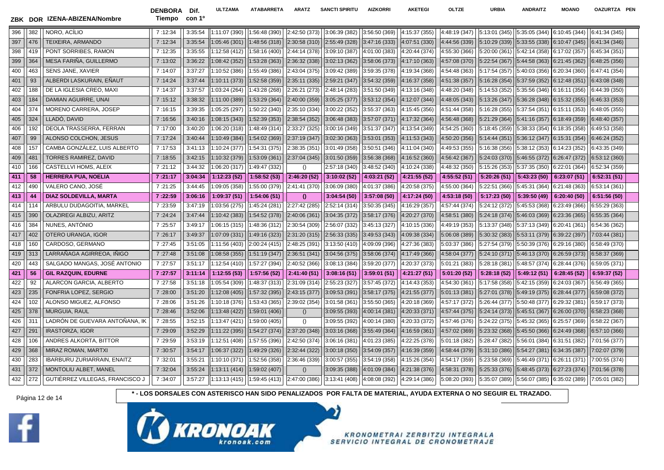**ZBK DOR IZENA-ABIZENA/Nombre Tiempo con 1º** 396 ||382 || NORO, ACILIO || 7 :12:34 || 3:35:54 ||1:11:07 (390) ||1:56:48 (390) ||2:42:50 (373) ||3:06:39 (382) ||3:56:50 (369) ||4:15:37 (355) ||4:48:19 (347) ||5:13:01 (345)||5:35:05 (344) ||5:13:01 (344) ||6: 397 ||476 || TEIXEIRA, ARMANDO || 7 :12:34 || 3:35:54 ||1:05:46 (301)||1:48:56 (318)||2:30:58 (310)||2:55:49 (328)||3:47:16 (333)||4:07:51 (330)||4:44:56 (339)||5:10:29 (339)||5:33:55 (338)||6:10:47 (345) 398 ||419 || PONT SORRIBES, RAMON ||7 :12:35 || 3:35:55 ||1:12:58 (412) ||1:58:16 (400) ||2:44:14 (378) ||3:09:10 (387) ||4:01:00 (383) ||4:20:44 (374) ||4:55:30 (366) ||5:20:00 (361) ||5:42:14 (358) ||6:17:02 (357) ||6:45 399 ||364 || MESA FARINA, GUILLERMO || 7 :13:02 || 3:36:22 ||1:08:42 (352) ||1:53:28 (363) ||2:36:32 (338) ||3:02:13 (362) ||3:58:06 (373) ||4:17:10 (363) ||4:57:08 (370) ||5:22:54 (367) ||5:44:58 (363) ||6:41:58 (363) ||6 400 ||463 || SENS JANE, XAVIER || 7 :14:07 || 3:37:27 ||1:10:52 (386) ||1:55:49 (386) ||2:43:04 (375)||3:09:42 (389)||3:59:35 (378)| |4:19:34 (368)| 4:54:48 (363)| 5:17:54 (357)||5:40:03 (356)||6:20:34 401 || 93 || ALBERDI LASKURAIN, ENAUT || 7 :14:24 || 3:37:44 ||1:10:11 (373) ||1:52:58 (359)||2:35:11 (335)||2:59:21 (347)||3:54:32 (359)||4:16:37 (358)||4:16:37 (358)||4:51:38 (357)||5:16:28 (354)||5:37:59 (352)||6:12:48 402 ||188 || DE LA IGLESIA CREO, MAXI || 7 :14:37 || 3:37:57 ||1:03:24 (264)||1:43:28 (268)||2:26:21 (273)||2:48:14 (283)||3:51:50 (349)| 4:13:16 (348)| 4:48:20 (348)| 5:14:53 (352)||5:35:56 (346) ||5:16:11 (356)| 6:44:39 403 ||184 || DAMIAN AGUIRRE, UNAI || 7 :15:12 ||3:38:32 ||1:11:00 (389) ||1:53:29 (364) ||2:40:00 (359) ||3:05:25 (377) ||3:53:12 (354) ||4:12:07 (344) | 4:48:05 (343) | 5:13:26 (347) ||5:32:8 (348) ||6:46: 404 ||374 || MORENO CARRERA, JOSEP || 7 :16:15 || 3:39:35 ||1:05:25 (297)||1:50:22 (340)||2:35:10 (334)||3:00:22 (352)||3:55:37 (363)||4:15:45 (356)||4:51:44 (358)||5:37:54 (351)||5:15:11 (353)||6:48:05 (355)||6:48:05 (355 405 || 5:21:29 (368) || 5:21:29 (368) || 5:21:29 (364) || 5:21:29 (357) || 5:38:54 (357) || 3:06:48 (368) || 3:06:48 (368) || 4:52:39 (364) || 4:52:39 (364) || 4:52:29 (364) || 4:52:29 (364) || 4:52:29 (364) || 5:21:29 (36 406 ||192 || DEOLA TRASSERRA, FERRAN ||7 :17:00 || 3:40:20 ||1:06:20 (318) ||1:48:49 (314) ||2:33:27 (325) ||3:00:16 (349)||3:51:37 (347)||4:13:54 (349)||4:54:25 (360) ||5:18:45 (359)||5:38:33 (354)||6:18:35 (358)||6:49:53 407 || 99 || ALONSO COLCHON, JESUS || 7 :17:24 || 3:40:44 ||1:10:49 (384)||1:54:02 (369)||2:37:19 (347)||3:02:30 (363)||3:53:01 (353)||4:11:53 (343)||4:50:20 (366)||5:14:44 (351)||5:36:12 (347)||6:15:31 (354)||6:46:24 (352 408 157 CAMBA GONZÁLEZ, LUIS ALBERTO 7 :17:53 3:41:13 1:10:24 (377) 1:54:31 (375) 2:38:35 (351) 3:01:49 (358) 3:50:51 (346) 4:11:04 (340) 4:49:53 (355) 5:16:38 (356) 5:38:12 (353) 6:14:23 (352) 6:43:35 (349) 409 ||481 || TORRES RAMIREZ, DAVID || 7 :18:55 || 3:42:15 ||1:10:32 (379) ||1:53:09 (361) ||2:37:04 (345 ||3:01:50 (359) ||3:56:38 (368) ||4:16:52 (360) | 4:56:42 (367) ||5:24:03 (370) ||5:46:55 (372) ||6:26:47 (372) ||6:5 410 ||166 || CASTELLVI HOMS, ALEIX || 7 :21:12 || 3:44:32 ||1:06:20 (317) ||1:49:47 (332) || () ||2:57:18 (340) ||3:48:52 (340) ||3:10:24 (338) ||4:48:32 (350) ||5:15:26 (353) ||5:37:35 (350) ||6: 411 || 58 || HERRERA PUA, NOELIA || 2:21:17 || 3:04:34 || 1:12:23 (52) || 1:58:52 (53) || 2:46:20 (52) || 3:10:02 (52) || 4:03:21 (52) || 4:21:55 (52) || 4:21:55 (52) || 4:55:52 (51) || 5:43:23 (50) || 5:43:23 (50) || 6:23 412 ||490 || VALERO CANO, JOSÉ || 7:21:25 || 3:44:45 ||1:09:05 (358) ||1:55:00 (379) ||2:41:41 (370) ||3:06:09 (380) ||4:01:37 (386) ||4:20:58 (375) || 4:55:00 (364) ||5:22:51 (366)||5:45:31 (364) ||5:21:48 (363) ||6:53:14 413 || 44 || DIAZ SOLDEVILLA, MARTA || 7 :22:59 || 3:06:16 || 1:09:37 (51) || 1:54:06 (51) || () || 3:04:54 (50) || 3:57:08 (50) || 4:17:24 (50) || 4:17:24 (50) || 4:53:18 (50) || 5:17:23 (50) || 5:39:50 (49) || 6 414 | 114 | ARBULU DUDAGOITIA, MARKEL | 7 :23:59 | 3:47:19 | 1:03:56 (275) | 1:45:24 (281) | 2:27:42 (285) | 2:52:14 (314) | 3:50:35 (345) | 4:16:29 (357) | 4:16:29 (377) | 5:24:12 (372) | 5:41:12 (372) | 5:45:53 (368) | 6 415 ||390 || OLAZIREGI ALBIZU, ARITZ || 7 :24:24 ||3:47:44 ||1:10:42 (383) ||1:54:52 (378) ||2:40:06 (361) ||3:04:35 (372) ||3:58:17 (376) ||4:20:27 (370) ||4:52:17 (376) ||5:24:18 (374) ||5:46:03 (369) ||6:23:36 (365) ||6 416 ||384 || NUNES, ANTONIO || 7 :25:57 || 3:49:17 ||1:06:15 (315) ||1:48:36 (312) ||2:30:54 (309) ||2:56:07 (332) ||3:45:13 (327) ||4:10:15 (336) ||4:49:19 (353) ||5:13:37 (348) ||5:37:13 (349) ||6:54: 417 ||402 || OTERO URANGA, IGOR || 7:26:17 || 3:49:37 ||1:07:09 (331)||1:49:16 (323)||2:31:20 (315)||2:56:33 (335)||3:49:53 (343)||4:09:38 (334)||4:09:38 (334)||5:50:32 (383)||5:53:11 (379)||6:39:22 (397)||7:03:44 (381)| 418 ||160 || CARDOSO, GERMANO || 7:27:45 || 3:51:05 ||1:11:56 (403) ||2:00:24 (415) ||2:48:25 (391) ||3:13:50 (410) ||4:09:09 (396) ||4:27:36 (383) ||5:03:37 (386) ||5:27:54 (379) ||5:03:37 (376) ||6:29:16 (380) ||6:58:49 419 313 LARRAÑAGA AGIRREOA, IÑIGO 7 :27:48 3:51:08 1:08:58 (355) 1:51:19 (347) 2:36:51 (341) 3:04:56 (375) 3:58:06 (374) 4:17:49 (366) 4:58:04 (377) 5:24:10 (371) 5:46:13 (370) 6:26:59 (373) 6:58:37 (369) 420 ||443 || SALGADO MANGAS, JOSÉ ANTONIO || 7 :27:57 || 3:51:17 ||1:12:54 (410)||1:57:27 (394)||2:40:52 (366)||3:08:13 (384)||3:59:20 (377)||4:20:37 (373)||5:01:21 (383)||5:28:18 (381)||5:48:57 (374)||6:28:44 (376)||6:59: 421 || 56:28:18 (52) || 5:28:18 (52) || 5:28:18 (52) || 5:49:12 (51) |5:24:42 (51) || 5:59:01 || 5:59:01 || 5:31:11 || 5:59:01 || 5:37 (53) || 5:28:18 (59 || 5:28:18 (57) || 5:28:18 (52) || 5:28:18 (52) || 5:49:12 (51) || 422 || 92 || ALARCON GARCIA, ALBERTO || 7 :27:58 || 3:51:18 ||1:05:54 (309)||1:48:37 (313)||2:31:09 (314)||2:55:23 (327)||3:57:45 (372)||4:14:43 (353)||4:54:30 (361)||5:17:58 (358)||5:42:15 (359)||6:24:03 (367)||6:56:49 (3 423 || 235 || FONFRIA LOPEZ, SERGIO || 7 :28:00 || 3:51:20 ||1:12:08 (405) ||1:57:32 (395) ||2:43:15 (377)||3:09:53 (391)||3:58:17 (375)||4:21:55 (377)||5:01:13 (381)||5:27:01 (378)||5:49:19 (375)||6:28:44 (377)||6:59:08 ( 424 || 102 || ALONSO MIGUEZ, ALFONSO || 7:28:06 || 3:51:26 ||1:10:18 (376) ||1:53:43 (365) ||2:39:02 (354) ||3:01:58 (361) ||3:55:50 (365) ||4:20:18 (369) ||4:57:17 (372) ||5:26:44 (377) ||5:50:48 (377) ||5:29:32 (381) ||6 425 || 378 || MURGUIA, RAUL || 7 :28:46 || 3:52:06 ||1:13:48 (422) ||1:59:01 (406) || () ||3:09:55 (393) ||4:00:34 (381) | 4:20:33 (371) | 4:57:44 (375) | 5:24:14 (373) ||5:45:51 (367) ||6:2 426 311 LADRÓN DE GUEVARA ANTOÑANA, IK 7:28:55 3:52:15 1:13:47 (421) 1:59:00 (405) () 3:09:55 (392) 4:00:14 (380) 4:20:33 (372) 4:57:46 (376) 5:4:22 (375) 5:4:22 (375) 5:45:32 (365) 6:25:57 (369) 6:25:57 (369) 6:25:57 (369 427 ||291 || IRASTORZA, IGOR || 12:29:09 || 2:29:09 || 3:52:29 ||1:11:22 (395) ||1:54:27 (374) ||2:37:20 (348) ||3:03:16 (368) ||3:55:49 (368) ||3:16:59 (361) || 4:57:02 (369) || 5:23:32 (368) ||5:45:50 (368) ||6:24:49 (36 428 ||106 || ANDRES ALKORTA, BITTOR || 7 :29:59 || 3:53:19 ||1:12:51 (408) ||1:57:55 (396) ||2:42:50 (374) ||3:06:16 (381) ||4:01:23 (385) ||4:01:23 (385) ||4:22:25 (378) ||5:01:18 (382) ||5:28:47 (382) ||5:56:01 (384) ||6 429 || 368 || MIRAZ ROMAN, MARTXI || 7:30:57 || 3:54:17 ||1:06:37 (322) ||1:49:29 (326) ||2:32:44 (322) ||3:00:18 (350) ||3:54:09 (357) ||4:16:39 (359) ||4:58:44 (379) ||5:31:10 (386) ||5:54:27 (381) ||6:34:35 (387) ||7:02 430 | 283 | | BARBURU ZURIARRAIN, ENAITZ | | 7 :32:01 | | 3:55:21 || 1:10:10 (371) || 1:52:56 (358) | | 2:36:46 (339) | 3:00:57 (355) | 3:54:19 (355) | 4:15:26 (354) | 4:15:26 (354) | 5:23:58 (369) | 5:23:58 (369) | 5:46:4 431 ||372 || MONTOLIU ALBET, MANEL || 7 :32:04 || 3:55:24 ||1:13:11 (414)||1:59:02 (407)|| () ||3:09:35 (388)||4:01:09 (388)||4:01:09 (384)||4:21:38 (376)||4:58:31 (378)||5:25:33 (376)||5:48:45 (373)||6:27:23 (374)||7:01 432 | 272 | GUTIÉRREZ VILLEGAS, FRANCISCO J | 7:34:07 | 3:57:27 | 1:13:13 (415) | 1:59:45 (413) | 2:47:00 (386) | 3:13:41 (408) | 4:08:08 (392) | 4:29:14 (386) | 5:35:07 (389) | 5:56:07 (389) | 5:56:07 (389) | 6:35:02 (389

Página 12 de 14 **\* - LOS DORSALES CON ASTERISCO HAN SIDO PENALIZADOS POR FALTA DE MATERIAL, AYUDA EXTERNA O NO SEGUIR EL TRAZADO.**





DENBORA Dif.

**KRONOMETRAI ZERBITZU INTEGRALA** SERVICIO INTEGRAL DE CRONOMETRAJE

**ULTZAMA ATABARRETA ARATZ SANCTI SPIRITU AIZKORRI AKETEGI OLTZE URBIA ANDRAITZ MOANO OAZURTZA PEN**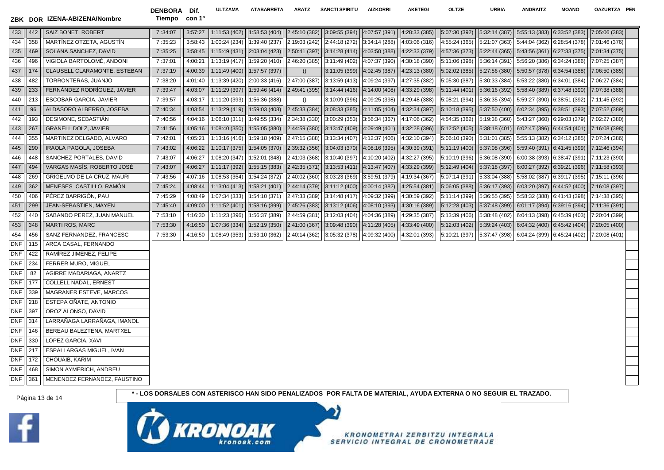г

| ZBK DOR |     | IZENA-ABIZENA/Nombre                | <b>DENBORA</b><br>Tiempo con 1º | Dif.    | <b>ULTZAMA</b> | <b>ATABARRETA</b>              | ARATZ         | <b>SANCTI SPIRITU</b>                                                                            | <b>AIZKORRI</b>                                                     | <b>AKETEGI</b> | <b>OLTZE</b>                                                                         | <b>URBIA</b>                                                  | <b>ANDRAITZ</b>                              | <b>MOANO</b>                                                                            | <b>OAZURTZA</b> |
|---------|-----|-------------------------------------|---------------------------------|---------|----------------|--------------------------------|---------------|--------------------------------------------------------------------------------------------------|---------------------------------------------------------------------|----------------|--------------------------------------------------------------------------------------|---------------------------------------------------------------|----------------------------------------------|-----------------------------------------------------------------------------------------|-----------------|
| 433     | 442 | SAIZ BONET, ROBERT                  | 7:34:07                         | 3:57:27 | 1:11:53(402)   |                                |               | $(1:58:53(404) \mid  2:45:10(382) \mid  3:09:55(394) \mid  4:07:57(391) \mid  4:28:33(385) \mid$ |                                                                     |                | $ 5:07:30(392) $ $ 5:32:14(387) $ $ 5:55:13(383) $ $ 6:33:52(383) $ $ 7:05:06(383) $ |                                                               |                                              |                                                                                         |                 |
| 434     | 358 | MARTÍNEZ OTZETA, AGUSTÍN            | 7:35:23                         | 3:58:43 | 1:00:24 (234)  | 1:39:40 (237)                  | 2:19:03 (242) | $\vert$ 2:44:18 (272) $\vert$ 3:34:14 (288) $\vert$                                              |                                                                     | 4:03:06 (316)  | $(4:55:24(365) \mid 5:21:07(363) \mid 5:44:04(362) \mid 6:28:54(378))$               |                                                               |                                              |                                                                                         | 7:01:46 (376)   |
| 435     | 469 | SOLANA SANCHEZ, DAVID               | 7:35:25                         | 3:58:45 |                | $1:15:49(431)$   2:03:04 (423) |               | $\vert$ 2:50:41 (397) $\vert$ 3:14:28 (414) $\vert$ 4:03:50 (388) $\vert$ 4:22:33 (379)          |                                                                     |                |                                                                                      |                                                               |                                              | $(4:57:36(373) \mid 5:22:44(365) \mid 5:43:56(361) \mid 6:27:33(375) \mid 7:01:34(375)$ |                 |
| 436     | 496 | VIGIOLA BARTOLOMÉ, ANDONI           | 7:37:01                         | 4:00:21 | 1:13:19 (417)  | 1:59:20(410)                   |               | $\vert 2:46:20(385) \vert 3:11:49(402) \vert 4:07:37(390) \vert 4:30:18(390)$                    |                                                                     |                | 5:11:06 (398)                                                                        | $ 5:36:14(391) $ 5:56:20 (386) 6:34:24 (386)                  |                                              |                                                                                         | 7:07:25 (387)   |
| 437     | 174 | <b>CLAUSELL CLARAMONTE, ESTEBAN</b> | 7:37:19                         | 4:00:39 | 1:11:49 (400)  | 1:57:57 (397)                  | ()            |                                                                                                  | $\vert 3:11:05(399) \vert$ 4:02:45 (387) $\vert 4:23:13(380) \vert$ |                |                                                                                      | $ 5:02:02(385) $ $ 5:27:56(380) $ 5:50:57 (378) 6:34:54 (388) |                                              |                                                                                         | 7:06:50 (385)   |
| 438     | 482 | TORRONTERAS, JUANJO                 | 7:38:20                         | 4:01:40 | 1:13:39 (420)  | 2:00:33(416)                   | 2:47:00 (387) | 3:13:59 (413)   4:09:24 (397)   4:27:35 (382)                                                    |                                                                     |                | 5:05:30 (387)                                                                        | $ 5:30:33(384) $ 5:53:22 (380) 6:34:01 (384)                  |                                              |                                                                                         | 7:06:27 (384)   |
| 439     | 233 | FERNÁNDEZ RODRÍGUEZ, JAVIER         | 7:39:47                         | 4:03:07 | 1:11:29 (397)  | 1:59:46(414)                   | 2:49:41(395)  |                                                                                                  | $ 3:14:44(416)   4:14:00(408)   4:33:29(398) $                      |                |                                                                                      | $ 5:11:44(401) $ 5:36:16 (392) 5:58:40 (389) 6:37:48 (390)    |                                              |                                                                                         | 7:07:38 (388)   |
| 440     | 213 | ESCOBAR GARCÍA, JAVIER              | 7:39:57                         | 4:03:17 | 1:11:20 (393)  | 1:56:36 (388)                  | $\Omega$      |                                                                                                  | $ 3:10:09(396) $ 4:09:25 (398)   4:29:48 (388)                      |                | 5:08:21(394)                                                                         |                                                               | $ 5:36:35(394)  5:59:27(390) 6:38:51(392) $  |                                                                                         | 7:11:45 (392)   |
| 441     | 96  | ALDASORO ALBERRO, JOSEBA            | 7:40:34                         | 4:03:54 | 1:13:29 (419)  | 1:59:03 (408)                  | 2:45:33(384)  |                                                                                                  | $(3:08:33(385) \mid  4:11:05(404) \mid  4:32:34(397))$              |                | 5:10:18(395)                                                                         | $ 5:37:50(400)  6:02:34(395) 6:38:51(393)$                    |                                              |                                                                                         | 7:07:52 (389)   |
| 442     | 193 | DESIMONE, SEBASTIÁN                 | 7:40:56                         | 4:04:16 | 1:06:10 (311)  | 1:49:55 (334)                  | 2:34:38 (330) |                                                                                                  | $ 3:00:29(353)  3:56:34(367)  4:17:06(362)$                         |                | 4:54:35 (362)                                                                        |                                                               | $ 5:19:38(360) $ 5:43:27 (360) 6:29:03 (379) |                                                                                         | 7:02:27 (380)   |
| 443     | 267 | <b>GRANELL DOLZ, JAVIER</b>         | 7:41:56                         | 4:05:16 | 1:08:40 (350)  | 1:55:05 (380)                  | 2:44:59(380)  | 3:13:47(409)                                                                                     | 4:09:49(401)                                                        | 4:32:28 (396)  | 5:12:52(405)                                                                         | $ 5:38:18(401)  6:02:47(396) 6:44:54(401)$                    |                                              |                                                                                         | 7:16:08 (398)   |
| 444     | 355 | MARTINEZ DELGADO, ALVARO            | 7:42:01                         | 4:05:21 | 1:13:16 (416)  | 1:59:18 (409)                  | 2:47:15 (388) | $3:13:34(407)$ $4:12:37(406)$ $4:32:10(394)$                                                     |                                                                     |                | 5:06:10 (390)                                                                        | $ 5:31:01(385) $ 5:55:13 (382) 6:34:12 (385)                  |                                              |                                                                                         | 7:07:24 (386)   |
| 445     | 290 | <b>IRAOLA PAGOLA, JOSEBA</b>        | 7:43:02                         | 4:06:22 | 1:10:17 (375)  | 1:54:05(370)                   | 2:39:32(356)  |                                                                                                  | 3:04:03(370)  4:08:16(395)                                          | 4:30:39 (391)  | 5:11:19(400)                                                                         | 5:37:08(396)                                                  |                                              | 5:59:40(391) 6:41:45(399)                                                               | 7:12:46 (394)   |
| 446     | 448 | SANCHEZ PORTALES, DAVID             | 7:43:07                         | 4:06:27 | 1:08:20 (347)  | 1:52:01 (348)                  | 2:41:03 (368) | $\vert$ 3:10:40 (397) $\vert$ 4:10:20 (402) $\vert$                                              |                                                                     | 4:32:27 (395)  | 5:10:19 (396)                                                                        | $ 5:36:08(390)  6:00:38(393) 6:38:47(391)$                    |                                              |                                                                                         | 7:11:23 (390)   |
| 447     | 494 | VARGAS MASÍS, ROBERTO JOSÉ          | 7:43:07                         | 4:06:27 | 1:11:17 (392)  | 1:55:15(383)                   | 2:42:35(371)  | $\vert 3:13:53(411) \vert \vert 4:13:47(407) \vert$                                              |                                                                     | 4:33:29 (399)  |                                                                                      | $ 5:12:49(404) $ 5:37:18 (397)                                |                                              | 6:00:27(392) 6:39:21(396)                                                               | 7:11:58 (393)   |
| 448     | 269 | GRIGELMO DE LA CRUZ, MAURI          | 7:43:56                         | 4:07:16 | 1:08:53 (354)  | 1:54:24 (372)                  |               | $\vert 2:40:02(360) \vert$ 3:03:23 (369) 3:59:51 (379) $\vert$ 4:19:34 (367)                     |                                                                     |                | 5:07:14 (391)                                                                        | $ 5:33:04(388) $ 5:58:02 (387) 6:39:17 (395)                  |                                              |                                                                                         | 7:15:11 (396)   |
| 449     | 362 | MENESES CASTILLO, RAMÓN             | 7:45:24                         | 4:08:44 | 1:13:04 (413)  | 1:58:21 (401)                  |               | $\vert$ 2:44:14 (379) $\vert$ 3:11:12 (400) $\vert$ 4:00:14 (382) $\vert$                        |                                                                     | 4:25:54(381)   | 5:06:05(388)                                                                         | $ 5:36:17(393)  6:03:20(397) 6:44:52(400) $                   |                                              |                                                                                         | 7:16:08 (397)   |
| 450     | 406 | PÉREZ BARRIGÓN, PAU                 | 7:45:29                         | 4:08:49 | 1:07:34 (333)  | 1:54:10 (371)                  |               | $ 2:47:33(389) $ 3:14:48 (417) 4:09:32 (399) 4:30:59 (392)                                       |                                                                     |                | 5:11:14 (399)                                                                        | $ 5:36:55(395)  5:58:32(388) 6:41:43(398) $                   |                                              |                                                                                         | 7:14:38 (395)   |
| 451     | 299 | JEAN-SEBASTIEN, MAYEN               | 7:45:40                         | 4:09:00 | 1:11:52 (401)  | 1:58:16 (399)                  |               | $\vert$ 2:45:26 (383) $\vert$ 3:13:12 (406) $\vert$ 4:08:10 (393) $\vert$                        |                                                                     | 4:30:16 (389)  | 5:12:28(403)                                                                         | $ 5:37:48(399)  6:01:17(394) 6:39:16(394)$                    |                                              |                                                                                         | 7:11:36 (391)   |
| 452     | 440 | SABANDO PEREZ, JUAN MANUEL          | 7:53:10                         | 4:16:30 | 1:11:23 (396)  | 1:56:37 (389)                  |               | 2:44:59(381)  3:12:03(404)                                                                       | 4:04:36 (389)   4:29:35 (387)                                       |                | 5:13:39 (406)                                                                        | 5:38:48(402)                                                  |                                              | 6:04:13(398) 6:45:39(403)                                                               | 7:20:04 (399)   |
| 453     | 348 | <b>MARTI ROS, MARC</b>              | 7:53:30                         | 4:16:50 | 1:07:36 (334)  | 1:52:19 (350)                  |               | $\vert$ 2:41:00 (367) $\vert$ 3:09:48 (390) $\vert$                                              | 4:11:28(405)                                                        | 4:33:49 (400)  | 5:12:03(402)                                                                         | 5:39:24(403)                                                  |                                              | 6:04:32(400) 6:45:42(404)                                                               | 7:20:05 (400)   |
| 454     | 456 | SANZ FERNANDEZ, FRANCESC            | 7:53:30                         | 4:16:50 | 1:08:49 (353)  | 1:53:10 (362)                  | 2:40:14 (362) |                                                                                                  | $3:05:32(378)$   $4:09:32(400)$   $4:32:01(393)$                    |                | 5:10:21 (397)                                                                        | $5:37:47(398)$ 6:04:24 (399) 6:45:24 (402)                    |                                              |                                                                                         | 7:20:08 (401)   |
|         |     | DNF   115   ARCA CASAL, FERNANDO    |                                 |         |                |                                |               |                                                                                                  |                                                                     |                |                                                                                      |                                                               |                                              |                                                                                         |                 |

DNF 422 RAMÍREZ JIMÉNEZ, FELIPE DNF 234 FERRER MURO, MIGUEL DNF 82 AGIRRE MADARIAGA, ANARTZ DNF 177 COLLELL NADAL, ERNEST DNF 339 MAGRANER ESTEVE, MARCOS DNF 218 ESTEPA OÑATE, ANTONIO DNF 397 | OROZ ALONSO, DAVID

DNF 314 LARRAÑAGA LARRAÑAGA, IMANOL DNF | 146 | BEREAU BALEZTENA, MARTXEL

DNF 330 LÓPEZ GARCÍA, XAVI DNF 217 ESPALLARGAS MIGUEL, IVAN

DNF | 468 | SIMON AYMERICH, ANDREU DNF 361 MENENDEZ FERNANDEZ, FAUSTINO

DNF 172 CHOUAIB, KARIM



Página 13 de 14 **1999 - 1999 - 1999 - 1999 - 1999 - 1999 - 1999 - 1999 - 1999 - 1999 - 1999 - 1999 - 1999 - 1999 - 1999 - 1999 - 1999 - 1999 - 1999 - 1999 - 1999 - 1999 - 1999 - 1999 - 1999 - 1999 - 1999 - 1999 - 1999 - 19**